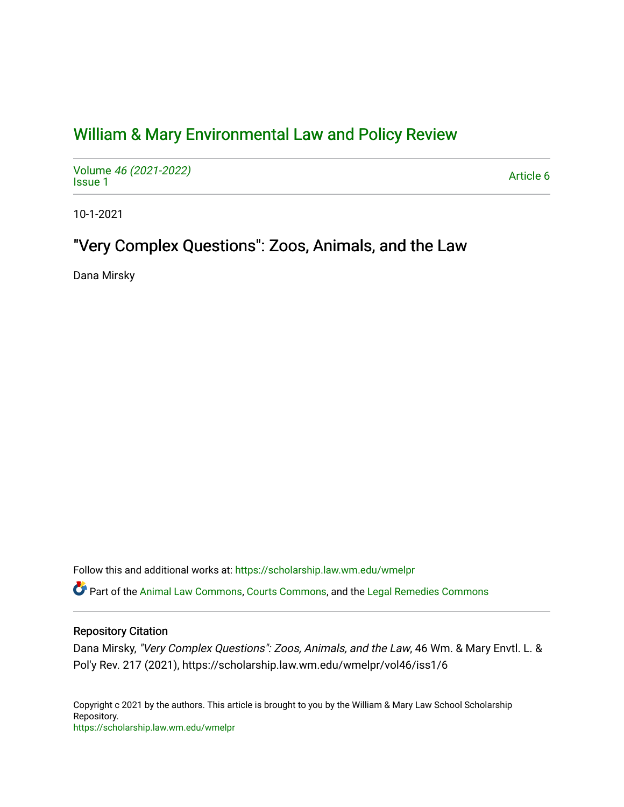## [William & Mary Environmental Law and Policy Review](https://scholarship.law.wm.edu/wmelpr)

Volume [46 \(2021-2022\)](https://scholarship.law.wm.edu/wmelpr/vol46)  volume 40 (2021-2022)<br>[Issue 1](https://scholarship.law.wm.edu/wmelpr/vol46/iss1)

10-1-2021

# "Very Complex Questions": Zoos, Animals, and the Law

Dana Mirsky

Follow this and additional works at: [https://scholarship.law.wm.edu/wmelpr](https://scholarship.law.wm.edu/wmelpr?utm_source=scholarship.law.wm.edu%2Fwmelpr%2Fvol46%2Fiss1%2F6&utm_medium=PDF&utm_campaign=PDFCoverPages)

Part of the [Animal Law Commons,](http://network.bepress.com/hgg/discipline/831?utm_source=scholarship.law.wm.edu%2Fwmelpr%2Fvol46%2Fiss1%2F6&utm_medium=PDF&utm_campaign=PDFCoverPages) [Courts Commons,](http://network.bepress.com/hgg/discipline/839?utm_source=scholarship.law.wm.edu%2Fwmelpr%2Fvol46%2Fiss1%2F6&utm_medium=PDF&utm_campaign=PDFCoverPages) and the [Legal Remedies Commons](http://network.bepress.com/hgg/discipline/618?utm_source=scholarship.law.wm.edu%2Fwmelpr%2Fvol46%2Fiss1%2F6&utm_medium=PDF&utm_campaign=PDFCoverPages) 

## Repository Citation

Dana Mirsky, "Very Complex Questions": Zoos, Animals, and the Law, 46 Wm. & Mary Envtl. L. & Pol'y Rev. 217 (2021), https://scholarship.law.wm.edu/wmelpr/vol46/iss1/6

Copyright c 2021 by the authors. This article is brought to you by the William & Mary Law School Scholarship Repository. <https://scholarship.law.wm.edu/wmelpr>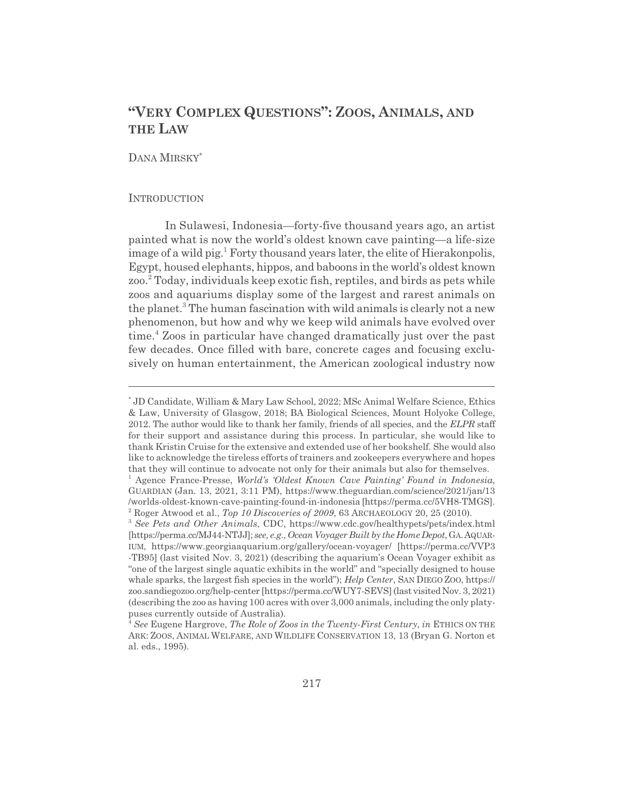## **"VERY COMPLEX QUESTIONS": ZOOS, ANIMALS, AND THE LAW**

## DANA MIRSKY\*

#### **INTRODUCTION**

In Sulawesi, Indonesia—forty-five thousand years ago, an artist painted what is now the world's oldest known cave painting—a life-size image of a wild pig.<sup>1</sup> Forty thousand years later, the elite of Hierakonpolis, Egypt, housed elephants, hippos, and baboons in the world's oldest known zoo.<sup>2</sup> Today, individuals keep exotic fish, reptiles, and birds as pets while zoos and aquariums display some of the largest and rarest animals on the planet.<sup>3</sup> The human fascination with wild animals is clearly not a new phenomenon, but how and why we keep wild animals have evolved over time.<sup>4</sup> Zoos in particular have changed dramatically just over the past few decades. Once filled with bare, concrete cages and focusing exclusively on human entertainment, the American zoological industry now

<sup>\*</sup> JD Candidate, William & Mary Law School, 2022; MSc Animal Welfare Science, Ethics & Law, University of Glasgow, 2018; BA Biological Sciences, Mount Holyoke College, 2012. The author would like to thank her family, friends of all species, and the *ELPR* staff for their support and assistance during this process. In particular, she would like to thank Kristin Cruise for the extensive and extended use of her bookshelf. She would also like to acknowledge the tireless efforts of trainers and zookeepers everywhere and hopes that they will continue to advocate not only for their animals but also for themselves.

<sup>&</sup>lt;sup>1</sup> Agence France-Presse, *World's 'Oldest Known Cave Painting' Found in Indonesia*, GUARDIAN (Jan. 13, 2021, 3:11 PM), https://www.theguardian.com/science/2021/jan/13 /worlds-oldest-known-cave-painting-found-in-indonesia [https://perma.cc/5VH8-TMGS]. 2 Roger Atwood et al., *Top 10 Discoveries of 2009*, 63 ARCHAEOLOGY 20, 25 (2010).

<sup>3</sup> *See Pets and Other Animals*, CDC, https://www.cdc.gov/healthypets/pets/index.html [https://perma.cc/MJ44-NTJJ]; *see, e.g.*, *Ocean Voyager Built by the Home Depot*, GA.AQUAR-IUM, https://www.georgiaaquarium.org/gallery/ocean-voyager/ [https://perma.cc/VVP3 -TB95] (last visited Nov. 3, 2021) (describing the aquarium's Ocean Voyager exhibit as "one of the largest single aquatic exhibits in the world" and "specially designed to house whale sparks, the largest fish species in the world"); *Help Center*, SAN DIEGO ZOO, https:// zoo.sandiegozoo.org/help-center [https://perma.cc/WUY7-SEVS] (last visited Nov. 3, 2021) (describing the zoo as having 100 acres with over 3,000 animals, including the only platypuses currently outside of Australia).

<sup>4</sup> *See* Eugene Hargrove, *The Role of Zoos in the Twenty-First Century*, *in* ETHICS ON THE ARK: ZOOS, ANIMAL WELFARE, AND WILDLIFE CONSERVATION 13, 13 (Bryan G. Norton et al. eds., 1995).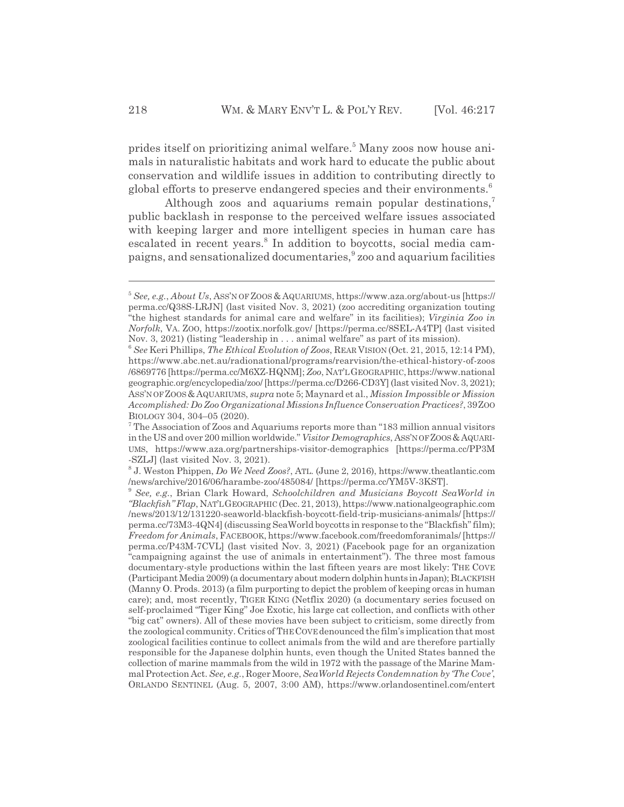prides itself on prioritizing animal welfare.<sup>5</sup> Many zoos now house animals in naturalistic habitats and work hard to educate the public about conservation and wildlife issues in addition to contributing directly to global efforts to preserve endangered species and their environments.<sup>6</sup>

Although zoos and aquariums remain popular destinations, $^7$ public backlash in response to the perceived welfare issues associated with keeping larger and more intelligent species in human care has escalated in recent years.<sup>8</sup> In addition to boycotts, social media campaigns, and sensationalized documentaries,<sup>9</sup> zoo and aquarium facilities

<sup>5</sup> *See, e.g.*, *About Us*, ASS'N OF ZOOS & AQUARIUMS, https://www.aza.org/about-us [https:// perma.cc/Q38S-LRJN] (last visited Nov. 3, 2021) (zoo accrediting organization touting "the highest standards for animal care and welfare" in its facilities); *Virginia Zoo in Norfolk*, VA. ZOO, https://zootix.norfolk.gov/ [https://perma.cc/8SEL-A4TP] (last visited Nov. 3, 2021) (listing "leadership in . . . animal welfare" as part of its mission).

<sup>6</sup> *See* Keri Phillips, *The Ethical Evolution of Zoos*, REAR VISION (Oct. 21, 2015, 12:14 PM), https://www.abc.net.au/radionational/programs/rearvision/the-ethical-history-of-zoos /6869776 [https://perma.cc/M6XZ-HQNM]; *Zoo*, NAT'LGEOGRAPHIC,https://www.national geographic.org/encyclopedia/zoo/ [https://perma.cc/D266-CD3Y] (last visited Nov. 3, 2021); ASS'N OF ZOOS &AQUARIUMS, *supra* note 5; Maynard et al., *Mission Impossible or Mission Accomplished: Do Zoo Organizational Missions Influence Conservation Practices?*, 39ZOO BIOLOGY 304, 304–05 (2020).

<sup>&</sup>lt;sup>7</sup> The Association of Zoos and Aquariums reports more than "183 million annual visitors in the US and over 200 million worldwide." *Visitor Demographics*, ASS'N OF ZOOS &AQUARI-UMS, https://www.aza.org/partnerships-visitor-demographics [https://perma.cc/PP3M -SZLJ] (last visited Nov. 3, 2021).

<sup>8</sup> J. Weston Phippen, *Do We Need Zoos?*, ATL. (June 2, 2016), https://www.theatlantic.com /news/archive/2016/06/harambe-zoo/485084/ [https://perma.cc/YM5V-3KST].

<sup>9</sup> *See, e.g.*, Brian Clark Howard, *Schoolchildren and Musicians Boycott SeaWorld in "Blackfish" Flap*, NAT'LGEOGRAPHIC (Dec. 21, 2013), https://www.nationalgeographic.com /news/2013/12/131220-seaworld-blackfish-boycott-field-trip-musicians-animals/ [https:// perma.cc/73M3-4QN4] (discussing SeaWorld boycotts in response to the "Blackfish" film); *Freedom for Animals*, FACEBOOK, https://www.facebook.com/freedomforanimals/ [https:// perma.cc/P43M-7CVL] (last visited Nov. 3, 2021) (Facebook page for an organization "campaigning against the use of animals in entertainment"). The three most famous documentary-style productions within the last fifteen years are most likely: THE COVE (Participant Media 2009) (a documentary about modern dolphin hunts in Japan); BLACKFISH (Manny O. Prods. 2013) (a film purporting to depict the problem of keeping orcas in human care); and, most recently, TIGER KING (Netflix 2020) (a documentary series focused on self-proclaimed "Tiger King" Joe Exotic, his large cat collection, and conflicts with other "big cat" owners). All of these movies have been subject to criticism, some directly from the zoological community. Critics of THECOVE denounced the film's implication that most zoological facilities continue to collect animals from the wild and are therefore partially responsible for the Japanese dolphin hunts, even though the United States banned the collection of marine mammals from the wild in 1972 with the passage of the Marine Mammal Protection Act. *See, e.g.*, Roger Moore, *SeaWorld Rejects Condemnation by 'The Cove'*, ORLANDO SENTINEL (Aug. 5, 2007, 3:00 AM), https://www.orlandosentinel.com/entert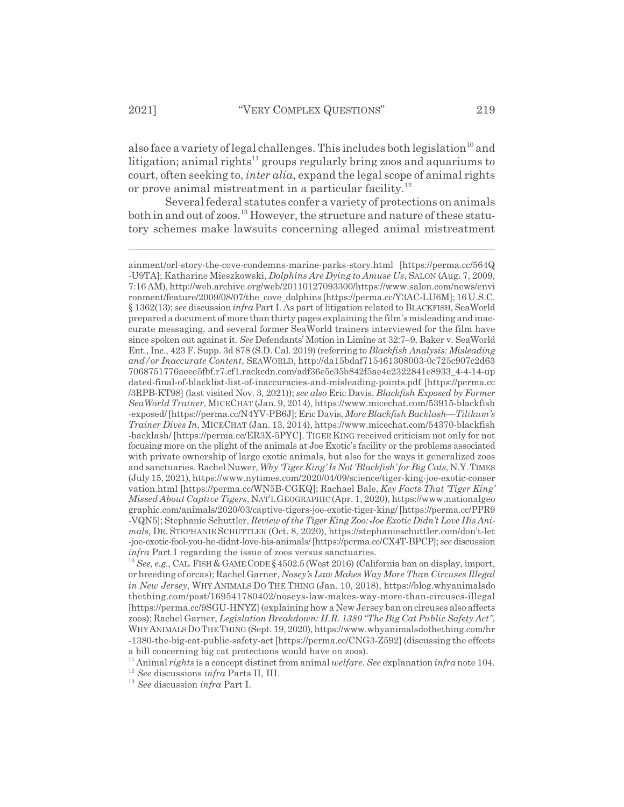also face a variety of legal challenges. This includes both legislation<sup>10</sup> and litigation; animal rights<sup>11</sup> groups regularly bring zoos and aquariums to court, often seeking to, *inter alia*, expand the legal scope of animal rights or prove animal mistreatment in a particular facility.<sup>12</sup>

Several federal statutes confer a variety of protections on animals both in and out of zoos.<sup>13</sup> However, the structure and nature of these statutory schemes make lawsuits concerning alleged animal mistreatment

ainment/orl-story-the-cove-condemns-marine-parks-story.html [https://perma.cc/564Q -U9TA]; Katharine Mieszkowski, *Dolphins Are Dying to Amuse Us*, SALON (Aug. 7, 2009, 7:16 AM), http://web.archive.org/web/20110127093300/https://www.salon.com/news/envi ronment/feature/2009/08/07/the\_cove\_dolphins [https://perma.cc/Y3AC-LU6M]; 16 U.S.C. § 1362(13); *see* discussion *infra* Part I. As part of litigation related to BLACKFISH, SeaWorld prepared a document of more than thirty pages explaining the film's misleading and inaccurate messaging, and several former SeaWorld trainers interviewed for the film have since spoken out against it. *See* Defendants' Motion in Limine at 32:7–9, Baker v. SeaWorld Ent., Inc., 423 F. Supp. 3d 878 (S.D. Cal. 2019) (referring to *Blackfish Analysis: Misleading and/or Inaccurate Content*, SEAWORLD, http://da15bdaf715461308003-0c725c907c2d63 7068751776aeee5fbf.r7.cf1.rackcdn.com/adf36e5c35b842f5ae4e2322841e8933\_4-4-14-up dated-final-of-blacklist-list-of-inaccuracies-and-misleading-points.pdf [https://perma.cc /3RPB-KT98] (last visited Nov. 3, 2021)); *see also* Eric Davis, *Blackfish Exposed by Former SeaWorld Trainer*, MICECHAT (Jan. 9, 2014), https://www.micechat.com/53915-blackfish -exposed/ [https://perma.cc/N4YV-PB6J]; Eric Davis, *More Blackfish Backlash—Tilikum's Trainer Dives In*, MICECHAT (Jan. 13, 2014), https://www.micechat.com/54370-blackfish -backlash/ [https://perma.cc/ER3X-5PYC]. TIGERKING received criticism not only for not focusing more on the plight of the animals at Joe Exotic's facility or the problems associated with private ownership of large exotic animals, but also for the ways it generalized zoos and sanctuaries. Rachel Nuwer, *Why 'Tiger King' Is Not 'Blackfish' for Big Cats*, N.Y.TIMES (July 15, 2021), https://www.nytimes.com/2020/04/09/science/tiger-king-joe-exotic-conser vation.html [https://perma.cc/WN5B-CGKQ]; Rachael Bale, *Key Facts That 'Tiger King' Missed About Captive Tigers*, NAT'LGEOGRAPHIC (Apr. 1, 2020), https://www.nationalgeo graphic.com/animals/2020/03/captive-tigers-joe-exotic-tiger-king/ [https://perma.cc/PPR9 -VQN5]; Stephanie Schuttler, *Review of the Tiger King Zoo: Joe Exotic Didn't Love His Animals*, DR. STEPHANIE SCHUTTLER (Oct. 8, 2020), https://stephanieschuttler.com/don't-let -joe-exotic-fool-you-he-didnt-love-his-animals/ [https://perma.cc/CX4T-BPCP]; *see* discussion *infra* Part I regarding the issue of zoos versus sanctuaries.

<sup>&</sup>lt;sup>10</sup> *See, e.g.*, CAL. FISH & GAME CODE § 4502.5 (West 2016) (California ban on display, import, or breeding of orcas); Rachel Garner, *Nosey's Law Makes Way More Than Circuses Illegal in New Jersey*, WHY ANIMALS DO THE THING (Jan. 10, 2018), https://blog.whyanimalsdo thething.com/post/169541780402/noseys-law-makes-way-more-than-circuses-illegal [https://perma.cc/9SGU-HNYZ] (explaining how a New Jersey ban on circuses also affects zoos); Rachel Garner, *Legislation Breakdown: H.R. 1380 "The Big Cat Public Safety Act"*, WHYANIMALSDOTHETHING (Sept. 19, 2020), https://www.whyanimalsdothething.com/hr -1380-the-big-cat-public-safety-act [https://perma.cc/CNG3-Z592] (discussing the effects a bill concerning big cat protections would have on zoos).

<sup>11</sup> Animal *rights* is a concept distinct from animal *welfare*. *See* explanation *infra* note 104.

<sup>12</sup> *See* discussions *infra* Parts II, III.

<sup>13</sup> *See* discussion *infra* Part I.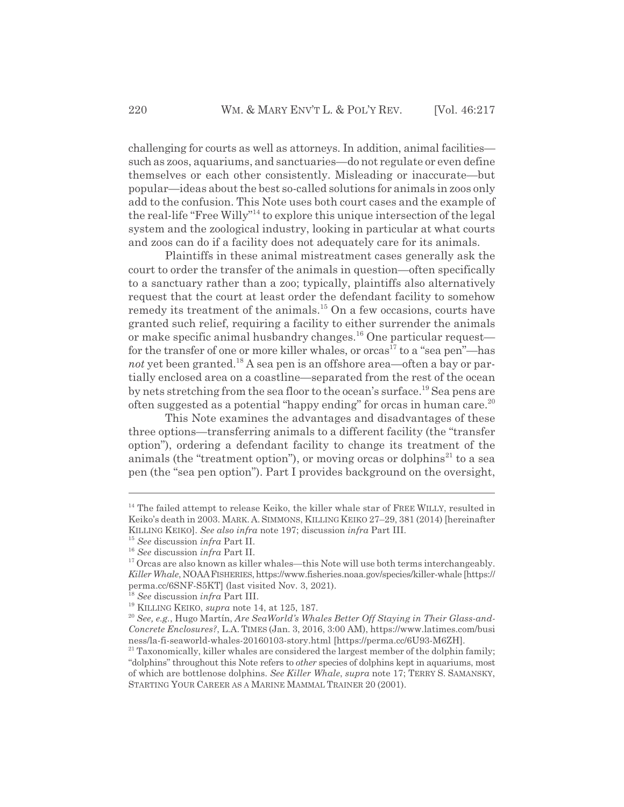challenging for courts as well as attorneys. In addition, animal facilities such as zoos, aquariums, and sanctuaries—do not regulate or even define themselves or each other consistently. Misleading or inaccurate—but popular—ideas about the best so-called solutions for animals in zoos only add to the confusion. This Note uses both court cases and the example of the real-life "Free Willy"14 to explore this unique intersection of the legal system and the zoological industry, looking in particular at what courts and zoos can do if a facility does not adequately care for its animals.

Plaintiffs in these animal mistreatment cases generally ask the court to order the transfer of the animals in question—often specifically to a sanctuary rather than a zoo; typically, plaintiffs also alternatively request that the court at least order the defendant facility to somehow remedy its treatment of the animals.15 On a few occasions, courts have granted such relief, requiring a facility to either surrender the animals or make specific animal husbandry changes.16 One particular request for the transfer of one or more killer whales, or orcas<sup>17</sup> to a "sea pen"—has *not* yet been granted.<sup>18</sup> A sea pen is an offshore area—often a bay or partially enclosed area on a coastline—separated from the rest of the ocean by nets stretching from the sea floor to the ocean's surface.19 Sea pens are often suggested as a potential "happy ending" for orcas in human care.<sup>20</sup>

This Note examines the advantages and disadvantages of these three options—transferring animals to a different facility (the "transfer option"), ordering a defendant facility to change its treatment of the animals (the "treatment option"), or moving orcas or dolphins<sup>21</sup> to a sea pen (the "sea pen option"). Part I provides background on the oversight,

 $14$  The failed attempt to release Keiko, the killer whale star of FREE WILLY, resulted in Keiko's death in 2003. MARK. A. SIMMONS, KILLING KEIKO 27–29, 381 (2014) [hereinafter KILLING KEIKO]. *See also infra* note 197; discussion *infra* Part III.

<sup>15</sup> *See* discussion *infra* Part II.

<sup>16</sup> *See* discussion *infra* Part II.

 $17$  Orcas are also known as killer whales—this Note will use both terms interchangeably. *Killer Whale*, NOAAFISHERIES, https://www.fisheries.noaa.gov/species/killer-whale [https:// perma.cc/6SNF-S5KT] (last visited Nov. 3, 2021).

<sup>18</sup> *See* discussion *infra* Part III.

<sup>19</sup> KILLING KEIKO, *supra* note 14, at 125, 187.

<sup>20</sup> *See, e.g.*, Hugo Martín, *Are SeaWorld's Whales Better Off Staying in Their Glass-and-Concrete Enclosures?*, L.A. TIMES (Jan. 3, 2016, 3:00 AM), https://www.latimes.com/busi ness/la-fi-seaworld-whales-20160103-story.html [https://perma.cc/6U93-M6ZH].

 $21$  Taxonomically, killer whales are considered the largest member of the dolphin family; "dolphins" throughout this Note refers to *other* species of dolphins kept in aquariums, most of which are bottlenose dolphins. *See Killer Whale*, *supra* note 17; TERRY S. SAMANSKY, STARTING YOUR CAREER AS A MARINE MAMMAL TRAINER 20 (2001).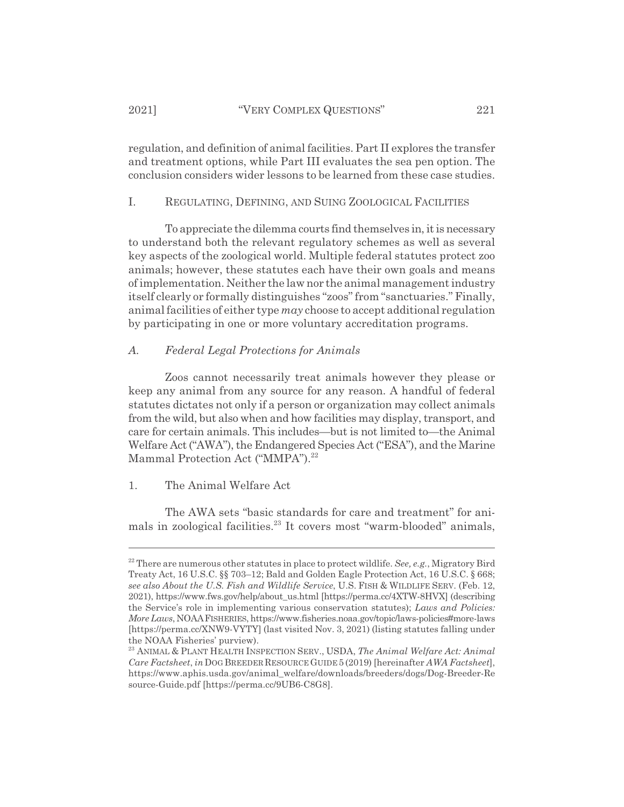regulation, and definition of animal facilities. Part II explores the transfer and treatment options, while Part III evaluates the sea pen option. The conclusion considers wider lessons to be learned from these case studies.

## I. REGULATING, DEFINING, AND SUING ZOOLOGICAL FACILITIES

To appreciate the dilemma courts find themselves in, it is necessary to understand both the relevant regulatory schemes as well as several key aspects of the zoological world. Multiple federal statutes protect zoo animals; however, these statutes each have their own goals and means of implementation. Neither the law nor the animal management industry itself clearly or formally distinguishes "zoos" from "sanctuaries." Finally, animal facilities of either type *may* choose to accept additional regulation by participating in one or more voluntary accreditation programs.

#### *A. Federal Legal Protections for Animals*

Zoos cannot necessarily treat animals however they please or keep any animal from any source for any reason. A handful of federal statutes dictates not only if a person or organization may collect animals from the wild, but also when and how facilities may display, transport, and care for certain animals. This includes—but is not limited to—the Animal Welfare Act ("AWA"), the Endangered Species Act ("ESA"), and the Marine Mammal Protection Act ("MMPA").<sup>22</sup>

#### 1. The Animal Welfare Act

The AWA sets "basic standards for care and treatment" for animals in zoological facilities.<sup>23</sup> It covers most "warm-blooded" animals,

<sup>&</sup>lt;sup>22</sup> There are numerous other statutes in place to protect wildlife. *See, e.g.*, Migratory Bird Treaty Act, 16 U.S.C. §§ 703–12; Bald and Golden Eagle Protection Act, 16 U.S.C. § 668; *see also About the U.S. Fish and Wildlife Service*, U.S. FISH & WILDLIFE SERV. (Feb. 12, 2021), https://www.fws.gov/help/about\_us.html [https://perma.cc/4XTW-8HVX] (describing the Service's role in implementing various conservation statutes); *Laws and Policies: More Laws*, NOAAFISHERIES, https://www.fisheries.noaa.gov/topic/laws-policies#more-laws [https://perma.cc/XNW9-VYTY] (last visited Nov. 3, 2021) (listing statutes falling under the NOAA Fisheries' purview).

<sup>23</sup> ANIMAL & PLANT HEALTH INSPECTION SERV., USDA, *The Animal Welfare Act: Animal Care Factsheet*, *in*DOG BREEDER RESOURCE GUIDE 5 (2019) [hereinafter *AWA Factsheet*], https://www.aphis.usda.gov/animal\_welfare/downloads/breeders/dogs/Dog-Breeder-Re source-Guide.pdf [https://perma.cc/9UB6-C8G8].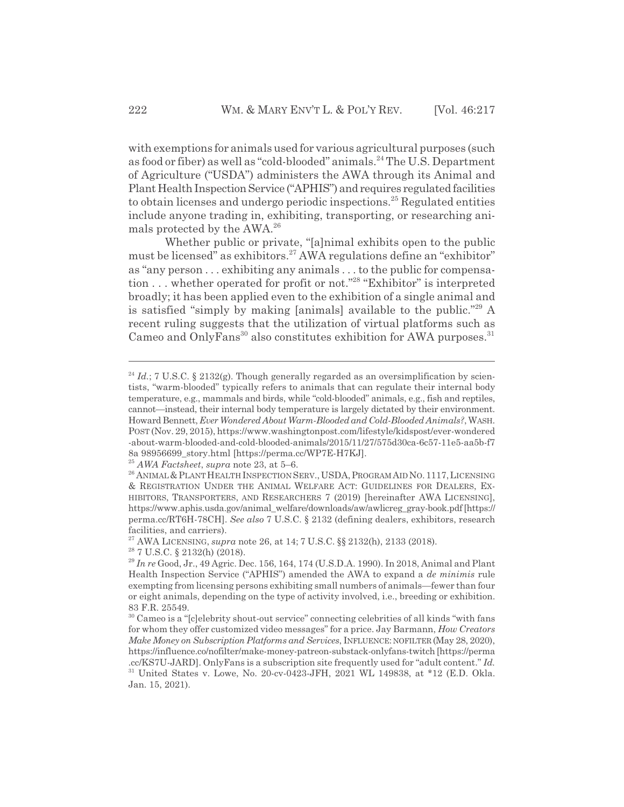with exemptions for animals used for various agricultural purposes (such as food or fiber) as well as "cold-blooded" animals.<sup>24</sup> The U.S. Department of Agriculture ("USDA") administers the AWA through its Animal and Plant Health Inspection Service ("APHIS") and requires regulated facilities to obtain licenses and undergo periodic inspections.<sup>25</sup> Regulated entities include anyone trading in, exhibiting, transporting, or researching animals protected by the AWA.26

Whether public or private, "[a]nimal exhibits open to the public must be licensed" as exhibitors.<sup>27</sup> AWA regulations define an "exhibitor" as "any person . . . exhibiting any animals . . . to the public for compensation . . . whether operated for profit or not."28 "Exhibitor" is interpreted broadly; it has been applied even to the exhibition of a single animal and is satisfied "simply by making [animals] available to the public."29 A recent ruling suggests that the utilization of virtual platforms such as Cameo and OnlyFans<sup>30</sup> also constitutes exhibition for AWA purposes.<sup>31</sup>

<sup>25</sup> *AWA Factsheet*, *supra* note 23, at 5–6.

 $^{24}$  *Id.*; 7 U.S.C. § 2132(g). Though generally regarded as an oversimplification by scientists, "warm-blooded" typically refers to animals that can regulate their internal body temperature, e.g., mammals and birds, while "cold-blooded" animals, e.g., fish and reptiles, cannot—instead, their internal body temperature is largely dictated by their environment. Howard Bennett, *Ever Wondered About Warm-Blooded and Cold-Blooded Animals?*, WASH. POST (Nov. 29, 2015), https://www.washingtonpost.com/lifestyle/kidspost/ever-wondered -about-warm-blooded-and-cold-blooded-animals/2015/11/27/575d30ca-6c57-11e5-aa5b-f7 8a 98956699\_story.html [https://perma.cc/WP7E-H7KJ].

<sup>&</sup>lt;sup>26</sup> ANIMAL & PLANT HEALTH INSPECTION SERV., USDA, PROGRAM AID NO. 1117, LICENSING & REGISTRATION UNDER THE ANIMAL WELFARE ACT: GUIDELINES FOR DEALERS, EX-HIBITORS, TRANSPORTERS, AND RESEARCHERS 7 (2019) [hereinafter AWA LICENSING], https://www.aphis.usda.gov/animal\_welfare/downloads/aw/awlicreg\_gray-book.pdf [https:// perma.cc/RT6H-78CH]. *See also* 7 U.S.C. § 2132 (defining dealers, exhibitors, research facilities, and carriers).

<sup>27</sup> AWA LICENSING, *supra* note 26, at 14; 7 U.S.C. §§ 2132(h), 2133 (2018).

<sup>28 7</sup> U.S.C. § 2132(h) (2018).

<sup>29</sup> *In re* Good, Jr., 49 Agric. Dec. 156, 164, 174 (U.S.D.A. 1990). In 2018, Animal and Plant Health Inspection Service ("APHIS") amended the AWA to expand a *de minimis* rule exempting from licensing persons exhibiting small numbers of animals—fewer than four or eight animals, depending on the type of activity involved, i.e., breeding or exhibition. 83 F.R. 25549.

<sup>30</sup> Cameo is a "[c]elebrity shout-out service" connecting celebrities of all kinds "with fans for whom they offer customized video messages" for a price. Jay Barmann, *How Creators Make Money on Subscription Platforms and Services*, INFLUENCE: NOFILTER (May 28, 2020), https://influence.co/nofilter/make-money-patreon-substack-onlyfans-twitch [https://perma .cc/KS7U-JARD]. OnlyFans is a subscription site frequently used for "adult content." *Id.*

<sup>31</sup> United States v. Lowe, No. 20-cv-0423-JFH, 2021 WL 149838, at \*12 (E.D. Okla. Jan. 15, 2021).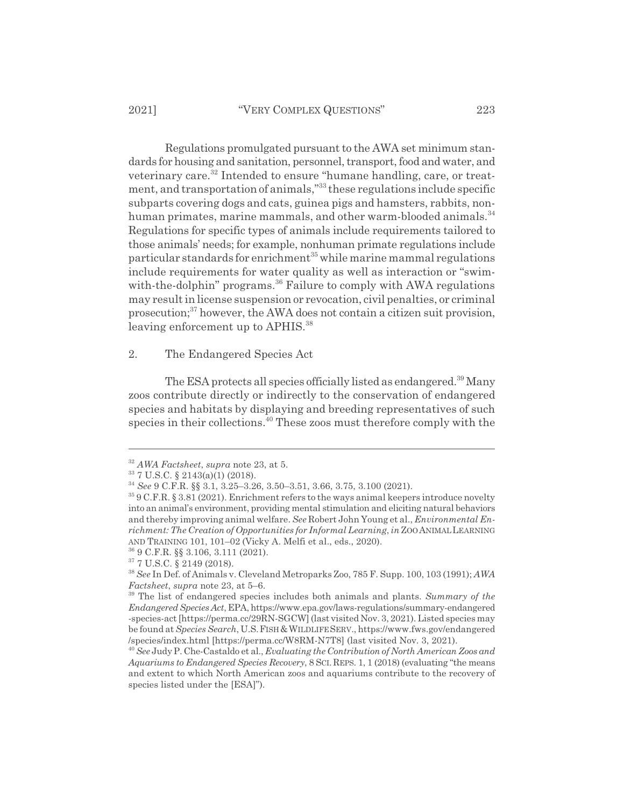Regulations promulgated pursuant to the AWA set minimum standards for housing and sanitation, personnel, transport, food and water, and veterinary care.<sup>32</sup> Intended to ensure "humane handling, care, or treatment, and transportation of animals,"33 these regulations include specific subparts covering dogs and cats, guinea pigs and hamsters, rabbits, nonhuman primates, marine mammals, and other warm-blooded animals.<sup>34</sup> Regulations for specific types of animals include requirements tailored to those animals' needs; for example, nonhuman primate regulations include particular standards for enrichment<sup>35</sup> while marine mammal regulations include requirements for water quality as well as interaction or "swimwith-the-dolphin" programs.<sup>36</sup> Failure to comply with AWA regulations may result in license suspension or revocation, civil penalties, or criminal prosecution;<sup>37</sup> however, the AWA does not contain a citizen suit provision, leaving enforcement up to APHIS.<sup>38</sup>

2. The Endangered Species Act

The ESA protects all species officially listed as endangered.<sup>39</sup> Many zoos contribute directly or indirectly to the conservation of endangered species and habitats by displaying and breeding representatives of such species in their collections.<sup>40</sup> These zoos must therefore comply with the

<sup>32</sup> *AWA Factsheet*, *supra* note 23, at 5.

<sup>33 7</sup> U.S.C. § 2143(a)(1) (2018).

<sup>34</sup> *See* 9 C.F.R. §§ 3.1, 3.25–3.26, 3.50–3.51, 3.66, 3.75, 3.100 (2021).

<sup>35 9</sup> C.F.R. § 3.81 (2021). Enrichment refers to the ways animal keepers introduce novelty into an animal's environment, providing mental stimulation and eliciting natural behaviors and thereby improving animal welfare. *See* Robert John Young et al., *Environmental Enrichment: The Creation of Opportunities for Informal Learning*, *in* ZOO ANIMALLEARNING AND TRAINING 101, 101–02 (Vicky A. Melfi et al., eds., 2020).

<sup>36 9</sup> C.F.R. §§ 3.106, 3.111 (2021).

<sup>37 7</sup> U.S.C. § 2149 (2018).

<sup>38</sup> *See* In Def. of Animals v. Cleveland Metroparks Zoo, 785 F. Supp. 100, 103 (1991); *AWA Factsheet*, *supra* note 23, at 5–6.

<sup>39</sup> The list of endangered species includes both animals and plants. *Summary of the Endangered Species Act*, EPA, https://www.epa.gov/laws-regulations/summary-endangered -species-act [https://perma.cc/29RN-SGCW] (last visited Nov. 3, 2021). Listed species may be found at *Species Search*, U.S.FISH&WILDLIFESERV., https://www.fws.gov/endangered /species/index.html [https://perma.cc/W8RM-N7T8] (last visited Nov. 3, 2021).

<sup>40</sup> *See* Judy P. Che-Castaldo et al., *Evaluating the Contribution of North American Zoos and Aquariums to Endangered Species Recovery*, 8 SCI.REPS. 1, 1 (2018) (evaluating "the means and extent to which North American zoos and aquariums contribute to the recovery of species listed under the [ESA]").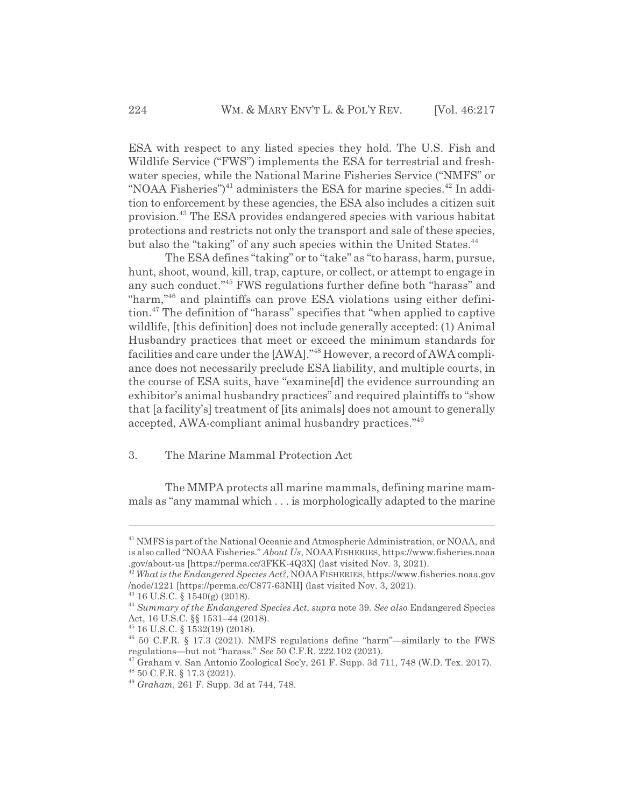ESA with respect to any listed species they hold. The U.S. Fish and Wildlife Service ("FWS") implements the ESA for terrestrial and freshwater species, while the National Marine Fisheries Service ("NMFS" or "NOAA Fisheries")<sup>41</sup> administers the ESA for marine species.<sup>42</sup> In addition to enforcement by these agencies, the ESA also includes a citizen suit provision.43 The ESA provides endangered species with various habitat protections and restricts not only the transport and sale of these species, but also the "taking" of any such species within the United States.<sup>44</sup>

The ESA defines "taking" or to "take" as "to harass, harm, pursue, hunt, shoot, wound, kill, trap, capture, or collect, or attempt to engage in any such conduct."45 FWS regulations further define both "harass" and "harm,"46 and plaintiffs can prove ESA violations using either definition.47 The definition of "harass" specifies that "when applied to captive wildlife, [this definition] does not include generally accepted: (1) Animal Husbandry practices that meet or exceed the minimum standards for facilities and care under the [AWA]."48 However, a record of AWA compliance does not necessarily preclude ESA liability, and multiple courts, in the course of ESA suits, have "examine[d] the evidence surrounding an exhibitor's animal husbandry practices" and required plaintiffs to "show that [a facility's] treatment of [its animals] does not amount to generally accepted, AWA-compliant animal husbandry practices."49

### 3. The Marine Mammal Protection Act

The MMPA protects all marine mammals, defining marine mammals as "any mammal which . . . is morphologically adapted to the marine

<sup>&</sup>lt;sup>41</sup> NMFS is part of the National Oceanic and Atmospheric Administration, or NOAA, and is also called "NOAA Fisheries." *About Us*, NOAAFISHERIES, https://www.fisheries.noaa .gov/about-us [https://perma.cc/3FKK-4Q3X] (last visited Nov. 3, 2021).

<sup>42</sup> *What is the Endangered Species Act?*, NOAAFISHERIES, https://www.fisheries.noaa.gov /node/1221 [https://perma.cc/C877-63NH] (last visited Nov. 3, 2021).

<sup>43 16</sup> U.S.C. § 1540(g) (2018).

<sup>44</sup> *Summary of the Endangered Species Act*, *supra* note 39. *See also* Endangered Species Act, 16 U.S.C. §§ 1531–44 (2018).

<sup>45 16</sup> U.S.C. § 1532(19) (2018).

<sup>46 50</sup> C.F.R. § 17.3 (2021). NMFS regulations define "harm"—similarly to the FWS regulations—but not "harass." *See* 50 C.F.R. 222.102 (2021).

 $47$  Graham v. San Antonio Zoological Soc'y, 261 F. Supp. 3d 711, 748 (W.D. Tex. 2017).

<sup>48 50</sup> C.F.R. § 17.3 (2021).

<sup>49</sup> *Graham*, 261 F. Supp. 3d at 744, 748.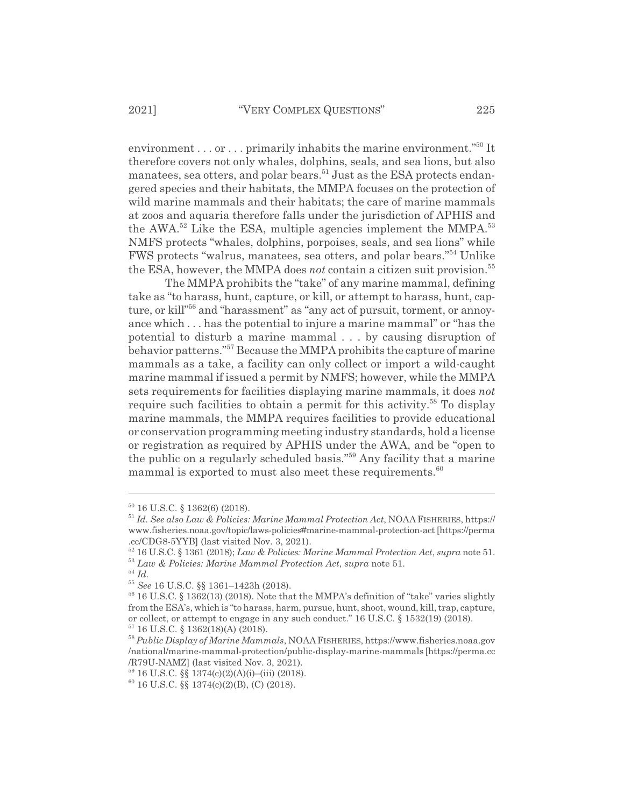environment . . . or . . . primarily inhabits the marine environment."<sup>50</sup> It therefore covers not only whales, dolphins, seals, and sea lions, but also manatees, sea otters, and polar bears.<sup>51</sup> Just as the ESA protects endangered species and their habitats, the MMPA focuses on the protection of wild marine mammals and their habitats; the care of marine mammals at zoos and aquaria therefore falls under the jurisdiction of APHIS and the AWA. $52$  Like the ESA, multiple agencies implement the MMPA. $53$ NMFS protects "whales, dolphins, porpoises, seals, and sea lions" while FWS protects "walrus, manatees, sea otters, and polar bears."54 Unlike the ESA, however, the MMPA does *not* contain a citizen suit provision.<sup>55</sup>

The MMPA prohibits the "take" of any marine mammal, defining take as "to harass, hunt, capture, or kill, or attempt to harass, hunt, capture, or kill"<sup>56</sup> and "harassment" as "any act of pursuit, torment, or annoyance which . . . has the potential to injure a marine mammal" or "has the potential to disturb a marine mammal . . . by causing disruption of behavior patterns."57 Because the MMPA prohibits the capture of marine mammals as a take, a facility can only collect or import a wild-caught marine mammal if issued a permit by NMFS; however, while the MMPA sets requirements for facilities displaying marine mammals, it does *not* require such facilities to obtain a permit for this activity.<sup>58</sup> To display marine mammals, the MMPA requires facilities to provide educational or conservation programming meeting industry standards, hold a license or registration as required by APHIS under the AWA, and be "open to the public on a regularly scheduled basis."59 Any facility that a marine mammal is exported to must also meet these requirements. $60$ 

<sup>50 16</sup> U.S.C. § 1362(6) (2018).

<sup>51</sup> *Id. See also Law & Policies: Marine Mammal Protection Act*, NOAA FISHERIES, https:// www.fisheries.noaa.gov/topic/laws-policies#marine-mammal-protection-act [https://perma .cc/CDG8-5YYB] (last visited Nov. 3, 2021).

<sup>52 16</sup> U.S.C. § 1361 (2018); *Law & Policies: Marine Mammal Protection Act*, *supra* note 51. <sup>53</sup> *Law & Policies: Marine Mammal Protection Act*, *supra* note 51.

<sup>54</sup> *Id.*

<sup>55</sup> *See* 16 U.S.C. §§ 1361–1423h (2018).

<sup>56 16</sup> U.S.C. § 1362(13) (2018). Note that the MMPA's definition of "take" varies slightly from the ESA's, which is "to harass, harm, pursue, hunt, shoot, wound, kill, trap, capture, or collect, or attempt to engage in any such conduct." 16 U.S.C. § 1532(19) (2018).  $57$  16 U.S.C. § 1362(18)(A) (2018).

<sup>58</sup> *Public Display of Marine Mammals*, NOAAFISHERIES, https://www.fisheries.noaa.gov /national/marine-mammal-protection/public-display-marine-mammals [https://perma.cc /R79U-NAMZ] (last visited Nov. 3, 2021).

<sup>59 16</sup> U.S.C. §§ 1374(c)(2)(A)(i)–(iii) (2018).

 $60$  16 U.S.C. §§ 1374(c)(2)(B), (C) (2018).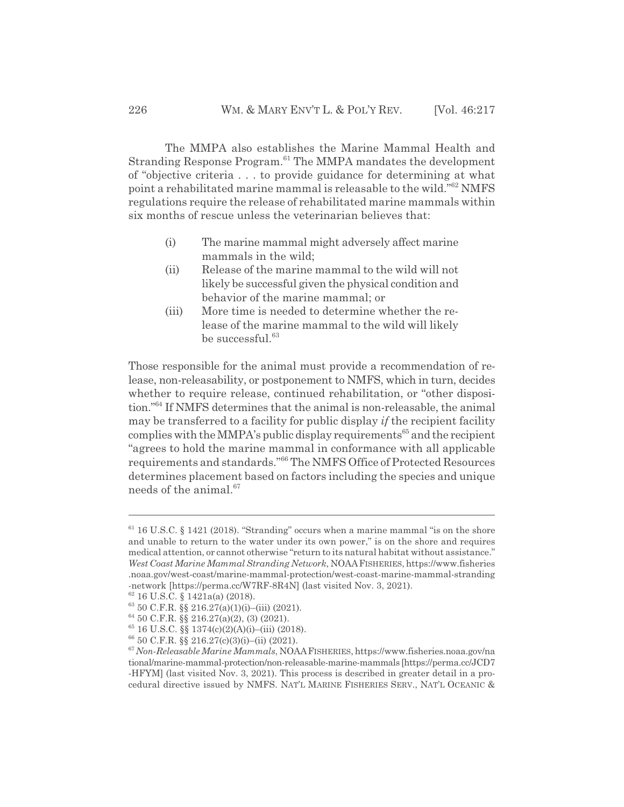The MMPA also establishes the Marine Mammal Health and Stranding Response Program.<sup>61</sup> The MMPA mandates the development of "objective criteria . . . to provide guidance for determining at what point a rehabilitated marine mammal is releasable to the wild."62 NMFS regulations require the release of rehabilitated marine mammals within six months of rescue unless the veterinarian believes that:

- (i) The marine mammal might adversely affect marine mammals in the wild;
- (ii) Release of the marine mammal to the wild will not likely be successful given the physical condition and behavior of the marine mammal; or
- (iii) More time is needed to determine whether the release of the marine mammal to the wild will likely be successful. $63$

Those responsible for the animal must provide a recommendation of release, non-releasability, or postponement to NMFS, which in turn, decides whether to require release, continued rehabilitation, or "other disposition."64 If NMFS determines that the animal is non-releasable, the animal may be transferred to a facility for public display *if* the recipient facility complies with the MMPA's public display requirements<sup> $65$ </sup> and the recipient "agrees to hold the marine mammal in conformance with all applicable requirements and standards."66 The NMFS Office of Protected Resources determines placement based on factors including the species and unique needs of the animal. $67$ 

 $61$  16 U.S.C. § 1421 (2018). "Stranding" occurs when a marine mammal "is on the shore and unable to return to the water under its own power," is on the shore and requires medical attention, or cannot otherwise "return to its natural habitat without assistance." *West Coast Marine Mammal Stranding Network*, NOAAFISHERIES, https://www.fisheries .noaa.gov/west-coast/marine-mammal-protection/west-coast-marine-mammal-stranding -network [https://perma.cc/W7RF-8R4N] (last visited Nov. 3, 2021).

<sup>62 16</sup> U.S.C. § 1421a(a) (2018).

 $63\,50\,$  C.F.R.  $\S\$  216.27(a)(1)(i)–(iii) (2021).

 $64\,50$  C.F.R.  $\frac{88}{10}$  216.27(a)(2), (3) (2021).

 $65$  16 U.S.C.  $\frac{8}{3}$  1374(c)(2)(A)(i)–(iii) (2018).

 $66$  50 C.F.R.  $\S$ § 216.27(c)(3)(i)–(ii) (2021).

<sup>67</sup> *Non-Releasable Marine Mammals*, NOAAFISHERIES, https://www.fisheries.noaa.gov/na tional/marine-mammal-protection/non-releasable-marine-mammals [https://perma.cc/JCD7 -HFYM] (last visited Nov. 3, 2021). This process is described in greater detail in a procedural directive issued by NMFS. NAT'L MARINE FISHERIES SERV., NAT'L OCEANIC &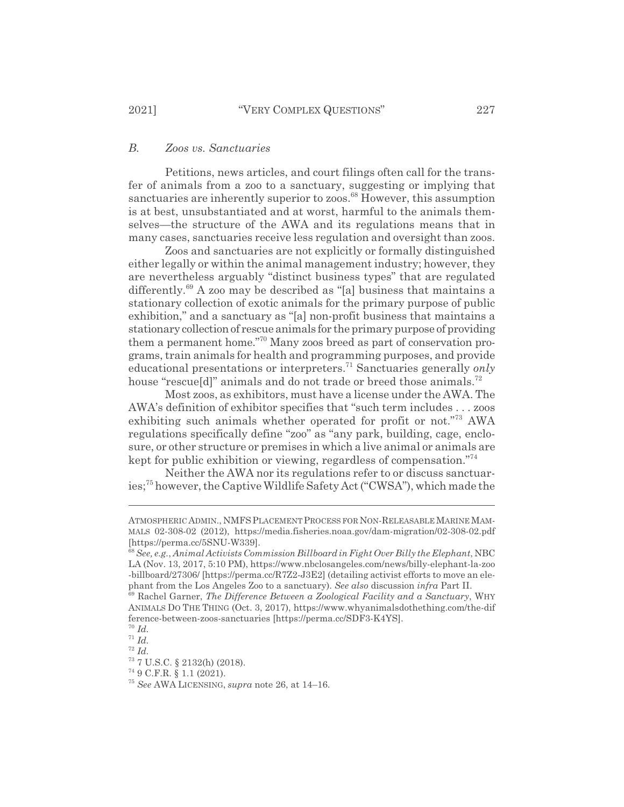## *B. Zoos vs. Sanctuaries*

Petitions, news articles, and court filings often call for the transfer of animals from a zoo to a sanctuary, suggesting or implying that sanctuaries are inherently superior to zoos.<sup>68</sup> However, this assumption is at best, unsubstantiated and at worst, harmful to the animals themselves—the structure of the AWA and its regulations means that in many cases, sanctuaries receive less regulation and oversight than zoos.

Zoos and sanctuaries are not explicitly or formally distinguished either legally or within the animal management industry; however, they are nevertheless arguably "distinct business types" that are regulated differently.<sup>69</sup> A zoo may be described as "[a] business that maintains a stationary collection of exotic animals for the primary purpose of public exhibition," and a sanctuary as "[a] non-profit business that maintains a stationary collection of rescue animals for the primary purpose of providing them a permanent home."70 Many zoos breed as part of conservation programs, train animals for health and programming purposes, and provide educational presentations or interpreters.71 Sanctuaries generally *only* house "rescue[d]" animals and do not trade or breed those animals.<sup>72</sup>

Most zoos, as exhibitors, must have a license under the AWA. The AWA's definition of exhibitor specifies that "such term includes . . . zoos exhibiting such animals whether operated for profit or not."73 AWA regulations specifically define "zoo" as "any park, building, cage, enclosure, or other structure or premises in which a live animal or animals are kept for public exhibition or viewing, regardless of compensation."<sup>74</sup>

Neither the AWA nor its regulations refer to or discuss sanctuaries;75 however, the Captive Wildlife Safety Act ("CWSA"), which made the

ATMOSPHERIC ADMIN., NMFS PLACEMENT PROCESS FOR NON-RELEASABLE MARINE MAM-MALS 02-308-02 (2012), https://media.fisheries.noaa.gov/dam-migration/02-308-02.pdf [https://perma.cc/5SNU-W339].

<sup>68</sup>*See, e.g.*, *Animal Activists Commission Billboard in Fight Over Billy the Elephant*, NBC LA (Nov. 13, 2017, 5:10 PM), https://www.nbclosangeles.com/news/billy-elephant-la-zoo -billboard/27306/ [https://perma.cc/R7Z2-J3E2] (detailing activist efforts to move an elephant from the Los Angeles Zoo to a sanctuary). *See also* discussion *infra* Part II.

<sup>69</sup> Rachel Garner, *The Difference Between a Zoological Facility and a Sanctuary*, WHY ANIMALS DO THE THING (Oct. 3, 2017), https://www.whyanimalsdothething.com/the-dif ference-between-zoos-sanctuaries [https://perma.cc/SDF3-K4YS].

<sup>70</sup> *Id.*

 $^{71}$  *Id.* <sup>72</sup> *Id.*

<sup>73 7</sup> U.S.C. § 2132(h) (2018).

<sup>74 9</sup> C.F.R. § 1.1 (2021).

<sup>75</sup> *See* AWA LICENSING, *supra* note 26, at 14–16.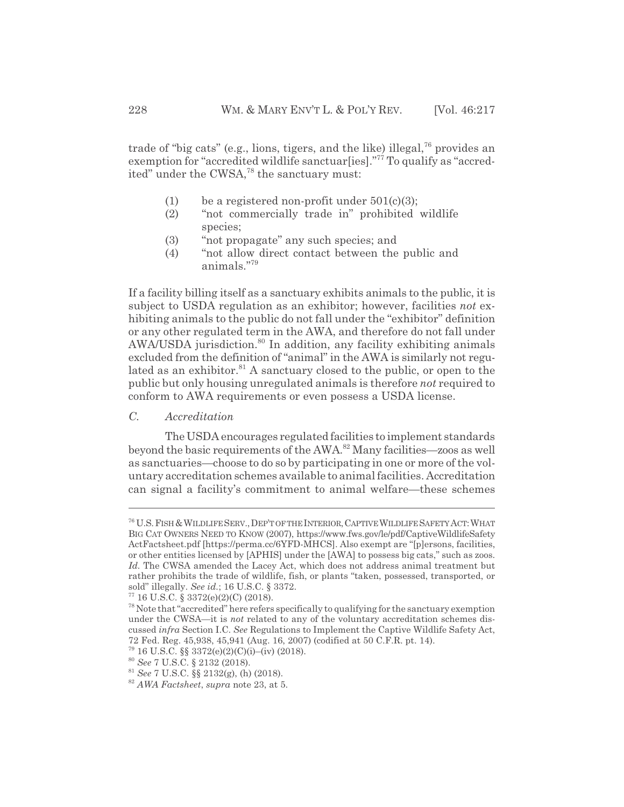trade of "big cats" (e.g., lions, tigers, and the like) illegal,  $76$  provides an exemption for "accredited wildlife sanctuar[ies]."<sup>77</sup> To qualify as "accredited" under the CWSA,<sup>78</sup> the sanctuary must:

- (1) be a registered non-profit under  $501(c)(3)$ ;
- (2) "not commercially trade in" prohibited wildlife species;
- (3) "not propagate" any such species; and
- (4) "not allow direct contact between the public and animals."79

If a facility billing itself as a sanctuary exhibits animals to the public, it is subject to USDA regulation as an exhibitor; however, facilities *not* exhibiting animals to the public do not fall under the "exhibitor" definition or any other regulated term in the AWA, and therefore do not fall under AWA/USDA jurisdiction.<sup>80</sup> In addition, any facility exhibiting animals excluded from the definition of "animal" in the AWA is similarly not regulated as an exhibitor.<sup>81</sup> A sanctuary closed to the public, or open to the public but only housing unregulated animals is therefore *not* required to conform to AWA requirements or even possess a USDA license.

## *C. Accreditation*

The USDA encourages regulated facilities to implement standards beyond the basic requirements of the AWA.82 Many facilities—zoos as well as sanctuaries—choose to do so by participating in one or more of the voluntary accreditation schemes available to animal facilities. Accreditation can signal a facility's commitment to animal welfare—these schemes

<sup>76</sup> U.S.FISH&WILDLIFESERV.,DEP'T OF THE INTERIOR,CAPTIVEWILDLIFE SAFETY ACT:WHAT BIG CAT OWNERS NEED TO KNOW (2007), https://www.fws.gov/le/pdf/CaptiveWildlifeSafety ActFactsheet.pdf [https://perma.cc/6YFD-MHCS]. Also exempt are "[p]ersons, facilities, or other entities licensed by [APHIS] under the [AWA] to possess big cats," such as zoos. *Id.* The CWSA amended the Lacey Act, which does not address animal treatment but rather prohibits the trade of wildlife, fish, or plants "taken, possessed, transported, or sold" illegally. *See id.*; 16 U.S.C. § 3372.

 $77$  16 U.S.C. § 3372(e)(2)(C) (2018).

 $78$  Note that "accredited" here refers specifically to qualifying for the sanctuary exemption under the CWSA—it is *not* related to any of the voluntary accreditation schemes discussed *infra* Section I.C. *See* Regulations to Implement the Captive Wildlife Safety Act, 72 Fed. Reg. 45,938, 45,941 (Aug. 16, 2007) (codified at 50 C.F.R. pt. 14).

<sup>79 16</sup> U.S.C. §§ 3372(e)(2)(C)(i)–(iv) (2018).

<sup>80</sup> *See* 7 U.S.C. § 2132 (2018).

<sup>81</sup> *See* 7 U.S.C. §§ 2132(g), (h) (2018).

<sup>82</sup> *AWA Factsheet*, *supra* note 23, at 5.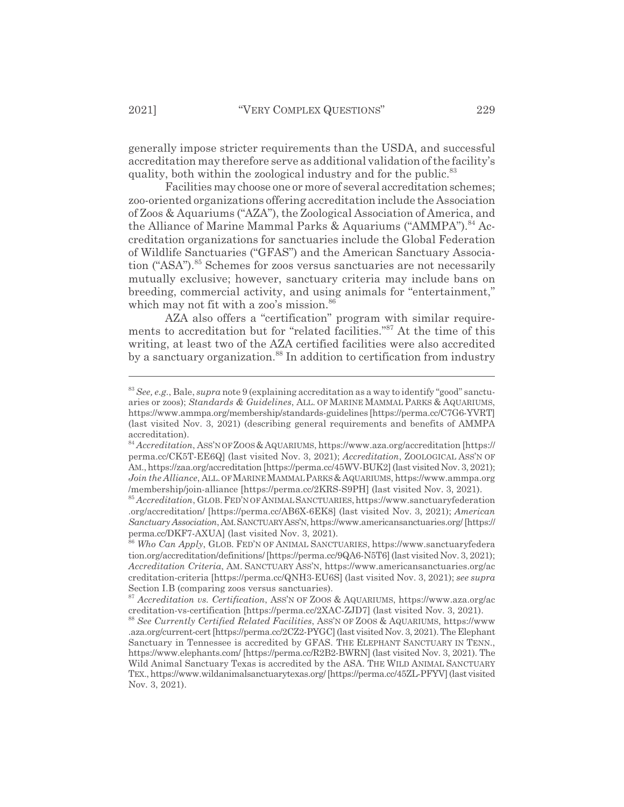generally impose stricter requirements than the USDA, and successful accreditation may therefore serve as additional validation of the facility's quality, both within the zoological industry and for the public.<sup>83</sup>

Facilities may choose one or more of several accreditation schemes; zoo-oriented organizations offering accreditation include the Association of Zoos & Aquariums ("AZA"), the Zoological Association of America, and the Alliance of Marine Mammal Parks & Aquariums ("AMMPA").<sup>84</sup> Accreditation organizations for sanctuaries include the Global Federation of Wildlife Sanctuaries ("GFAS") and the American Sanctuary Association ("ASA").85 Schemes for zoos versus sanctuaries are not necessarily mutually exclusive; however, sanctuary criteria may include bans on breeding, commercial activity, and using animals for "entertainment," which may not fit with a zoo's mission.<sup>86</sup>

AZA also offers a "certification" program with similar requirements to accreditation but for "related facilities."87 At the time of this writing, at least two of the AZA certified facilities were also accredited by a sanctuary organization.<sup>88</sup> In addition to certification from industry

<sup>83</sup> *See, e.g.*, Bale, *supra* note 9 (explaining accreditation as a way to identify "good" sanctuaries or zoos); *Standards & Guidelines*, ALL. OF MARINE MAMMAL PARKS & AQUARIUMS, https://www.ammpa.org/membership/standards-guidelines [https://perma.cc/C7G6-YVRT] (last visited Nov. 3, 2021) (describing general requirements and benefits of AMMPA accreditation).

<sup>84</sup> *Accreditation*, ASS'N OF ZOOS &AQUARIUMS, https://www.aza.org/accreditation [https:// perma.cc/CK5T-EE6Q] (last visited Nov. 3, 2021); *Accreditation*, ZOOLOGICAL ASS'N OF AM., https://zaa.org/accreditation [https://perma.cc/45WV-BUK2] (last visited Nov. 3, 2021); *Join the Alliance*, ALL. OF MARINE MAMMAL PARKS & AQUARIUMS, https://www.ammpa.org /membership/join-alliance [https://perma.cc/2KRS-S9PH] (last visited Nov. 3, 2021).

<sup>&</sup>lt;sup>85</sup> *Accreditation*, GLOB. FED'N OF ANIMAL SANCTUARIES, https://www.sanctuaryfederation .org/accreditation/ [https://perma.cc/AB6X-6EK8] (last visited Nov. 3, 2021); *American Sanctuary Association*, AM.SANCTUARY ASS'N, https://www.americansanctuaries.org/ [https:// perma.cc/DKF7-AXUA] (last visited Nov. 3, 2021).

<sup>86</sup> *Who Can Apply*, GLOB. FED'N OF ANIMAL SANCTUARIES, https://www.sanctuaryfedera tion.org/accreditation/definitions/ [https://perma.cc/9QA6-N5T6] (last visited Nov. 3, 2021); *Accreditation Criteria*, AM. SANCTUARY ASS'N, https://www.americansanctuaries.org/ac creditation-criteria [https://perma.cc/QNH3-EU6S] (last visited Nov. 3, 2021); *see supra* Section I.B (comparing zoos versus sanctuaries).

<sup>87</sup> *Accreditation vs. Certification*, ASS'N OF ZOOS & AQUARIUMS, https://www.aza.org/ac creditation-vs-certification [https://perma.cc/2XAC-ZJD7] (last visited Nov. 3, 2021).

<sup>88</sup> *See Currently Certified Related Facilities*, ASS'N OF ZOOS & AQUARIUMS, https://www .aza.org/current-cert [https://perma.cc/2CZ2-PYGC] (last visited Nov. 3, 2021). The Elephant Sanctuary in Tennessee is accredited by GFAS. THE ELEPHANT SANCTUARY IN TENN., https://www.elephants.com/ [https://perma.cc/R2B2-BWRN] (last visited Nov. 3, 2021). The Wild Animal Sanctuary Texas is accredited by the ASA. THE WILD ANIMAL SANCTUARY TEX., https://www.wildanimalsanctuarytexas.org/ [https://perma.cc/45ZL-PFYV] (last visited Nov. 3, 2021).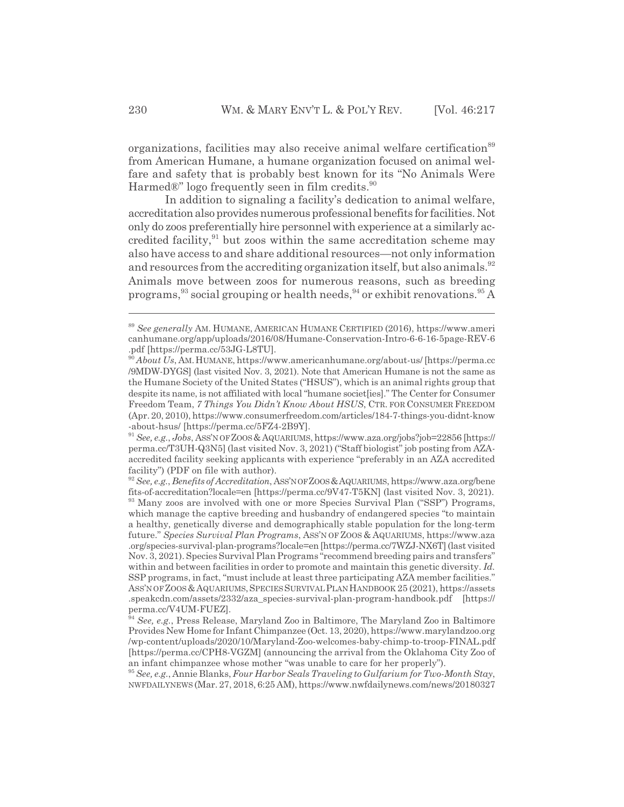organizations, facilities may also receive animal welfare certification<sup>89</sup> from American Humane, a humane organization focused on animal welfare and safety that is probably best known for its "No Animals Were Harmed $\mathbb{R}^n$  logo frequently seen in film credits.<sup>90</sup>

In addition to signaling a facility's dedication to animal welfare, accreditation also provides numerous professional benefits for facilities. Not only do zoos preferentially hire personnel with experience at a similarly accredited facility, $91$  but zoos within the same accreditation scheme may also have access to and share additional resources—not only information and resources from the accrediting organization itself, but also animals.<sup>92</sup> Animals move between zoos for numerous reasons, such as breeding programs,  $93$  social grouping or health needs,  $94$  or exhibit renovations.  $95\,\mathrm{\AA}$ 

<sup>89</sup> *See generally* AM. HUMANE, AMERICAN HUMANE CERTIFIED (2016), https://www.ameri canhumane.org/app/uploads/2016/08/Humane-Conservation-Intro-6-6-16-5page-REV-6 .pdf [https://perma.cc/53JG-L8TU].

<sup>90</sup> *About Us*, AM.HUMANE, https://www.americanhumane.org/about-us/ [https://perma.cc /9MDW-DYGS] (last visited Nov. 3, 2021). Note that American Humane is not the same as the Humane Society of the United States ("HSUS"), which is an animal rights group that despite its name, is not affiliated with local "humane societ[ies]." The Center for Consumer Freedom Team, *7 Things You Didn't Know About HSUS*, CTR. FOR CONSUMER FREEDOM (Apr. 20, 2010), https://www.consumerfreedom.com/articles/184-7-things-you-didnt-know -about-hsus/ [https://perma.cc/5FZ4-2B9Y].

<sup>91</sup> *See, e.g.*, *Jobs*, ASS'N OF ZOOS &AQUARIUMS, https://www.aza.org/jobs?job=22856 [https:// perma.cc/T3UH-Q3N5] (last visited Nov. 3, 2021) ("Staff biologist" job posting from AZAaccredited facility seeking applicants with experience "preferably in an AZA accredited facility") (PDF on file with author).

<sup>92</sup> *See, e.g.*, *Benefits of Accreditation*, ASS'N OF ZOOS &AQUARIUMS, https://www.aza.org/bene fits-of-accreditation?locale=en [https://perma.cc/9V47-T5KN] (last visited Nov. 3, 2021). 93 Many zoos are involved with one or more Species Survival Plan ("SSP") Programs, which manage the captive breeding and husbandry of endangered species "to maintain a healthy, genetically diverse and demographically stable population for the long-term future." *Species Survival Plan Programs*, ASS'N OF ZOOS & AQUARIUMS, https://www.aza .org/species-survival-plan-programs?locale=en [https://perma.cc/7WZJ-NX6T] (last visited Nov. 3, 2021). Species Survival Plan Programs "recommend breeding pairs and transfers" within and between facilities in order to promote and maintain this genetic diversity. *Id.* SSP programs, in fact, "must include at least three participating AZA member facilities." ASS'N OF ZOOS &AQUARIUMS,SPECIESSURVIVALPLANHANDBOOK 25 (2021), https://assets .speakcdn.com/assets/2332/aza\_species-survival-plan-program-handbook.pdf [https:// perma.cc/V4UM-FUEZ].

<sup>94</sup> *See, e.g.*, Press Release, Maryland Zoo in Baltimore, The Maryland Zoo in Baltimore Provides New Home for Infant Chimpanzee (Oct. 13, 2020), https://www.marylandzoo.org /wp-content/uploads/2020/10/Maryland-Zoo-welcomes-baby-chimp-to-troop-FINAL.pdf [https://perma.cc/CPH8-VGZM] (announcing the arrival from the Oklahoma City Zoo of an infant chimpanzee whose mother "was unable to care for her properly").

<sup>95</sup>*See, e.g.*, Annie Blanks, *Four Harbor Seals Traveling to Gulfarium for Two-Month Stay*, NWFDAILYNEWS (Mar. 27, 2018, 6:25 AM), https://www.nwfdailynews.com/news/20180327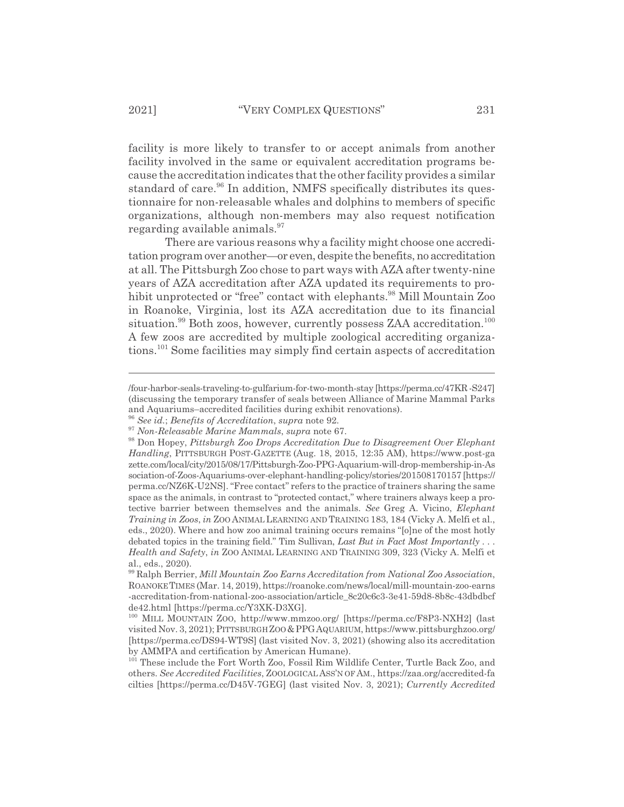facility is more likely to transfer to or accept animals from another facility involved in the same or equivalent accreditation programs because the accreditation indicates that the other facility provides a similar standard of care.<sup>96</sup> In addition, NMFS specifically distributes its questionnaire for non-releasable whales and dolphins to members of specific organizations, although non-members may also request notification regarding available animals.<sup>97</sup>

There are various reasons why a facility might choose one accreditation program over another—or even, despite the benefits, no accreditation at all. The Pittsburgh Zoo chose to part ways with AZA after twenty-nine years of AZA accreditation after AZA updated its requirements to prohibit unprotected or "free" contact with elephants.<sup>98</sup> Mill Mountain Zoo in Roanoke, Virginia, lost its AZA accreditation due to its financial situation.<sup>99</sup> Both zoos, however, currently possess ZAA accreditation.<sup>100</sup> A few zoos are accredited by multiple zoological accrediting organizations.101 Some facilities may simply find certain aspects of accreditation

<sup>/</sup>four-harbor-seals-traveling-to-gulfarium-for-two-month-stay [https://perma.cc/47KR -S247] (discussing the temporary transfer of seals between Alliance of Marine Mammal Parks and Aquariums–accredited facilities during exhibit renovations).

<sup>96</sup> *See id.*; *Benefits of Accreditation*, *supra* note 92.

<sup>97</sup> *Non-Releasable Marine Mammals*, *supra* note 67.

<sup>98</sup> Don Hopey, *Pittsburgh Zoo Drops Accreditation Due to Disagreement Over Elephant Handling*, PITTSBURGH POST-GAZETTE (Aug. 18, 2015, 12:35 AM), https://www.post-ga zette.com/local/city/2015/08/17/Pittsburgh-Zoo-PPG-Aquarium-will-drop-membership-in-As sociation-of-Zoos-Aquariums-over-elephant-handling-policy/stories/201508170157 [https:// perma.cc/NZ6K-U2NS]. "Free contact" refers to the practice of trainers sharing the same space as the animals, in contrast to "protected contact," where trainers always keep a protective barrier between themselves and the animals. *See* Greg A. Vicino, *Elephant Training in Zoos*, *in* ZOO ANIMAL LEARNING AND TRAINING 183, 184 (Vicky A. Melfi et al., eds., 2020). Where and how zoo animal training occurs remains "[o]ne of the most hotly debated topics in the training field." Tim Sullivan, *Last But in Fact Most Importantly . . . Health and Safety*, *in* ZOO ANIMAL LEARNING AND TRAINING 309, 323 (Vicky A. Melfi et al., eds., 2020).

<sup>99</sup> Ralph Berrier, *Mill Mountain Zoo Earns Accreditation from National Zoo Association*, ROANOKETIMES (Mar. 14, 2019), https://roanoke.com/news/local/mill-mountain-zoo-earns -accreditation-from-national-zoo-association/article\_8c20c6c3-3e41-59d8-8b8c-43dbdbcf de42.html [https://perma.cc/Y3XK-D3XG].

<sup>100</sup> MILL MOUNTAIN ZOO, http://www.mmzoo.org/ [https://perma.cc/F8P3-NXH2] (last visited Nov. 3, 2021); PITTSBURGH ZOO&PPGAQUARIUM, https://www.pittsburghzoo.org/ [https://perma.cc/DS94-WT9S] (last visited Nov. 3, 2021) (showing also its accreditation by AMMPA and certification by American Humane).

<sup>101</sup> These include the Fort Worth Zoo, Fossil Rim Wildlife Center, Turtle Back Zoo, and others. *See Accredited Facilities*, ZOOLOGICAL ASS'N OF AM., https://zaa.org/accredited-fa cilties [https://perma.cc/D45V-7GEG] (last visited Nov. 3, 2021); *Currently Accredited*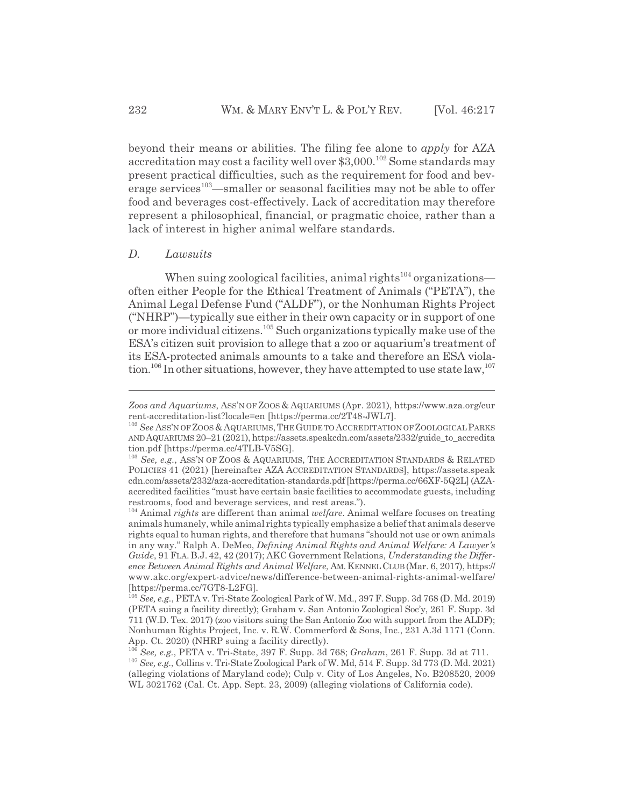beyond their means or abilities. The filing fee alone to *apply* for AZA accreditation may cost a facility well over \$3,000.<sup>102</sup> Some standards may present practical difficulties, such as the requirement for food and beverage services<sup>103</sup>—smaller or seasonal facilities may not be able to offer food and beverages cost-effectively. Lack of accreditation may therefore represent a philosophical, financial, or pragmatic choice, rather than a lack of interest in higher animal welfare standards.

#### *D. Lawsuits*

When suing zoological facilities, animal rights $104$  organizations often either People for the Ethical Treatment of Animals ("PETA"), the Animal Legal Defense Fund ("ALDF"), or the Nonhuman Rights Project ("NHRP")—typically sue either in their own capacity or in support of one or more individual citizens.105 Such organizations typically make use of the ESA's citizen suit provision to allege that a zoo or aquarium's treatment of its ESA-protected animals amounts to a take and therefore an ESA violation.<sup>106</sup> In other situations, however, they have attempted to use state law,<sup>107</sup>

*Zoos and Aquariums*, ASS'N OF ZOOS & AQUARIUMS (Apr. 2021), https://www.aza.org/cur rent-accreditation-list?locale=en [https://perma.cc/2T48-JWL7].

<sup>&</sup>lt;sup>102</sup> See ASS'N OF ZOOS & AQUARIUMS, THE GUIDE TO ACCREDITATION OF ZOOLOGICAL PARKS ANDAQUARIUMS 20–21 (2021), https://assets.speakcdn.com/assets/2332/guide\_to\_accredita tion.pdf [https://perma.cc/4TLB-V5SG].

<sup>&</sup>lt;sup>103</sup> See, e.g., ASS'N OF ZOOS & AQUARIUMS, THE ACCREDITATION STANDARDS & RELATED POLICIES 41 (2021) [hereinafter AZA ACCREDITATION STANDARDS], https://assets.speak cdn.com/assets/2332/aza-accreditation-standards.pdf [https://perma.cc/66XF-5Q2L] (AZAaccredited facilities "must have certain basic facilities to accommodate guests, including restrooms, food and beverage services, and rest areas.").

<sup>104</sup> Animal *rights* are different than animal *welfare*. Animal welfare focuses on treating animals humanely, while animal rights typically emphasize a belief that animals deserve rights equal to human rights, and therefore that humans "should not use or own animals in any way." Ralph A. DeMeo, *Defining Animal Rights and Animal Welfare: A Lawyer's Guide*, 91 FLA. B.J. 42, 42 (2017); AKC Government Relations, *Understanding the Difference Between Animal Rights and Animal Welfare*, AM. KENNELCLUB (Mar. 6, 2017), https:// www.akc.org/expert-advice/news/difference-between-animal-rights-animal-welfare/ [https://perma.cc/7GT8-L2FG].

<sup>105</sup> *See, e.g.*, PETA v. Tri-State Zoological Park of W. Md., 397 F. Supp. 3d 768 (D. Md. 2019) (PETA suing a facility directly); Graham v. San Antonio Zoological Soc'y, 261 F. Supp. 3d 711 (W.D. Tex. 2017) (zoo visitors suing the San Antonio Zoo with support from the ALDF); Nonhuman Rights Project, Inc. v. R.W. Commerford & Sons, Inc., 231 A.3d 1171 (Conn. App. Ct. 2020) (NHRP suing a facility directly).

<sup>106</sup> *See, e.g.*, PETA v. Tri-State, 397 F. Supp. 3d 768; *Graham*, 261 F. Supp. 3d at 711. <sup>107</sup> *See, e.g.*, Collins v. Tri-State Zoological Park of W. Md, 514 F. Supp. 3d 773 (D. Md. 2021) (alleging violations of Maryland code); Culp v. City of Los Angeles, No. B208520, 2009 WL 3021762 (Cal. Ct. App. Sept. 23, 2009) (alleging violations of California code).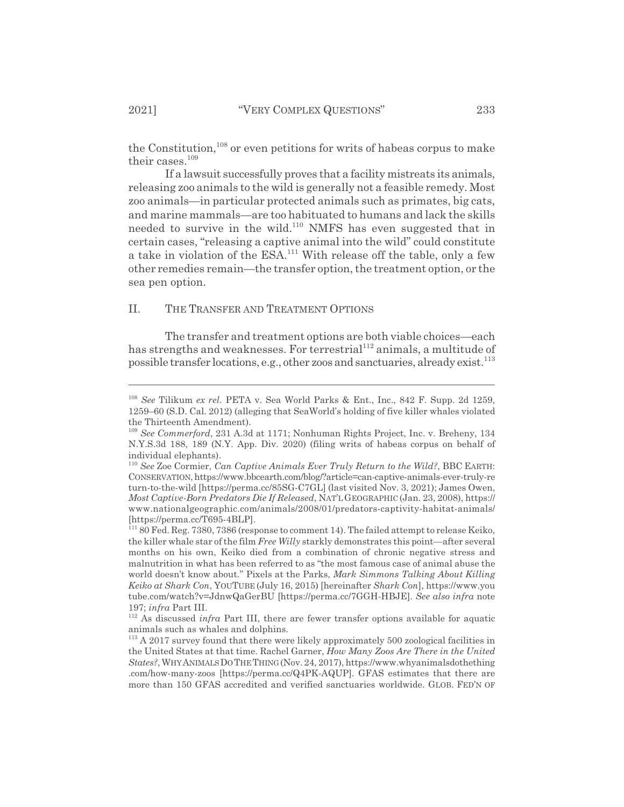the Constitution,  $108$  or even petitions for writs of habeas corpus to make their cases.<sup>109</sup>

If a lawsuit successfully proves that a facility mistreats its animals, releasing zoo animals to the wild is generally not a feasible remedy. Most zoo animals—in particular protected animals such as primates, big cats, and marine mammals—are too habituated to humans and lack the skills needed to survive in the wild.<sup>110</sup> NMFS has even suggested that in certain cases, "releasing a captive animal into the wild" could constitute a take in violation of the ESA.<sup>111</sup> With release off the table, only a few other remedies remain—the transfer option, the treatment option, or the sea pen option.

#### II. THE TRANSFER AND TREATMENT OPTIONS

The transfer and treatment options are both viable choices—each has strengths and weaknesses. For terrestrial<sup>112</sup> animals, a multitude of possible transfer locations, e.g., other zoos and sanctuaries, already exist.<sup>113</sup>

<sup>108</sup> *See* Tilikum *ex rel.* PETA v. Sea World Parks & Ent., Inc., 842 F. Supp. 2d 1259, 1259–60 (S.D. Cal. 2012) (alleging that SeaWorld's holding of five killer whales violated the Thirteenth Amendment).

<sup>109</sup> *See Commerford*, 231 A.3d at 1171; Nonhuman Rights Project, Inc. v. Breheny, 134 N.Y.S.3d 188, 189 (N.Y. App. Div. 2020) (filing writs of habeas corpus on behalf of individual elephants).

<sup>110</sup> *See* Zoe Cormier, *Can Captive Animals Ever Truly Return to the Wild?*, BBC EARTH: CONSERVATION, https://www.bbcearth.com/blog/?article=can-captive-animals-ever-truly-re turn-to-the-wild [https://perma.cc/85SG-C7GL] (last visited Nov. 3, 2021); James Owen, *Most Captive-Born Predators Die If Released*, NAT'LGEOGRAPHIC (Jan. 23, 2008), https:// www.nationalgeographic.com/animals/2008/01/predators-captivity-habitat-animals/ [https://perma.cc/T695-4BLP].

<sup>111 80</sup> Fed. Reg. 7380, 7386 (response to comment 14). The failed attempt to release Keiko, the killer whale star of the film *Free Willy* starkly demonstrates this point—after several months on his own, Keiko died from a combination of chronic negative stress and malnutrition in what has been referred to as "the most famous case of animal abuse the world doesn't know about." Pixels at the Parks, *Mark Simmons Talking About Killing Keiko at Shark Con*, YOUTUBE (July 16, 2015) [hereinafter *Shark Con*], https://www.you tube.com/watch?v=JdnwQaGerBU [https://perma.cc/7GGH-HBJE]. *See also infra* note 197; *infra* Part III.

<sup>&</sup>lt;sup>112</sup> As discussed *infra* Part III, there are fewer transfer options available for aquatic animals such as whales and dolphins.

<sup>&</sup>lt;sup>113</sup> A 2017 survey found that there were likely approximately 500 zoological facilities in the United States at that time. Rachel Garner, *How Many Zoos Are There in the United States?*, WHYANIMALSDOTHETHING(Nov. 24, 2017), https://www.whyanimalsdothething .com/how-many-zoos [https://perma.cc/Q4PK-AQUP]. GFAS estimates that there are more than 150 GFAS accredited and verified sanctuaries worldwide. GLOB. FED'N OF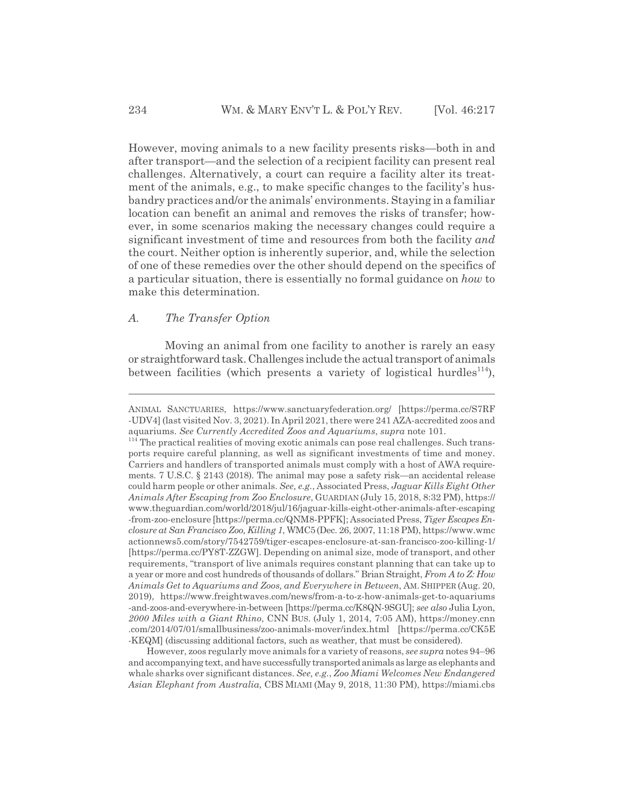However, moving animals to a new facility presents risks—both in and after transport—and the selection of a recipient facility can present real challenges. Alternatively, a court can require a facility alter its treatment of the animals, e.g., to make specific changes to the facility's husbandry practices and/or the animals' environments. Staying in a familiar location can benefit an animal and removes the risks of transfer; however, in some scenarios making the necessary changes could require a significant investment of time and resources from both the facility *and* the court. Neither option is inherently superior, and, while the selection of one of these remedies over the other should depend on the specifics of a particular situation, there is essentially no formal guidance on *how* to make this determination.

## *A. The Transfer Option*

Moving an animal from one facility to another is rarely an easy or straightforward task. Challenges include the actual transport of animals between facilities (which presents a variety of logistical hurdles<sup>114</sup>),

However, zoos regularly move animals for a variety of reasons, *see supra* notes 94–96 and accompanying text, and have successfully transported animals as large as elephants and whale sharks over significant distances. *See, e.g.*, *Zoo Miami Welcomes New Endangered Asian Elephant from Australia*, CBS MIAMI (May 9, 2018, 11:30 PM), https://miami.cbs

ANIMAL SANCTUARIES, https://www.sanctuaryfederation.org/ [https://perma.cc/S7RF -UDV4] (last visited Nov. 3, 2021). In April 2021, there were 241 AZA-accredited zoos and aquariums. *See Currently Accredited Zoos and Aquariums*, *supra* note 101.

<sup>&</sup>lt;sup>114</sup> The practical realities of moving exotic animals can pose real challenges. Such transports require careful planning, as well as significant investments of time and money. Carriers and handlers of transported animals must comply with a host of AWA requirements. 7 U.S.C. § 2143 (2018). The animal may pose a safety risk—an accidental release could harm people or other animals. *See, e.g.*, Associated Press, *Jaguar Kills Eight Other Animals After Escaping from Zoo Enclosure*, GUARDIAN (July 15, 2018, 8:32 PM), https:// www.theguardian.com/world/2018/jul/16/jaguar-kills-eight-other-animals-after-escaping -from-zoo-enclosure [https://perma.cc/QNM8-PPFK]; Associated Press, *Tiger Escapes Enclosure at San Francisco Zoo, Killing 1*, WMC5(Dec. 26, 2007, 11:18 PM), https://www.wmc actionnews5.com/story/7542759/tiger-escapes-enclosure-at-san-francisco-zoo-killing-1/ [https://perma.cc/PY8T-ZZGW]. Depending on animal size, mode of transport, and other requirements, "transport of live animals requires constant planning that can take up to a year or more and cost hundreds of thousands of dollars." Brian Straight, *From A to Z: How Animals Get to Aquariums and Zoos, and Everywhere in Between*, AM. SHIPPER (Aug. 20, 2019), https://www.freightwaves.com/news/from-a-to-z-how-animals-get-to-aquariums -and-zoos-and-everywhere-in-between [https://perma.cc/K8QN-9SGU]; *see also* Julia Lyon, *2000 Miles with a Giant Rhino*, CNN BUS. (July 1, 2014, 7:05 AM), https://money.cnn .com/2014/07/01/smallbusiness/zoo-animals-mover/index.html [https://perma.cc/CK5E -KEQM] (discussing additional factors, such as weather, that must be considered).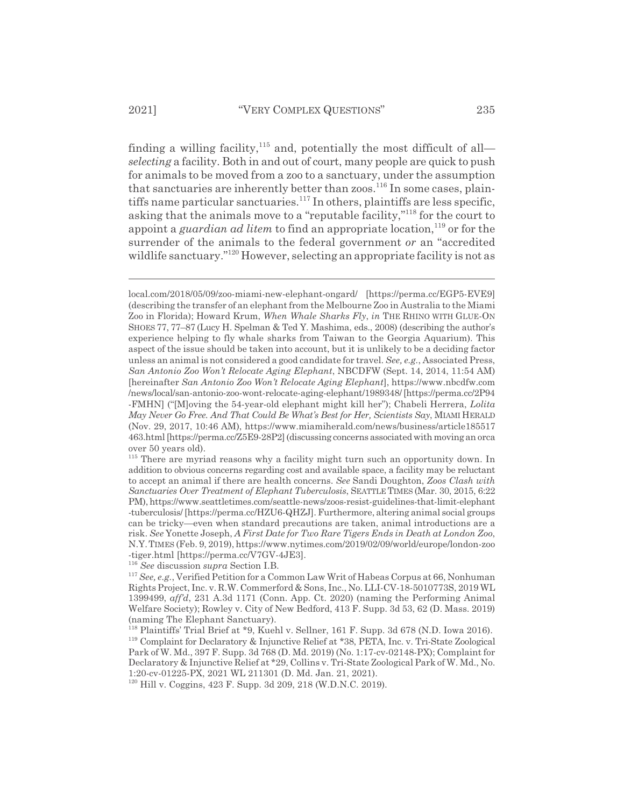finding a willing facility, $115$  and, potentially the most difficult of all*selecting* a facility. Both in and out of court, many people are quick to push for animals to be moved from a zoo to a sanctuary, under the assumption that sanctuaries are inherently better than zoos.<sup>116</sup> In some cases, plaintiffs name particular sanctuaries.<sup>117</sup> In others, plaintiffs are less specific, asking that the animals move to a "reputable facility,"118 for the court to appoint a *guardian ad litem* to find an appropriate location,<sup>119</sup> or for the surrender of the animals to the federal government *or* an "accredited wildlife sanctuary."<sup>120</sup> However, selecting an appropriate facility is not as

<sup>116</sup> *See* discussion *supra* Section I.B.

local.com/2018/05/09/zoo-miami-new-elephant-ongard/ [https://perma.cc/EGP5-EVE9] (describing the transfer of an elephant from the Melbourne Zoo in Australia to the Miami Zoo in Florida); Howard Krum, *When Whale Sharks Fly*, *in* THE RHINO WITH GLUE-ON SHOES 77, 77–87 (Lucy H. Spelman & Ted Y. Mashima, eds., 2008) (describing the author's experience helping to fly whale sharks from Taiwan to the Georgia Aquarium). This aspect of the issue should be taken into account, but it is unlikely to be a deciding factor unless an animal is not considered a good candidate for travel. *See, e.g.*, Associated Press, *San Antonio Zoo Won't Relocate Aging Elephant*, NBCDFW (Sept. 14, 2014, 11:54 AM) [hereinafter *San Antonio Zoo Won't Relocate Aging Elephant*], https://www.nbcdfw.com /news/local/san-antonio-zoo-wont-relocate-aging-elephant/1989348/ [https://perma.cc/2P94 -FMHN] ("[M]oving the 54-year-old elephant might kill her"); Chabeli Herrera, *Lolita May Never Go Free. And That Could Be What's Best for Her, Scientists Say*, MIAMI HERALD (Nov. 29, 2017, 10:46 AM), https://www.miamiherald.com/news/business/article185517 463.html [https://perma.cc/Z5E9-28P2] (discussing concerns associated with moving an orca over 50 years old).

<sup>&</sup>lt;sup>115</sup> There are myriad reasons why a facility might turn such an opportunity down. In addition to obvious concerns regarding cost and available space, a facility may be reluctant to accept an animal if there are health concerns. *See* Sandi Doughton, *Zoos Clash with Sanctuaries Over Treatment of Elephant Tuberculosis*, SEATTLE TIMES (Mar. 30, 2015, 6:22 PM), https://www.seattletimes.com/seattle-news/zoos-resist-guidelines-that-limit-elephant -tuberculosis/ [https://perma.cc/HZU6-QHZJ]. Furthermore, altering animal social groups can be tricky—even when standard precautions are taken, animal introductions are a risk. *See* Yonette Joseph, *A First Date for Two Rare Tigers Ends in Death at London Zoo*, N.Y.TIMES (Feb. 9, 2019), https://www.nytimes.com/2019/02/09/world/europe/london-zoo -tiger.html [https://perma.cc/V7GV-4JE3].

<sup>117</sup> *See, e.g.*, Verified Petition for a Common Law Writ of Habeas Corpus at 66, Nonhuman Rights Project, Inc. v. R.W. Commerford & Sons, Inc., No. LLI-CV-18-5010773S, 2019 WL 1399499, *aff'd*, 231 A.3d 1171 (Conn. App. Ct. 2020) (naming the Performing Animal Welfare Society); Rowley v. City of New Bedford, 413 F. Supp. 3d 53, 62 (D. Mass. 2019) (naming The Elephant Sanctuary).

<sup>118</sup> Plaintiffs' Trial Brief at \*9, Kuehl v. Sellner, 161 F. Supp. 3d 678 (N.D. Iowa 2016). 119 Complaint for Declaratory & Injunctive Relief at \*38, PETA, Inc. v. Tri-State Zoological Park of W. Md., 397 F. Supp. 3d 768 (D. Md. 2019) (No. 1:17-cv-02148-PX); Complaint for Declaratory & Injunctive Relief at \*29, Collins v. Tri-State Zoological Park of W. Md., No. 1:20-cv-01225-PX, 2021 WL 211301 (D. Md. Jan. 21, 2021).

<sup>120</sup> Hill v. Coggins, 423 F. Supp. 3d 209, 218 (W.D.N.C. 2019).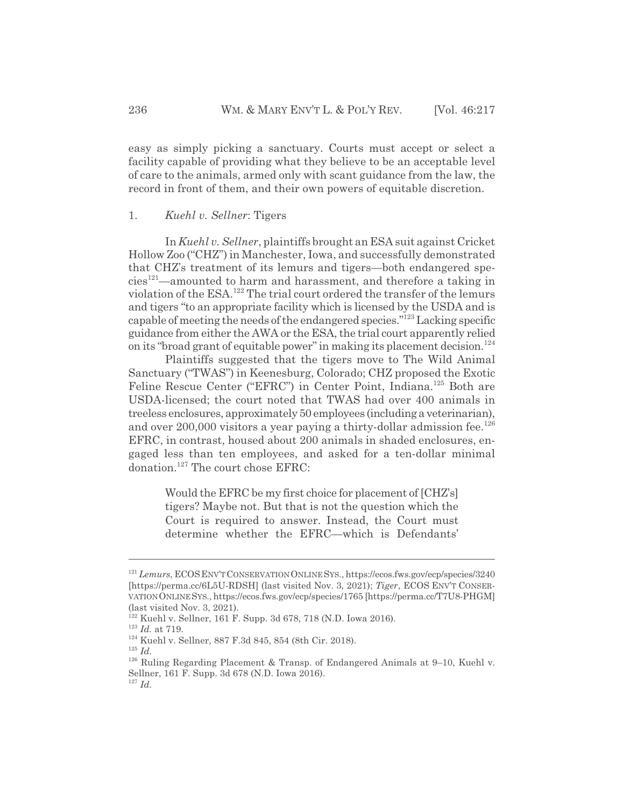easy as simply picking a sanctuary. Courts must accept or select a facility capable of providing what they believe to be an acceptable level of care to the animals, armed only with scant guidance from the law, the record in front of them, and their own powers of equitable discretion.

#### 1. *Kuehl v. Sellner*: Tigers

In *Kuehl v. Sellner*, plaintiffs brought an ESA suit against Cricket Hollow Zoo ("CHZ") in Manchester, Iowa, and successfully demonstrated that CHZ's treatment of its lemurs and tigers—both endangered spe $cies<sup>121</sup>$ —amounted to harm and harassment, and therefore a taking in violation of the ESA.122 The trial court ordered the transfer of the lemurs and tigers "to an appropriate facility which is licensed by the USDA and is capable of meeting the needs of the endangered species."123 Lacking specific guidance from either the AWA or the ESA, the trial court apparently relied on its "broad grant of equitable power" in making its placement decision.<sup>124</sup>

Plaintiffs suggested that the tigers move to The Wild Animal Sanctuary ("TWAS") in Keenesburg, Colorado; CHZ proposed the Exotic Feline Rescue Center ("EFRC") in Center Point, Indiana.<sup>125</sup> Both are USDA-licensed; the court noted that TWAS had over 400 animals in treeless enclosures, approximately 50 employees (including a veterinarian), and over 200,000 visitors a year paying a thirty-dollar admission fee.<sup>126</sup> EFRC, in contrast, housed about 200 animals in shaded enclosures, engaged less than ten employees, and asked for a ten-dollar minimal donation.<sup>127</sup> The court chose EFRC:

Would the EFRC be my first choice for placement of [CHZ's] tigers? Maybe not. But that is not the question which the Court is required to answer. Instead, the Court must determine whether the EFRC—which is Defendants'

<sup>&</sup>lt;sup>121</sup> *Lemurs*, ECOS ENV'T CONSERVATION ONLINE SYS., https://ecos.fws.gov/ecp/species/3240 [https://perma.cc/6L5U-RDSH] (last visited Nov. 3, 2021); *Tiger*, ECOS ENV'T CONSER-VATIONONLINESYS., https://ecos.fws.gov/ecp/species/1765 [https://perma.cc/T7U8-PHGM] (last visited Nov. 3, 2021).

<sup>122</sup> Kuehl v. Sellner, 161 F. Supp. 3d 678, 718 (N.D. Iowa 2016).

<sup>123</sup> *Id.* at 719.

<sup>124</sup> Kuehl v. Sellner, 887 F.3d 845, 854 (8th Cir. 2018).

<sup>125</sup> *Id.*

<sup>126</sup> Ruling Regarding Placement & Transp. of Endangered Animals at 9–10, Kuehl v. Sellner, 161 F. Supp. 3d 678 (N.D. Iowa 2016).

<sup>127</sup> *Id.*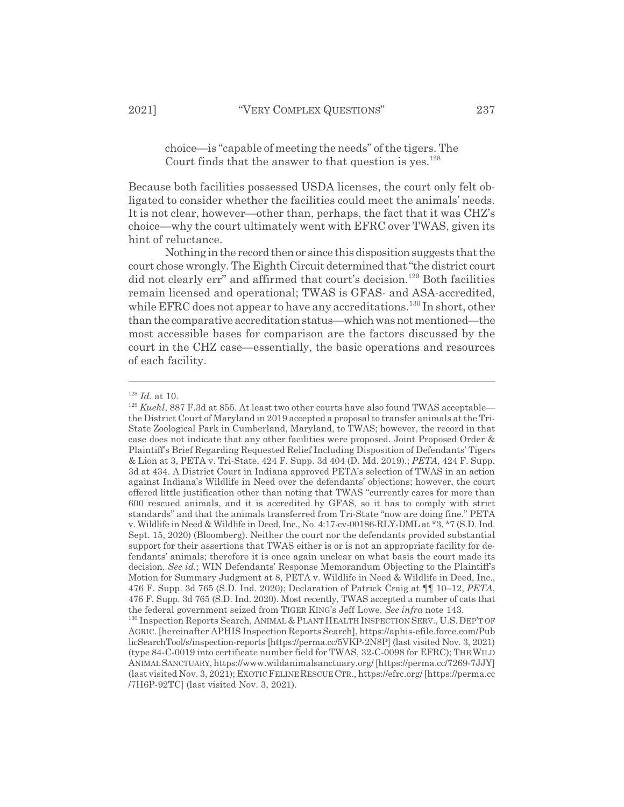choice—is "capable of meeting the needs" of the tigers. The Court finds that the answer to that question is yes. $128$ 

Because both facilities possessed USDA licenses, the court only felt obligated to consider whether the facilities could meet the animals' needs. It is not clear, however—other than, perhaps, the fact that it was CHZ's choice—why the court ultimately went with EFRC over TWAS, given its hint of reluctance.

Nothing in the record then or since this disposition suggests that the court chose wrongly. The Eighth Circuit determined that "the district court did not clearly err" and affirmed that court's decision.<sup>129</sup> Both facilities remain licensed and operational; TWAS is GFAS- and ASA-accredited, while EFRC does not appear to have any accreditations.<sup>130</sup> In short, other than the comparative accreditation status—which was not mentioned—the most accessible bases for comparison are the factors discussed by the court in the CHZ case—essentially, the basic operations and resources of each facility.

<sup>128</sup> *Id.* at 10.

<sup>&</sup>lt;sup>129</sup> Kuehl, 887 F.3d at 855. At least two other courts have also found TWAS acceptable the District Court of Maryland in 2019 accepted a proposal to transfer animals at the Tri-State Zoological Park in Cumberland, Maryland, to TWAS; however, the record in that case does not indicate that any other facilities were proposed. Joint Proposed Order & Plaintiff's Brief Regarding Requested Relief Including Disposition of Defendants' Tigers & Lion at 3, PETA v. Tri-State, 424 F. Supp. 3d 404 (D. Md. 2019).; *PETA*, 424 F. Supp. 3d at 434. A District Court in Indiana approved PETA's selection of TWAS in an action against Indiana's Wildlife in Need over the defendants' objections; however, the court offered little justification other than noting that TWAS "currently cares for more than 600 rescued animals, and it is accredited by GFAS, so it has to comply with strict standards" and that the animals transferred from Tri-State "now are doing fine." PETA v. Wildlife in Need & Wildlife in Deed, Inc., No. 4:17-cv-00186-RLY-DML at \*3, \*7 (S.D. Ind. Sept. 15, 2020) (Bloomberg). Neither the court nor the defendants provided substantial support for their assertions that TWAS either is or is not an appropriate facility for defendants' animals; therefore it is once again unclear on what basis the court made its decision. *See id.*; WIN Defendants' Response Memorandum Objecting to the Plaintiff's Motion for Summary Judgment at 8, PETA v. Wildlife in Need & Wildlife in Deed, Inc., 476 F. Supp. 3d 765 (S.D. Ind. 2020); Declaration of Patrick Craig at ¶¶ 10–12, *PETA*, 476 F. Supp. 3d 765 (S.D. Ind. 2020). Most recently, TWAS accepted a number of cats that the federal government seized from TIGER KING's Jeff Lowe. *See infra* note 143.

<sup>&</sup>lt;sup>130</sup> Inspection Reports Search, ANIMAL & PLANT HEALTH INSPECTION SERV., U.S. DEP'T OF AGRIC. [hereinafter APHIS Inspection Reports Search], https://aphis-efile.force.com/Pub licSearchTool/s/inspection-reports [https://perma.cc/5VKP-2N8P] (last visited Nov. 3, 2021) (type 84-C-0019 into certificate number field for TWAS, 32-C-0098 for EFRC); THEWILD ANIMALSANCTUARY, https://www.wildanimalsanctuary.org/ [https://perma.cc/7269-7JJY] (last visited Nov. 3, 2021); EXOTIC FELINE RESCUE CTR., https://efrc.org/ [https://perma.cc /7H6P-92TC] (last visited Nov. 3, 2021).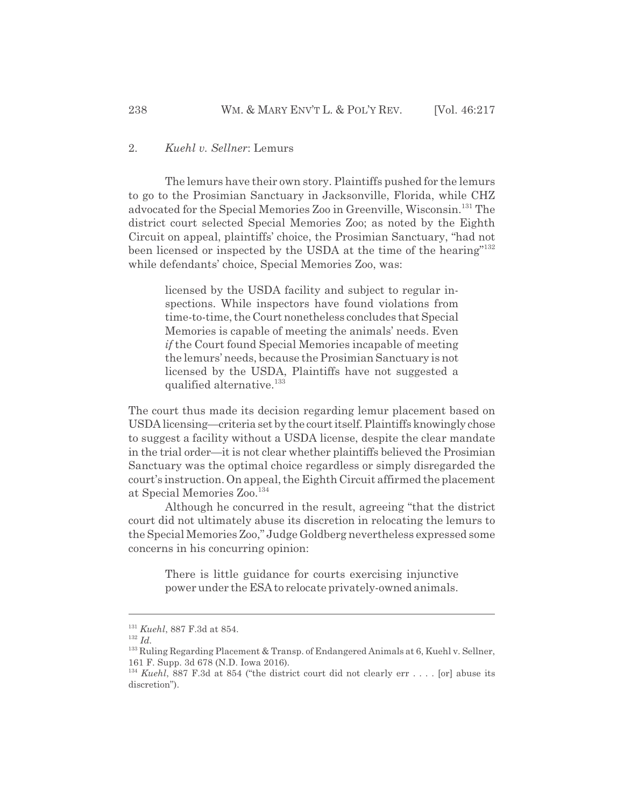#### 2. *Kuehl v. Sellner*: Lemurs

The lemurs have their own story. Plaintiffs pushed for the lemurs to go to the Prosimian Sanctuary in Jacksonville, Florida, while CHZ advocated for the Special Memories Zoo in Greenville, Wisconsin.<sup>131</sup> The district court selected Special Memories Zoo; as noted by the Eighth Circuit on appeal, plaintiffs' choice, the Prosimian Sanctuary, "had not been licensed or inspected by the USDA at the time of the hearing"<sup>132</sup> while defendants' choice, Special Memories Zoo, was:

> licensed by the USDA facility and subject to regular inspections. While inspectors have found violations from time-to-time, the Court nonetheless concludes that Special Memories is capable of meeting the animals' needs. Even *if* the Court found Special Memories incapable of meeting the lemurs' needs, because the Prosimian Sanctuary is not licensed by the USDA, Plaintiffs have not suggested a qualified alternative.<sup>133</sup>

The court thus made its decision regarding lemur placement based on USDA licensing—criteria set by the court itself. Plaintiffs knowingly chose to suggest a facility without a USDA license, despite the clear mandate in the trial order—it is not clear whether plaintiffs believed the Prosimian Sanctuary was the optimal choice regardless or simply disregarded the court's instruction. On appeal, the Eighth Circuit affirmed the placement at Special Memories Zoo.<sup>134</sup>

Although he concurred in the result, agreeing "that the district court did not ultimately abuse its discretion in relocating the lemurs to the Special Memories Zoo," Judge Goldberg nevertheless expressed some concerns in his concurring opinion:

There is little guidance for courts exercising injunctive power under the ESA to relocate privately-owned animals.

<sup>131</sup> *Kuehl*, 887 F.3d at 854.

<sup>132</sup> *Id.*

<sup>&</sup>lt;sup>133</sup> Ruling Regarding Placement & Transp. of Endangered Animals at 6, Kuehl v. Sellner, 161 F. Supp. 3d 678 (N.D. Iowa 2016).

<sup>&</sup>lt;sup>134</sup> *Kuehl*, 887 F.3d at 854 ("the district court did not clearly err . . . . [or] abuse its discretion").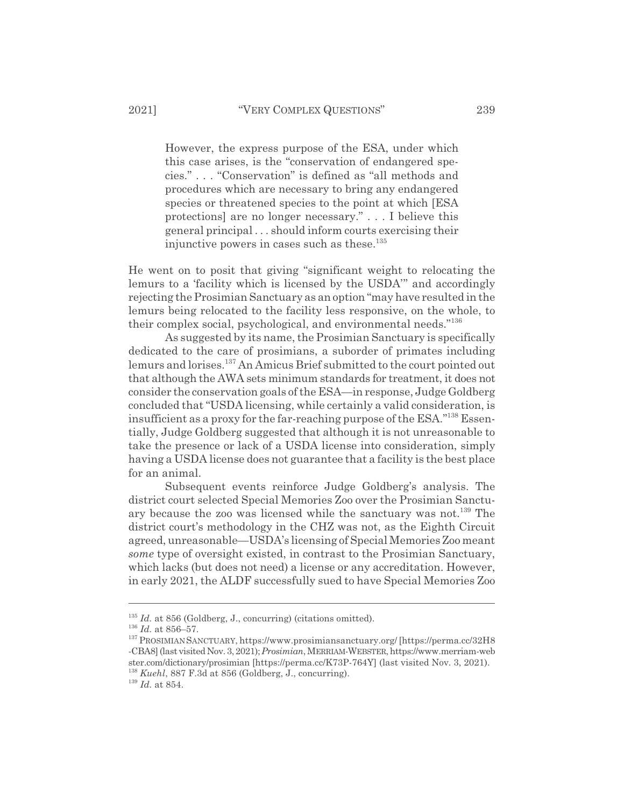However, the express purpose of the ESA, under which this case arises, is the "conservation of endangered species." . . . "Conservation" is defined as "all methods and procedures which are necessary to bring any endangered species or threatened species to the point at which [ESA protections] are no longer necessary." . . . I believe this general principal . . . should inform courts exercising their injunctive powers in cases such as these. $135$ 

He went on to posit that giving "significant weight to relocating the lemurs to a 'facility which is licensed by the USDA'" and accordingly rejecting the Prosimian Sanctuary as an option "may have resulted in the lemurs being relocated to the facility less responsive, on the whole, to their complex social, psychological, and environmental needs."<sup>136</sup>

As suggested by its name, the Prosimian Sanctuary is specifically dedicated to the care of prosimians, a suborder of primates including lemurs and lorises.<sup>137</sup> An Amicus Brief submitted to the court pointed out that although the AWA sets minimum standards for treatment, it does not consider the conservation goals of the ESA—in response, Judge Goldberg concluded that "USDA licensing, while certainly a valid consideration, is insufficient as a proxy for the far-reaching purpose of the  $ESA.^{138}$  Essentially, Judge Goldberg suggested that although it is not unreasonable to take the presence or lack of a USDA license into consideration, simply having a USDA license does not guarantee that a facility is the best place for an animal.

Subsequent events reinforce Judge Goldberg's analysis. The district court selected Special Memories Zoo over the Prosimian Sanctuary because the zoo was licensed while the sanctuary was not.<sup>139</sup> The district court's methodology in the CHZ was not, as the Eighth Circuit agreed, unreasonable—USDA's licensing of Special Memories Zoo meant *some* type of oversight existed, in contrast to the Prosimian Sanctuary, which lacks (but does not need) a license or any accreditation. However, in early 2021, the ALDF successfully sued to have Special Memories Zoo

<sup>&</sup>lt;sup>135</sup> *Id.* at 856 (Goldberg, J., concurring) (citations omitted).

<sup>136</sup> *Id.* at 856–57.

<sup>137</sup> PROSIMIAN SANCTUARY, https://www.prosimiansanctuary.org/ [https://perma.cc/32H8 -CBA8] (last visited Nov. 3, 2021); *Prosimian*, MERRIAM-WEBSTER, https://www.merriam-web ster.com/dictionary/prosimian [https://perma.cc/K73P-764Y] (last visited Nov. 3, 2021). <sup>138</sup> *Kuehl*, 887 F.3d at 856 (Goldberg, J., concurring).

<sup>139</sup> *Id.* at 854.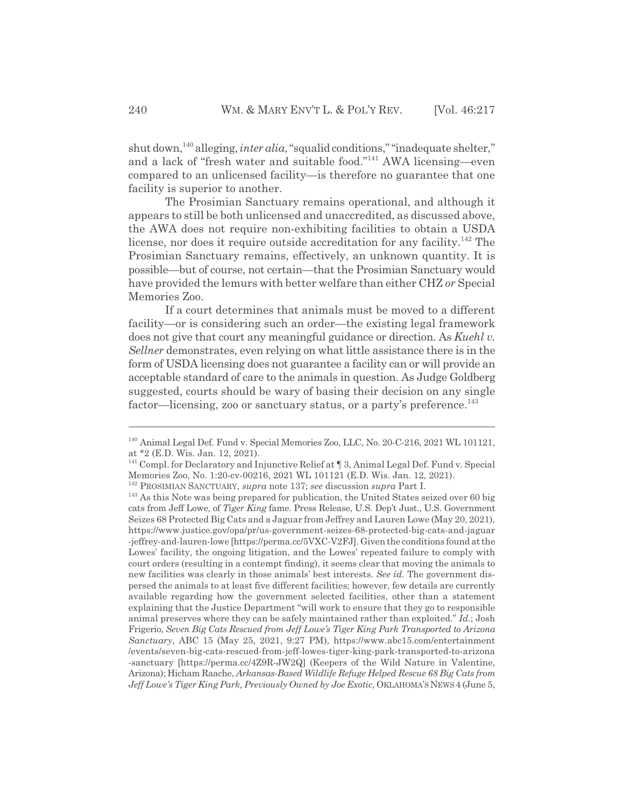shut down,<sup>140</sup> alleging, *inter alia*, "squalid conditions," "inadequate shelter," and a lack of "fresh water and suitable food."141 AWA licensing—even compared to an unlicensed facility—is therefore no guarantee that one facility is superior to another.

The Prosimian Sanctuary remains operational, and although it appears to still be both unlicensed and unaccredited, as discussed above, the AWA does not require non-exhibiting facilities to obtain a USDA license, nor does it require outside accreditation for any facility.<sup>142</sup> The Prosimian Sanctuary remains, effectively, an unknown quantity. It is possible—but of course, not certain—that the Prosimian Sanctuary would have provided the lemurs with better welfare than either CHZ *or* Special Memories Zoo.

If a court determines that animals must be moved to a different facility—or is considering such an order—the existing legal framework does not give that court any meaningful guidance or direction. As *Kuehl v. Sellner* demonstrates, even relying on what little assistance there is in the form of USDA licensing does not guarantee a facility can or will provide an acceptable standard of care to the animals in question. As Judge Goldberg suggested, courts should be wary of basing their decision on any single factor—licensing, zoo or sanctuary status, or a party's preference.<sup>143</sup>

<sup>140</sup> Animal Legal Def. Fund v. Special Memories Zoo, LLC, No. 20-C-216, 2021 WL 101121, at \*2 (E.D. Wis. Jan. 12, 2021).

<sup>&</sup>lt;sup>141</sup> Compl. for Declaratory and Injunctive Relief at <sup>¶</sup> 3, Animal Legal Def. Fund v. Special Memories Zoo, No. 1:20-cv-00216, 2021 WL 101121 (E.D. Wis. Jan. 12, 2021).

<sup>142</sup> PROSIMIAN SANCTUARY, *supra* note 137; *see* discussion *supra* Part I.

<sup>143</sup> As this Note was being prepared for publication, the United States seized over 60 big cats from Jeff Lowe, of *Tiger King* fame. Press Release, U.S. Dep't Just., U.S. Government Seizes 68 Protected Big Cats and a Jaguar from Jeffrey and Lauren Lowe (May 20, 2021), https://www.justice.gov/opa/pr/us-government-seizes-68-protected-big-cats-and-jaguar -jeffrey-and-lauren-lowe [https://perma.cc/5VXC-V2FJ]. Given the conditions found at the Lowes' facility, the ongoing litigation, and the Lowes' repeated failure to comply with court orders (resulting in a contempt finding), it seems clear that moving the animals to new facilities was clearly in those animals' best interests. *See id.* The government dispersed the animals to at least five different facilities; however, few details are currently available regarding how the government selected facilities, other than a statement explaining that the Justice Department "will work to ensure that they go to responsible animal preserves where they can be safely maintained rather than exploited." *Id.*; Josh Frigerio, *Seven Big Cats Rescued from Jeff Lowe's Tiger King Park Transported to Arizona Sanctuary*, ABC 15 (May 25, 2021, 9:27 PM), https://www.abc15.com/entertainment /events/seven-big-cats-rescued-from-jeff-lowes-tiger-king-park-transported-to-arizona -sanctuary [https://perma.cc/4Z9R-JW2Q] (Keepers of the Wild Nature in Valentine, Arizona); Hicham Raache, *Arkansas-Based Wildlife Refuge Helped Rescue 68 Big Cats from* Jeff Lowe's Tiger King Park, Previously Owned by Joe Exotic, OKLAHOMA'S NEWS 4 (June 5,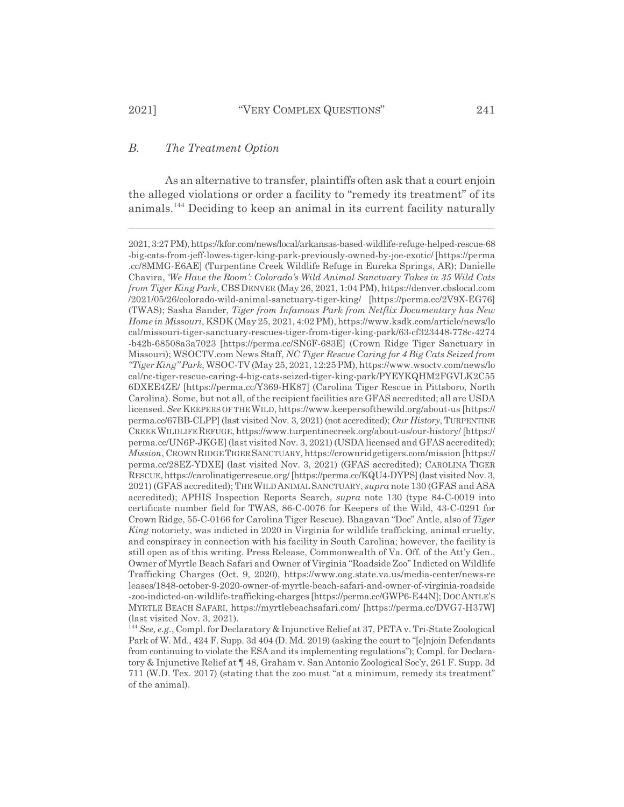#### *B. The Treatment Option*

As an alternative to transfer, plaintiffs often ask that a court enjoin the alleged violations or order a facility to "remedy its treatment" of its animals.144 Deciding to keep an animal in its current facility naturally

<sup>2021, 3:27</sup> PM), https://kfor.com/news/local/arkansas-based-wildlife-refuge-helped-rescue-68 -big-cats-from-jeff-lowes-tiger-king-park-previously-owned-by-joe-exotic/ [https://perma .cc/8MMG-E6AE] (Turpentine Creek Wildlife Refuge in Eureka Springs, AR); Danielle Chavira, *'We Have the Room': Colorado's Wild Animal Sanctuary Takes in 35 Wild Cats from Tiger King Park*, CBSDENVER (May 26, 2021, 1:04 PM), https://denver.cbslocal.com /2021/05/26/colorado-wild-animal-sanctuary-tiger-king/ [https://perma.cc/2V9X-EG76] (TWAS); Sasha Sander, *Tiger from Infamous Park from Netflix Documentary has New Home in Missouri*, KSDK (May 25, 2021, 4:02 PM), https://www.ksdk.com/article/news/lo cal/missouri-tiger-sanctuary-rescues-tiger-from-tiger-king-park/63-cf323448-778c-4274 -b42b-68508a3a7023 [https://perma.cc/SN6F-683E] (Crown Ridge Tiger Sanctuary in Missouri); WSOCTV.com News Staff, *NC Tiger Rescue Caring for 4 Big Cats Seized from "Tiger King" Park*, WSOC-TV (May 25, 2021, 12:25 PM), https://www.wsoctv.com/news/lo cal/nc-tiger-rescue-caring-4-big-cats-seized-tiger-king-park/PYEYKQHM2FGVLK2C55 6DXEE4ZE/ [https://perma.cc/Y369-HK87] (Carolina Tiger Rescue in Pittsboro, North Carolina). Some, but not all, of the recipient facilities are GFAS accredited; all are USDA licensed. *See* KEEPERS OF THE WILD, https://www.keepersofthewild.org/about-us [https:// perma.cc/67BB-CLPP] (last visited Nov. 3, 2021) (not accredited); *Our History*, TURPENTINE CREEK WILDLIFEREFUGE, https://www.turpentinecreek.org/about-us/our-history/ [https:// perma.cc/UN6P-JKGE] (last visited Nov. 3, 2021) (USDA licensed and GFAS accredited); *Mission*, CROWN RIDGE TIGER SANCTUARY, https://crownridgetigers.com/mission [https:// perma.cc/28EZ-YDXE] (last visited Nov. 3, 2021) (GFAS accredited); CAROLINA TIGER RESCUE, https://carolinatigerrescue.org/ [https://perma.cc/KQU4-DYPS] (last visited Nov. 3, 2021) (GFAS accredited); THEWILD ANIMAL SANCTUARY, *supra* note 130 (GFAS and ASA accredited); APHIS Inspection Reports Search, *supra* note 130 (type 84-C-0019 into certificate number field for TWAS, 86-C-0076 for Keepers of the Wild, 43-C-0291 for Crown Ridge, 55-C-0166 for Carolina Tiger Rescue). Bhagavan "Doc" Antle, also of *Tiger King* notoriety, was indicted in 2020 in Virginia for wildlife trafficking, animal cruelty, and conspiracy in connection with his facility in South Carolina; however, the facility is still open as of this writing. Press Release, Commonwealth of Va. Off. of the Att'y Gen., Owner of Myrtle Beach Safari and Owner of Virginia "Roadside Zoo" Indicted on Wildlife Trafficking Charges (Oct. 9, 2020), https://www.oag.state.va.us/media-center/news-re leases/1848-october-9-2020-owner-of-myrtle-beach-safari-and-owner-of-virginia-roadside -zoo-indicted-on-wildlife-trafficking-charges [https://perma.cc/GWP6-E44N]; DOC ANTLE'S MYRTLE BEACH SAFARI, https://myrtlebeachsafari.com/ [https://perma.cc/DVG7-H37W] (last visited Nov. 3, 2021).

<sup>144</sup> *See, e.g.*, Compl. for Declaratory & Injunctive Relief at 37, PETA v. Tri-State Zoological Park of W. Md., 424 F. Supp. 3d 404 (D. Md. 2019) (asking the court to "[e]njoin Defendants from continuing to violate the ESA and its implementing regulations"); Compl. for Declaratory & Injunctive Relief at ¶ 48, Graham v. San Antonio Zoological Soc'y, 261 F. Supp. 3d 711 (W.D. Tex. 2017) (stating that the zoo must "at a minimum, remedy its treatment" of the animal).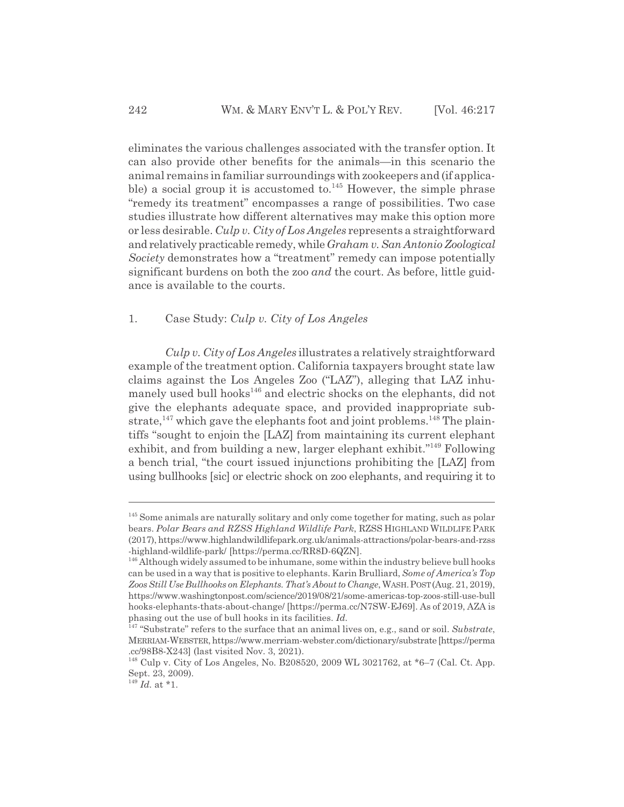eliminates the various challenges associated with the transfer option. It can also provide other benefits for the animals—in this scenario the animal remains in familiar surroundings with zookeepers and (if applicable) a social group it is accustomed to. $145$  However, the simple phrase "remedy its treatment" encompasses a range of possibilities. Two case studies illustrate how different alternatives may make this option more or less desirable. *Culp v. City of Los Angeles* represents a straightforward and relatively practicable remedy, while *Graham v. San Antonio Zoological Society* demonstrates how a "treatment" remedy can impose potentially significant burdens on both the zoo *and* the court. As before, little guidance is available to the courts.

## 1. Case Study: *Culp v. City of Los Angeles*

*Culp v. City of Los Angeles* illustrates a relatively straightforward example of the treatment option. California taxpayers brought state law claims against the Los Angeles Zoo ("LAZ"), alleging that LAZ inhumanely used bull hooks<sup>146</sup> and electric shocks on the elephants, did not give the elephants adequate space, and provided inappropriate substrate, $147$  which gave the elephants foot and joint problems.<sup>148</sup> The plaintiffs "sought to enjoin the [LAZ] from maintaining its current elephant exhibit, and from building a new, larger elephant exhibit."<sup>149</sup> Following a bench trial, "the court issued injunctions prohibiting the [LAZ] from using bullhooks [sic] or electric shock on zoo elephants, and requiring it to

<sup>&</sup>lt;sup>145</sup> Some animals are naturally solitary and only come together for mating, such as polar bears. *Polar Bears and RZSS Highland Wildlife Park*, RZSS HIGHLAND WILDLIFE PARK (2017), https://www.highlandwildlifepark.org.uk/animals-attractions/polar-bears-and-rzss -highland-wildlife-park/ [https://perma.cc/RR8D-6QZN].

<sup>&</sup>lt;sup>146</sup> Although widely assumed to be inhumane, some within the industry believe bull hooks can be used in a way that is positive to elephants. Karin Brulliard, *Some of America's Top* Zoos Still Use Bullhooks on Elephants. That's About to Change, WASH. POST (Aug. 21, 2019), https://www.washingtonpost.com/science/2019/08/21/some-americas-top-zoos-still-use-bull hooks-elephants-thats-about-change/ [https://perma.cc/N7SW-EJ69]. As of 2019, AZA is phasing out the use of bull hooks in its facilities. *Id.*

<sup>147 &</sup>quot;Substrate" refers to the surface that an animal lives on, e.g., sand or soil. *Substrate*, MERRIAM-WEBSTER, https://www.merriam-webster.com/dictionary/substrate [https://perma .cc/98B8-X243] (last visited Nov. 3, 2021).

<sup>148</sup> Culp v. City of Los Angeles, No. B208520, 2009 WL 3021762, at \*6–7 (Cal. Ct. App. Sept. 23, 2009).

<sup>149</sup> *Id.* at \*1.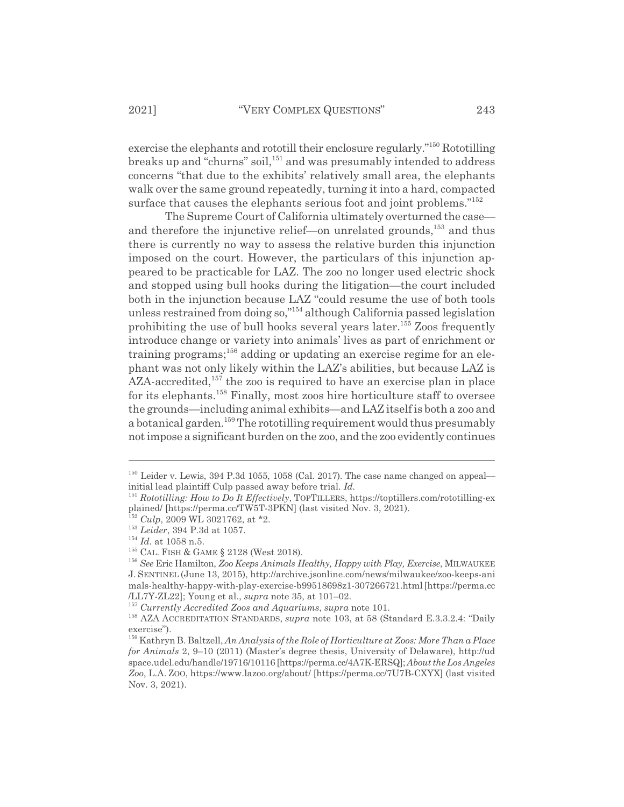exercise the elephants and rototill their enclosure regularly."150 Rototilling breaks up and "churns" soil,<sup>151</sup> and was presumably intended to address concerns "that due to the exhibits' relatively small area, the elephants walk over the same ground repeatedly, turning it into a hard, compacted surface that causes the elephants serious foot and joint problems."<sup>152</sup>

The Supreme Court of California ultimately overturned the case and therefore the injunctive relief—on unrelated grounds,<sup>153</sup> and thus there is currently no way to assess the relative burden this injunction imposed on the court. However, the particulars of this injunction appeared to be practicable for LAZ. The zoo no longer used electric shock and stopped using bull hooks during the litigation—the court included both in the injunction because LAZ "could resume the use of both tools unless restrained from doing so,"154 although California passed legislation prohibiting the use of bull hooks several years later.<sup>155</sup> Zoos frequently introduce change or variety into animals' lives as part of enrichment or training programs;<sup>156</sup> adding or updating an exercise regime for an elephant was not only likely within the LAZ's abilities, but because LAZ is  $AZA$ -accredited,<sup>157</sup> the zoo is required to have an exercise plan in place for its elephants.158 Finally, most zoos hire horticulture staff to oversee the grounds—including animal exhibits—and LAZ itself is both a zoo and a botanical garden.<sup>159</sup> The rototilling requirement would thus presumably not impose a significant burden on the zoo, and the zoo evidently continues

 $150$  Leider v. Lewis, 394 P.3d 1055, 1058 (Cal. 2017). The case name changed on appeal initial lead plaintiff Culp passed away before trial. *Id.*

<sup>151</sup> *Rototilling: How to Do It Effectively*, TOPTILLERS, https://toptillers.com/rototilling-ex plained/ [https://perma.cc/TW5T-3PKN] (last visited Nov. 3, 2021).

<sup>152</sup> *Culp*, 2009 WL 3021762, at \*2.

<sup>153</sup> *Leider*, 394 P.3d at 1057.

<sup>154</sup> *Id.* at 1058 n.5.

<sup>155</sup> CAL. FISH & GAME § 2128 (West 2018).

<sup>156</sup> *See* Eric Hamilton, *Zoo Keeps Animals Healthy, Happy with Play, Exercise*, MILWAUKEE J. SENTINEL (June 13, 2015), http://archive.jsonline.com/news/milwaukee/zoo-keeps-ani mals-healthy-happy-with-play-exercise-b99518698z1-307266721.html [https://perma.cc /LL7Y-ZL22]; Young et al., *supra* note 35, at 101–02.

<sup>157</sup> *Currently Accredited Zoos and Aquariums*, *supra* note 101.

<sup>&</sup>lt;sup>158</sup> AZA ACCREDITATION STANDARDS, *supra* note 103, at 58 (Standard E.3.3.2.4: "Daily exercise").

<sup>159</sup> Kathryn B. Baltzell, *An Analysis of the Role of Horticulture at Zoos: More Than a Place for Animals* 2, 9–10 (2011) (Master's degree thesis, University of Delaware), http://ud space.udel.edu/handle/19716/10116 [https://perma.cc/4A7K-ERSQ]; *About the Los Angeles Zoo*, L.A. ZOO, https://www.lazoo.org/about/ [https://perma.cc/7U7B-CXYX] (last visited Nov. 3, 2021).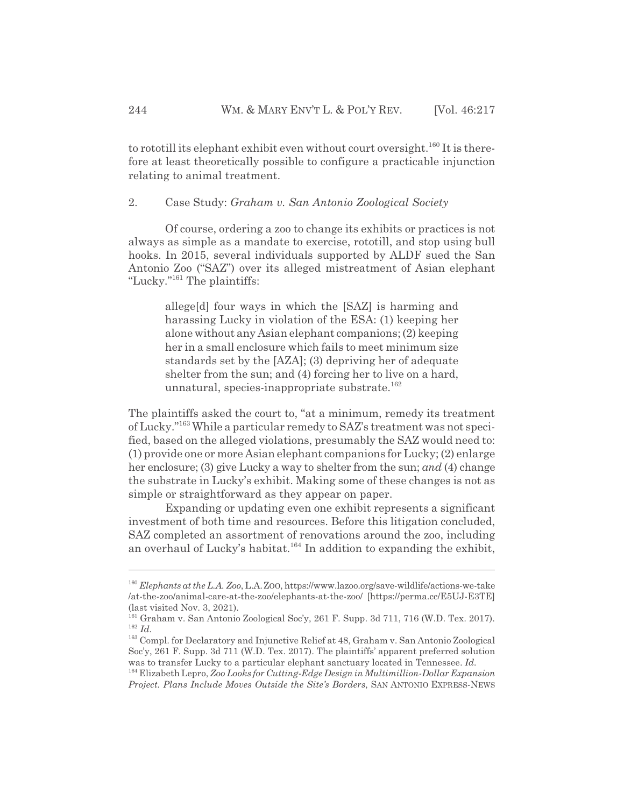to rototill its elephant exhibit even without court oversight.<sup>160</sup> It is therefore at least theoretically possible to configure a practicable injunction relating to animal treatment.

#### 2. Case Study: *Graham v. San Antonio Zoological Society*

Of course, ordering a zoo to change its exhibits or practices is not always as simple as a mandate to exercise, rototill, and stop using bull hooks. In 2015, several individuals supported by ALDF sued the San Antonio Zoo ("SAZ") over its alleged mistreatment of Asian elephant "Lucky."161 The plaintiffs:

allege[d] four ways in which the [SAZ] is harming and harassing Lucky in violation of the ESA: (1) keeping her alone without any Asian elephant companions; (2) keeping her in a small enclosure which fails to meet minimum size standards set by the [AZA]; (3) depriving her of adequate shelter from the sun; and (4) forcing her to live on a hard, unnatural, species-inappropriate substrate.<sup>162</sup>

The plaintiffs asked the court to, "at a minimum, remedy its treatment of Lucky."163 While a particular remedy to SAZ's treatment was not specified, based on the alleged violations, presumably the SAZ would need to: (1) provide one or more Asian elephant companions for Lucky; (2) enlarge her enclosure; (3) give Lucky a way to shelter from the sun; *and* (4) change the substrate in Lucky's exhibit. Making some of these changes is not as simple or straightforward as they appear on paper.

Expanding or updating even one exhibit represents a significant investment of both time and resources. Before this litigation concluded, SAZ completed an assortment of renovations around the zoo, including an overhaul of Lucky's habitat.<sup>164</sup> In addition to expanding the exhibit,

<sup>160</sup> *Elephants at the L.A. Zoo*, L.A.ZOO, https://www.lazoo.org/save-wildlife/actions-we-take /at-the-zoo/animal-care-at-the-zoo/elephants-at-the-zoo/ [https://perma.cc/E5UJ-E3TE] (last visited Nov. 3, 2021).

<sup>161</sup> Graham v. San Antonio Zoological Soc'y, 261 F. Supp. 3d 711, 716 (W.D. Tex. 2017). <sup>162</sup> *Id.*

<sup>163</sup> Compl. for Declaratory and Injunctive Relief at 48, Graham v. San Antonio Zoological Soc'y, 261 F. Supp. 3d 711 (W.D. Tex. 2017). The plaintiffs' apparent preferred solution was to transfer Lucky to a particular elephant sanctuary located in Tennessee. *Id.*

<sup>164</sup> Elizabeth Lepro, *Zoo Looks for Cutting-Edge Design in Multimillion-Dollar Expansion Project. Plans Include Moves Outside the Site's Borders*, SAN ANTONIO EXPRESS-NEWS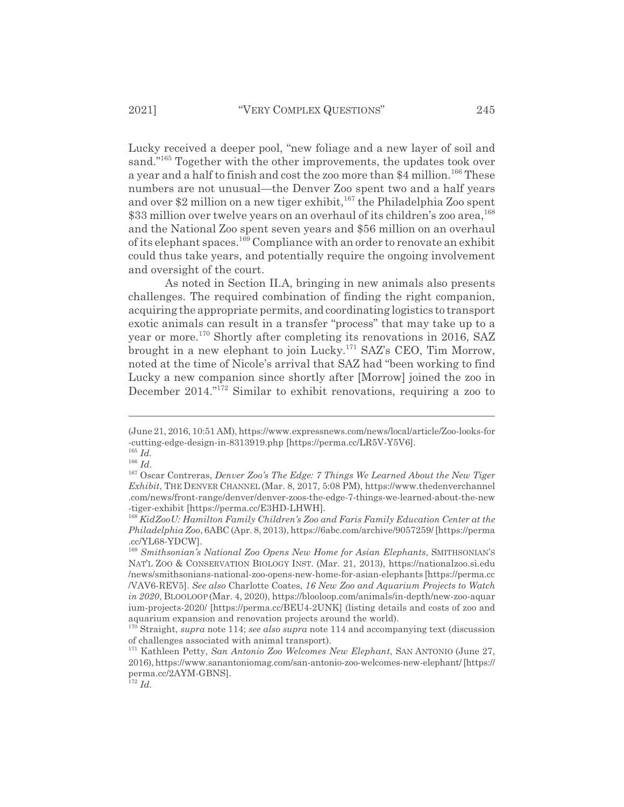Lucky received a deeper pool, "new foliage and a new layer of soil and sand."<sup>165</sup> Together with the other improvements, the updates took over a year and a half to finish and cost the zoo more than \$4 million.<sup>166</sup> These numbers are not unusual—the Denver Zoo spent two and a half years and over \$2 million on a new tiger exhibit,<sup>167</sup> the Philadelphia Zoo spent \$33 million over twelve years on an overhaul of its children's zoo area,<sup>168</sup> and the National Zoo spent seven years and \$56 million on an overhaul of its elephant spaces.169 Compliance with an order to renovate an exhibit could thus take years, and potentially require the ongoing involvement and oversight of the court.

As noted in Section II.A, bringing in new animals also presents challenges. The required combination of finding the right companion, acquiring the appropriate permits, and coordinating logistics to transport exotic animals can result in a transfer "process" that may take up to a year or more.<sup>170</sup> Shortly after completing its renovations in 2016, SAZ brought in a new elephant to join Lucky.171 SAZ's CEO, Tim Morrow, noted at the time of Nicole's arrival that SAZ had "been working to find Lucky a new companion since shortly after [Morrow] joined the zoo in December 2014."<sup>172</sup> Similar to exhibit renovations, requiring a zoo to

<sup>(</sup>June 21, 2016, 10:51 AM), https://www.expressnews.com/news/local/article/Zoo-looks-for -cutting-edge-design-in-8313919.php [https://perma.cc/LR5V-Y5V6].

<sup>165</sup> *Id.*

<sup>166</sup> *Id.*

<sup>167</sup> Oscar Contreras, *Denver Zoo's The Edge: 7 Things We Learned About the New Tiger Exhibit*, THE DENVER CHANNEL (Mar. 8, 2017, 5:08 PM), https://www.thedenverchannel .com/news/front-range/denver/denver-zoos-the-edge-7-things-we-learned-about-the-new -tiger-exhibit [https://perma.cc/E3HD-LHWH].

<sup>168</sup> *KidZooU: Hamilton Family Children's Zoo and Faris Family Education Center at the Philadelphia Zoo*, 6ABC (Apr. 8, 2013), https://6abc.com/archive/9057259/ [https://perma .cc/YL68-YDCW].

<sup>&</sup>lt;sup>169</sup> Smithsonian's National Zoo Opens New Home for Asian Elephants, SMITHSONIAN'S NAT'L ZOO & CONSERVATION BIOLOGY INST. (Mar. 21, 2013), https://nationalzoo.si.edu /news/smithsonians-national-zoo-opens-new-home-for-asian-elephants [https://perma.cc /VAV6-REV5]. *See also* Charlotte Coates, *16 New Zoo and Aquarium Projects to Watch in 2020*, BLOOLOOP (Mar. 4, 2020), https://blooloop.com/animals/in-depth/new-zoo-aquar ium-projects-2020/ [https://perma.cc/BEU4-2UNK] (listing details and costs of zoo and aquarium expansion and renovation projects around the world).

<sup>170</sup> Straight, *supra* note 114; *see also supra* note 114 and accompanying text (discussion of challenges associated with animal transport).

<sup>171</sup> Kathleen Petty, *San Antonio Zoo Welcomes New Elephant*, SAN ANTONIO (June 27, 2016), https://www.sanantoniomag.com/san-antonio-zoo-welcomes-new-elephant/ [https:// perma.cc/2AYM-GBNS].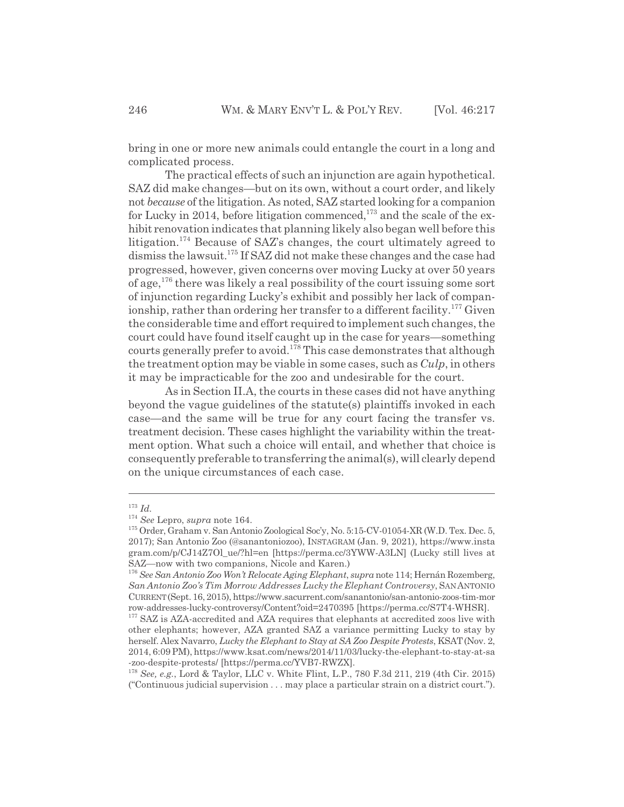bring in one or more new animals could entangle the court in a long and complicated process.

The practical effects of such an injunction are again hypothetical. SAZ did make changes—but on its own, without a court order, and likely not *because* of the litigation. As noted, SAZ started looking for a companion for Lucky in 2014, before litigation commenced,<sup> $173$ </sup> and the scale of the exhibit renovation indicates that planning likely also began well before this litigation.174 Because of SAZ's changes, the court ultimately agreed to dismiss the lawsuit.175 If SAZ did not make these changes and the case had progressed, however, given concerns over moving Lucky at over 50 years of age,<sup>176</sup> there was likely a real possibility of the court issuing some sort of injunction regarding Lucky's exhibit and possibly her lack of companionship, rather than ordering her transfer to a different facility.<sup>177</sup> Given the considerable time and effort required to implement such changes, the court could have found itself caught up in the case for years—something courts generally prefer to avoid.178 This case demonstrates that although the treatment option may be viable in some cases, such as *Culp*, in others it may be impracticable for the zoo and undesirable for the court.

As in Section II.A, the courts in these cases did not have anything beyond the vague guidelines of the statute(s) plaintiffs invoked in each case—and the same will be true for any court facing the transfer vs. treatment decision. These cases highlight the variability within the treatment option. What such a choice will entail, and whether that choice is consequently preferable to transferring the animal(s), will clearly depend on the unique circumstances of each case.

<sup>173</sup> *Id.*

<sup>174</sup> *See* Lepro, *supra* note 164.

<sup>175</sup> Order, Graham v. San Antonio Zoological Soc'y, No. 5:15-CV-01054-XR (W.D. Tex. Dec. 5, 2017); San Antonio Zoo (@sanantoniozoo), INSTAGRAM (Jan. 9, 2021), https://www.insta gram.com/p/CJ14Z7Ol\_ue/?hl=en [https://perma.cc/3YWW-A3LN] (Lucky still lives at SAZ—now with two companions, Nicole and Karen.)

<sup>176</sup> *See San Antonio Zoo Won't Relocate Aging Elephant*, *supra* note 114; Hernán Rozemberg, *San Antonio Zoo's Tim Morrow Addresses Lucky the Elephant Controversy*, SAN ANTONIO CURRENT(Sept. 16, 2015), https://www.sacurrent.com/sanantonio/san-antonio-zoos-tim-mor row-addresses-lucky-controversy/Content?oid=2470395 [https://perma.cc/S7T4-WHSR].

<sup>&</sup>lt;sup>177</sup> SAZ is AZA-accredited and AZA requires that elephants at accredited zoos live with other elephants; however, AZA granted SAZ a variance permitting Lucky to stay by herself. Alex Navarro, *Lucky the Elephant to Stay at SA Zoo Despite Protests*, KSAT(Nov. 2, 2014, 6:09 PM), https://www.ksat.com/news/2014/11/03/lucky-the-elephant-to-stay-at-sa -zoo-despite-protests/ [https://perma.cc/YVB7-RWZX].

<sup>178</sup> *See, e.g.*, Lord & Taylor, LLC v. White Flint, L.P., 780 F.3d 211, 219 (4th Cir. 2015) ("Continuous judicial supervision . . . may place a particular strain on a district court.").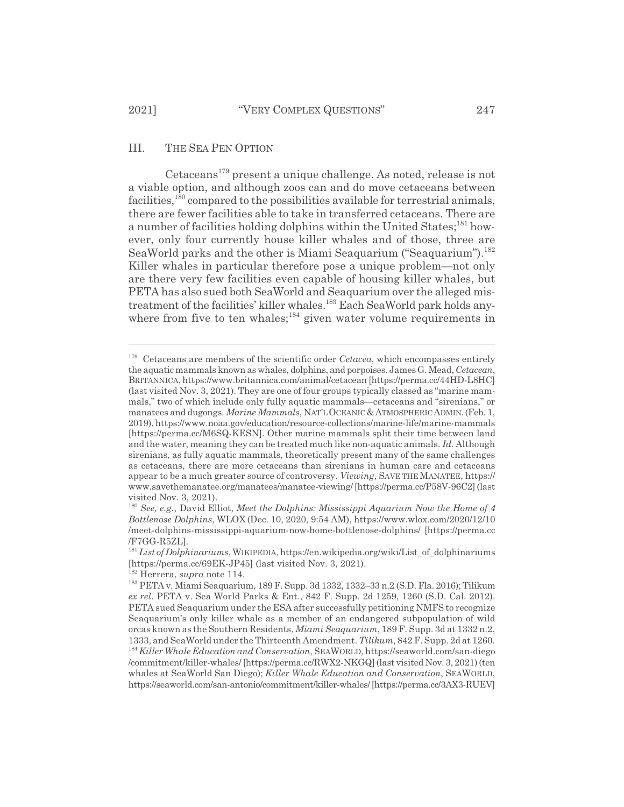#### III. THE SEA PEN OPTION

Cetaceans<sup>179</sup> present a unique challenge. As noted, release is not a viable option, and although zoos can and do move cetaceans between facilities,<sup>180</sup> compared to the possibilities available for terrestrial animals, there are fewer facilities able to take in transferred cetaceans. There are a number of facilities holding dolphins within the United States;<sup>181</sup> however, only four currently house killer whales and of those, three are SeaWorld parks and the other is Miami Seaquarium ("Seaquarium").<sup>182</sup> Killer whales in particular therefore pose a unique problem—not only are there very few facilities even capable of housing killer whales, but PETA has also sued both SeaWorld and Seaquarium over the alleged mistreatment of the facilities' killer whales.<sup>183</sup> Each SeaWorld park holds anywhere from five to ten whales; $184$  given water volume requirements in

<sup>179</sup> Cetaceans are members of the scientific order *Cetacea*, which encompasses entirely the aquatic mammals known as whales, dolphins, and porpoises. James G. Mead, *Cetacean*, BRITANNICA, https://www.britannica.com/animal/cetacean [https://perma.cc/44HD-L8HC] (last visited Nov. 3, 2021). They are one of four groups typically classed as "marine mammals," two of which include only fully aquatic mammals—cetaceans and "sirenians," or manatees and dugongs. *Marine Mammals*, NAT'LOCEANIC&ATMOSPHERIC ADMIN.(Feb. 1, 2019), https://www.noaa.gov/education/resource-collections/marine-life/marine-mammals [https://perma.cc/M6SQ-KESN]. Other marine mammals split their time between land and the water, meaning they can be treated much like non-aquatic animals. *Id.* Although sirenians, as fully aquatic mammals, theoretically present many of the same challenges as cetaceans, there are more cetaceans than sirenians in human care and cetaceans appear to be a much greater source of controversy. *Viewing*, SAVE THE MANATEE, https:// www.savethemanatee.org/manatees/manatee-viewing/ [https://perma.cc/P58V-96C2] (last visited Nov. 3, 2021).

<sup>180</sup> *See, e.g.*, David Elliot, *Meet the Dolphins: Mississippi Aquarium Now the Home of 4 Bottlenose Dolphins*, WLOX (Dec. 10, 2020, 9:54 AM), https://www.wlox.com/2020/12/10 /meet-dolphins-mississippi-aquarium-now-home-bottlenose-dolphins/ [https://perma.cc /F7GG-R5ZL].

<sup>181</sup>*List of Dolphinariums*, WIKIPEDIA, https://en.wikipedia.org/wiki/List\_of\_dolphinariums [https://perma.cc/69EK-JP45] (last visited Nov. 3, 2021).

<sup>182</sup> Herrera, *supra* note 114.

<sup>183</sup> PETA v. Miami Seaquarium, 189 F. Supp. 3d 1332, 1332–33 n.2 (S.D. Fla. 2016); Tilikum *ex rel*. PETA v. Sea World Parks & Ent., 842 F. Supp. 2d 1259, 1260 (S.D. Cal. 2012). PETA sued Seaquarium under the ESA after successfully petitioning NMFS to recognize Seaquarium's only killer whale as a member of an endangered subpopulation of wild orcas known as the Southern Residents, *Miami Seaquarium*, 189 F. Supp. 3d at 1332 n.2, 1333, and SeaWorld under the Thirteenth Amendment. *Tilikum*, 842 F. Supp. 2d at 1260. <sup>184</sup> *Killer Whale Education and Conservation*, SEAWORLD, https://seaworld.com/san-diego /commitment/killer-whales/ [https://perma.cc/RWX2-NKGQ] (last visited Nov. 3, 2021) (ten whales at SeaWorld San Diego); *Killer Whale Education and Conservation*, SEAWORLD, https://seaworld.com/san-antonio/commitment/killer-whales/ [https://perma.cc/3AX3-RUEV]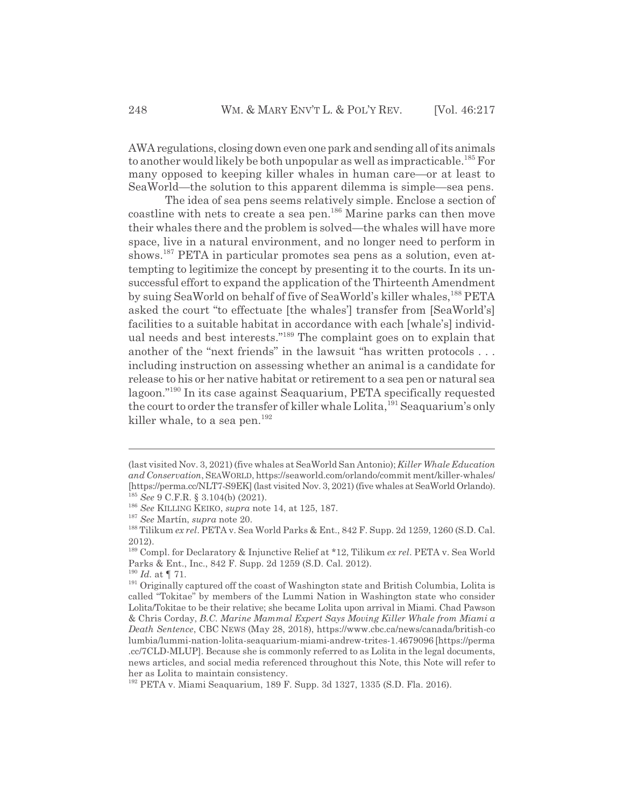AWA regulations, closing down even one park and sending all of its animals to another would likely be both unpopular as well as impracticable.185 For many opposed to keeping killer whales in human care—or at least to SeaWorld—the solution to this apparent dilemma is simple—sea pens.

The idea of sea pens seems relatively simple. Enclose a section of coastline with nets to create a sea pen.<sup>186</sup> Marine parks can then move their whales there and the problem is solved—the whales will have more space, live in a natural environment, and no longer need to perform in shows.<sup>187</sup> PETA in particular promotes sea pens as a solution, even attempting to legitimize the concept by presenting it to the courts. In its unsuccessful effort to expand the application of the Thirteenth Amendment by suing SeaWorld on behalf of five of SeaWorld's killer whales,<sup>188</sup> PETA asked the court "to effectuate [the whales'] transfer from [SeaWorld's] facilities to a suitable habitat in accordance with each [whale's] individual needs and best interests."189 The complaint goes on to explain that another of the "next friends" in the lawsuit "has written protocols . . . including instruction on assessing whether an animal is a candidate for release to his or her native habitat or retirement to a sea pen or natural sea lagoon."190 In its case against Seaquarium, PETA specifically requested the court to order the transfer of killer whale Lolita,<sup>191</sup> Seaquarium's only killer whale, to a sea pen.<sup>192</sup>

<sup>(</sup>last visited Nov. 3, 2021) (five whales at SeaWorld San Antonio); *Killer Whale Education and Conservation*, SEAWORLD, https://seaworld.com/orlando/commit ment/killer-whales/ [https://perma.cc/NLT7-S9EK] (last visited Nov. 3, 2021) (five whales at SeaWorld Orlando). <sup>185</sup> *See* 9 C.F.R. § 3.104(b) (2021).

<sup>186</sup> *See* KILLING KEIKO, *supra* note 14, at 125, 187.

<sup>187</sup> *See* Martín, *supra* note 20.

<sup>188</sup> Tilikum *ex rel*. PETA v. Sea World Parks & Ent., 842 F. Supp. 2d 1259, 1260 (S.D. Cal. 2012).

<sup>189</sup> Compl. for Declaratory & Injunctive Relief at \*12, Tilikum *ex rel*. PETA v. Sea World Parks & Ent., Inc., 842 F. Supp. 2d 1259 (S.D. Cal. 2012).

<sup>190</sup> *Id.* at ¶ 71.

<sup>&</sup>lt;sup>191</sup> Originally captured off the coast of Washington state and British Columbia, Lolita is called "Tokitae" by members of the Lummi Nation in Washington state who consider Lolita/Tokitae to be their relative; she became Lolita upon arrival in Miami. Chad Pawson & Chris Corday, *B.C. Marine Mammal Expert Says Moving Killer Whale from Miami a Death Sentence*, CBC NEWS (May 28, 2018), https://www.cbc.ca/news/canada/british-co lumbia/lummi-nation-lolita-seaquarium-miami-andrew-trites-1.4679096 [https://perma .cc/7CLD-MLUP]. Because she is commonly referred to as Lolita in the legal documents, news articles, and social media referenced throughout this Note, this Note will refer to her as Lolita to maintain consistency.

<sup>192</sup> PETA v. Miami Seaquarium, 189 F. Supp. 3d 1327, 1335 (S.D. Fla. 2016).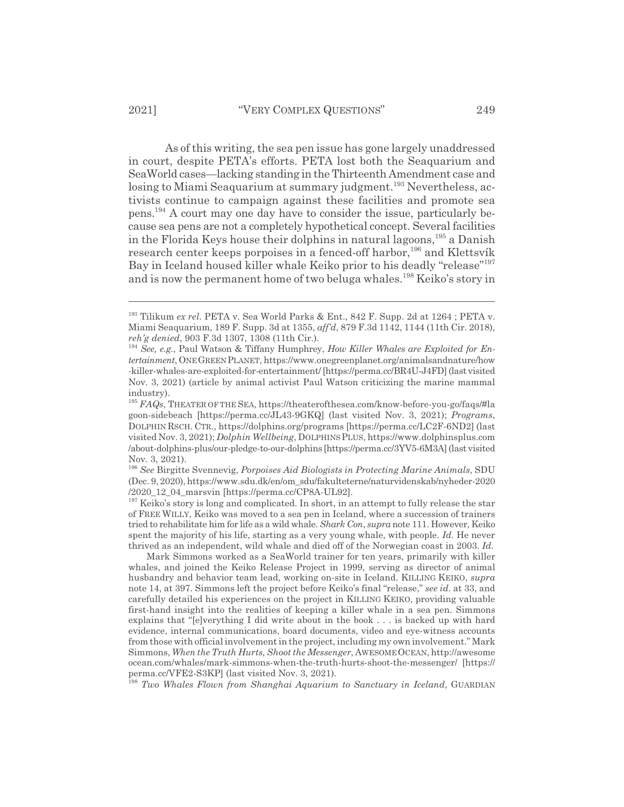As of this writing, the sea pen issue has gone largely unaddressed in court, despite PETA's efforts. PETA lost both the Seaquarium and SeaWorld cases—lacking standing in the Thirteenth Amendment case and losing to Miami Seaquarium at summary judgment.<sup>193</sup> Nevertheless, activists continue to campaign against these facilities and promote sea pens.194 A court may one day have to consider the issue, particularly because sea pens are not a completely hypothetical concept. Several facilities

in the Florida Keys house their dolphins in natural lagoons,  $195$  a Danish research center keeps porpoises in a fenced-off harbor,<sup>196</sup> and Klettsvík Bay in Iceland housed killer whale Keiko prior to his deadly "release"197 and is now the permanent home of two beluga whales.<sup>198</sup> Keiko's story in

<sup>197</sup> Keiko's story is long and complicated. In short, in an attempt to fully release the star of FREE WILLY, Keiko was moved to a sea pen in Iceland, where a succession of trainers tried to rehabilitate him for life as a wild whale. *Shark Con*, *supra* note 111. However, Keiko spent the majority of his life, starting as a very young whale, with people. *Id.* He never thrived as an independent, wild whale and died off of the Norwegian coast in 2003. *Id.*

Mark Simmons worked as a SeaWorld trainer for ten years, primarily with killer whales, and joined the Keiko Release Project in 1999, serving as director of animal husbandry and behavior team lead, working on-site in Iceland. KILLING KEIKO, *supra* note 14, at 397. Simmons left the project before Keiko's final "release," *see id.* at 33, and carefully detailed his experiences on the project in KILLING KEIKO, providing valuable first-hand insight into the realities of keeping a killer whale in a sea pen. Simmons explains that "[e]verything I did write about in the book . . . is backed up with hard evidence, internal communications, board documents, video and eye-witness accounts from those with official involvement in the project, including my own involvement." Mark Simmons, *When the Truth Hurts, Shoot the Messenger*, AWESOMEOCEAN, http://awesome ocean.com/whales/mark-simmons-when-the-truth-hurts-shoot-the-messenger/ [https:// perma.cc/VFE2-S3KP] (last visited Nov. 3, 2021).

<sup>198</sup> *Two Whales Flown from Shanghai Aquarium to Sanctuary in Iceland*, GUARDIAN

<sup>193</sup> Tilikum *ex rel*. PETA v. Sea World Parks & Ent., 842 F. Supp. 2d at 1264 ; PETA v. Miami Seaquarium, 189 F. Supp. 3d at 1355, *aff'd*, 879 F.3d 1142, 1144 (11th Cir. 2018), *reh'g denied*, 903 F.3d 1307, 1308 (11th Cir.).

<sup>194</sup> *See, e.g.*, Paul Watson & Tiffany Humphrey, *How Killer Whales are Exploited for Entertainment*, ONEGREEN PLANET, https://www.onegreenplanet.org/animalsandnature/how -killer-whales-are-exploited-for-entertainment/ [https://perma.cc/BR4U-J4FD] (last visited Nov. 3, 2021) (article by animal activist Paul Watson criticizing the marine mammal industry).

<sup>195</sup> *FAQs*, THEATER OF THE SEA, https://theaterofthesea.com/know-before-you-go/faqs/#la goon-sidebeach [https://perma.cc/JL43-9GKQ] (last visited Nov. 3, 2021); *Programs*, DOLPHIN RSCH. CTR., https://dolphins.org/programs [https://perma.cc/LC2F-6ND2] (last visited Nov. 3, 2021); *Dolphin Wellbeing*, DOLPHINSPLUS, https://www.dolphinsplus.com /about-dolphins-plus/our-pledge-to-our-dolphins [https://perma.cc/3YV5-6M3A] (last visited Nov. 3, 2021).

<sup>196</sup> *See* Birgitte Svennevig, *Porpoises Aid Biologists in Protecting Marine Animals*, SDU (Dec. 9, 2020), https://www.sdu.dk/en/om\_sdu/fakulteterne/naturvidenskab/nyheder-2020 /2020\_12\_04\_marsvin [https://perma.cc/CP8A-UL92].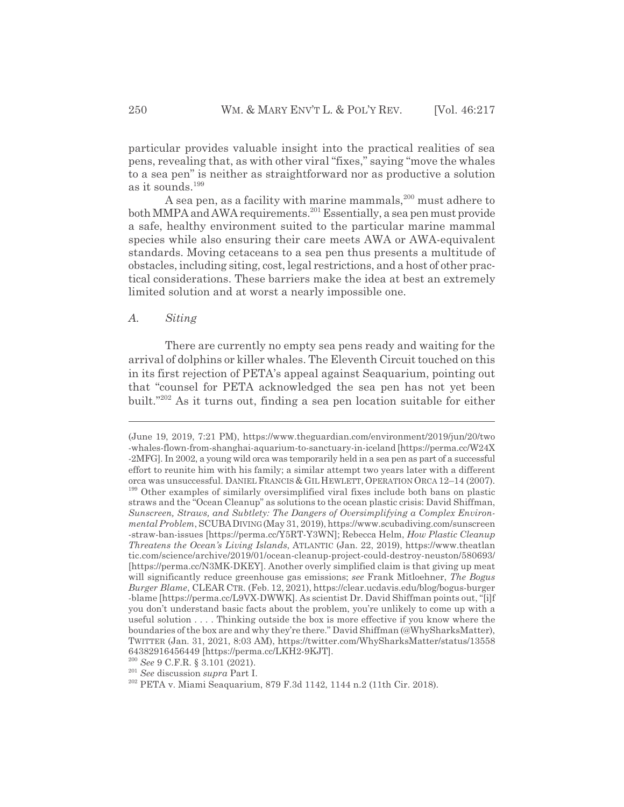particular provides valuable insight into the practical realities of sea pens, revealing that, as with other viral "fixes," saying "move the whales to a sea pen" is neither as straightforward nor as productive a solution as it sounds.<sup>199</sup>

A sea pen, as a facility with marine mammals, $200$  must adhere to both MMPA and AWA requirements.<sup>201</sup> Essentially, a sea pen must provide a safe, healthy environment suited to the particular marine mammal species while also ensuring their care meets AWA or AWA-equivalent standards. Moving cetaceans to a sea pen thus presents a multitude of obstacles, including siting, cost, legal restrictions, and a host of other practical considerations. These barriers make the idea at best an extremely limited solution and at worst a nearly impossible one.

#### *A. Siting*

There are currently no empty sea pens ready and waiting for the arrival of dolphins or killer whales. The Eleventh Circuit touched on this in its first rejection of PETA's appeal against Seaquarium, pointing out that "counsel for PETA acknowledged the sea pen has not yet been built."202 As it turns out, finding a sea pen location suitable for either

<sup>(</sup>June 19, 2019, 7:21 PM), https://www.theguardian.com/environment/2019/jun/20/two -whales-flown-from-shanghai-aquarium-to-sanctuary-in-iceland [https://perma.cc/W24X -2MFG]. In 2002, a young wild orca was temporarily held in a sea pen as part of a successful effort to reunite him with his family; a similar attempt two years later with a different orca was unsuccessful. DANIEL FRANCIS & GIL HEWLETT, OPERATION ORCA 12–14 (2007). <sup>199</sup> Other examples of similarly oversimplified viral fixes include both bans on plastic straws and the "Ocean Cleanup" as solutions to the ocean plastic crisis: David Shiffman, *Sunscreen, Straws, and Subtlety: The Dangers of Oversimplifying a Complex Environmental Problem*, SCUBADIVING(May 31, 2019), https://www.scubadiving.com/sunscreen -straw-ban-issues [https://perma.cc/Y5RT-Y3WN]; Rebecca Helm, *How Plastic Cleanup Threatens the Ocean's Living Islands*, ATLANTIC (Jan. 22, 2019), https://www.theatlan tic.com/science/archive/2019/01/ocean-cleanup-project-could-destroy-neuston/580693/ [https://perma.cc/N3MK-DKEY]. Another overly simplified claim is that giving up meat will significantly reduce greenhouse gas emissions; *see* Frank Mitloehner, *The Bogus Burger Blame*, CLEAR CTR. (Feb. 12, 2021), https://clear.ucdavis.edu/blog/bogus-burger -blame [https://perma.cc/L9VX-DWWK]. As scientist Dr. David Shiffman points out, "[i]f you don't understand basic facts about the problem, you're unlikely to come up with a useful solution . . . . Thinking outside the box is more effective if you know where the boundaries of the box are and why they're there." David Shiffman (@WhySharksMatter), TWITTER (Jan. 31, 2021, 8:03 AM), https://twitter.com/WhySharksMatter/status/13558 64382916456449 [https://perma.cc/LKH2-9KJT].

<sup>200</sup> *See* 9 C.F.R. § 3.101 (2021).

<sup>201</sup> *See* discussion *supra* Part I.

<sup>202</sup> PETA v. Miami Seaquarium, 879 F.3d 1142, 1144 n.2 (11th Cir. 2018).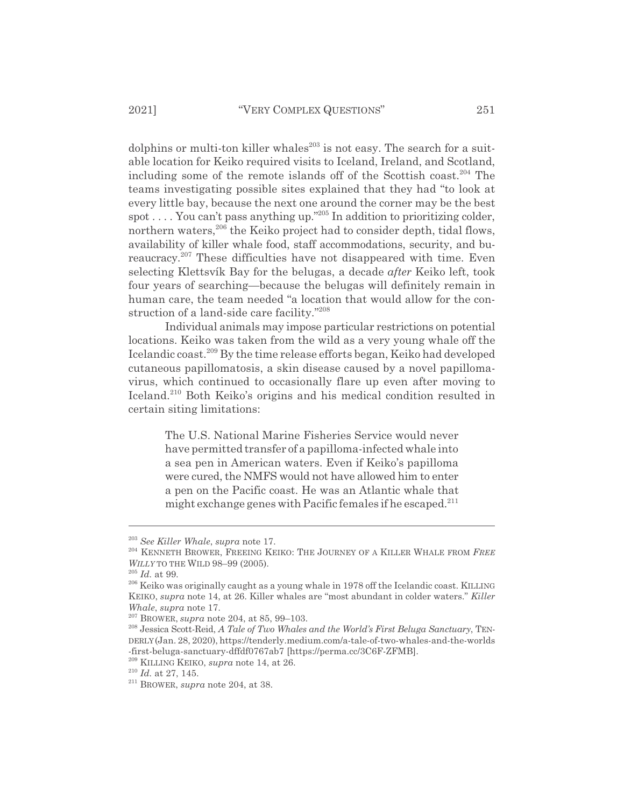dolphins or multi-ton killer whales $^{203}$  is not easy. The search for a suitable location for Keiko required visits to Iceland, Ireland, and Scotland, including some of the remote islands off of the Scottish coast.<sup>204</sup> The teams investigating possible sites explained that they had "to look at every little bay, because the next one around the corner may be the best spot . . . . You can't pass anything up."205 In addition to prioritizing colder, northern waters,<sup>206</sup> the Keiko project had to consider depth, tidal flows, availability of killer whale food, staff accommodations, security, and bureaucracy.<sup>207</sup> These difficulties have not disappeared with time. Even selecting Klettsvík Bay for the belugas, a decade *after* Keiko left, took four years of searching—because the belugas will definitely remain in human care, the team needed "a location that would allow for the construction of a land-side care facility."<sup>208</sup>

Individual animals may impose particular restrictions on potential locations. Keiko was taken from the wild as a very young whale off the Icelandic coast.<sup>209</sup> By the time release efforts began, Keiko had developed cutaneous papillomatosis, a skin disease caused by a novel papillomavirus, which continued to occasionally flare up even after moving to Iceland.210 Both Keiko's origins and his medical condition resulted in certain siting limitations:

> The U.S. National Marine Fisheries Service would never have permitted transfer of a papilloma-infected whale into a sea pen in American waters. Even if Keiko's papilloma were cured, the NMFS would not have allowed him to enter a pen on the Pacific coast. He was an Atlantic whale that might exchange genes with Pacific females if he escaped.<sup>211</sup>

<sup>203</sup> *See Killer Whale*, *supra* note 17.

<sup>204</sup> KENNETH BROWER, FREEING KEIKO: THE JOURNEY OF A KILLER WHALE FROM *FREE WILLY* TO THE WILD 98–99 (2005).

<sup>205</sup> *Id.* at 99.

<sup>&</sup>lt;sup>206</sup> Keiko was originally caught as a young whale in 1978 off the Icelandic coast. KILLING KEIKO, *supra* note 14, at 26. Killer whales are "most abundant in colder waters." *Killer Whale*, *supra* note 17.

<sup>207</sup> BROWER, *supra* note 204, at 85, 99–103.

<sup>208</sup> Jessica Scott-Reid, *A Tale of Two Whales and the World's First Beluga Sanctuary*, TEN-DERLY (Jan. 28, 2020), https://tenderly.medium.com/a-tale-of-two-whales-and-the-worlds -first-beluga-sanctuary-dffdf0767ab7 [https://perma.cc/3C6F-ZFMB].

<sup>209</sup> KILLING KEIKO, *supra* note 14, at 26.

<sup>210</sup> *Id.* at 27, 145.

<sup>211</sup> BROWER, *supra* note 204, at 38.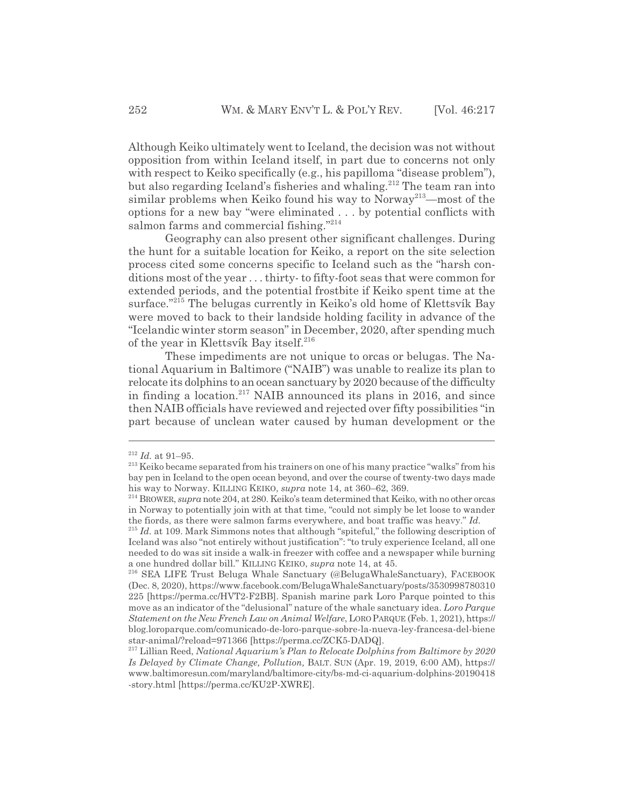Although Keiko ultimately went to Iceland, the decision was not without opposition from within Iceland itself, in part due to concerns not only with respect to Keiko specifically (e.g., his papilloma "disease problem"), but also regarding Iceland's fisheries and whaling.<sup>212</sup> The team ran into similar problems when Keiko found his way to Norway<sup>213</sup>—most of the options for a new bay "were eliminated . . . by potential conflicts with salmon farms and commercial fishing."<sup>214</sup>

Geography can also present other significant challenges. During the hunt for a suitable location for Keiko, a report on the site selection process cited some concerns specific to Iceland such as the "harsh conditions most of the year . . . thirty- to fifty-foot seas that were common for extended periods, and the potential frostbite if Keiko spent time at the surface."215 The belugas currently in Keiko's old home of Klettsvík Bay were moved to back to their landside holding facility in advance of the "Icelandic winter storm season" in December, 2020, after spending much of the year in Klettsvík Bay itself.<sup>216</sup>

These impediments are not unique to orcas or belugas. The National Aquarium in Baltimore ("NAIB") was unable to realize its plan to relocate its dolphins to an ocean sanctuary by 2020 because of the difficulty in finding a location.217 NAIB announced its plans in 2016, and since then NAIB officials have reviewed and rejected over fifty possibilities "in part because of unclean water caused by human development or the

<sup>212</sup> *Id.* at 91–95.

<sup>&</sup>lt;sup>213</sup> Keiko became separated from his trainers on one of his many practice "walks" from his bay pen in Iceland to the open ocean beyond, and over the course of twenty-two days made his way to Norway. KILLING KEIKO, *supra* note 14, at 360–62, 369.

<sup>214</sup> BROWER, *supra* note 204, at 280. Keiko's team determined that Keiko, with no other orcas in Norway to potentially join with at that time, "could not simply be let loose to wander the fiords, as there were salmon farms everywhere, and boat traffic was heavy." *Id.*

<sup>&</sup>lt;sup>215</sup> *Id.* at 109. Mark Simmons notes that although "spiteful," the following description of Iceland was also "not entirely without justification": "to truly experience Iceland, all one needed to do was sit inside a walk-in freezer with coffee and a newspaper while burning a one hundred dollar bill." KILLING KEIKO, *supra* note 14, at 45.

<sup>216</sup> SEA LIFE Trust Beluga Whale Sanctuary (@BelugaWhaleSanctuary), FACEBOOK (Dec. 8, 2020), https://www.facebook.com/BelugaWhaleSanctuary/posts/3530998780310 225 [https://perma.cc/HVT2-F2BB]. Spanish marine park Loro Parque pointed to this move as an indicator of the "delusional" nature of the whale sanctuary idea. *Loro Parque Statement on the New French Law on Animal Welfare*, LORO PARQUE (Feb. 1, 2021), https:// blog.loroparque.com/comunicado-de-loro-parque-sobre-la-nueva-ley-francesa-del-biene star-animal/?reload=971366 [https://perma.cc/ZCK5-DADQ].

<sup>217</sup> Lillian Reed, *National Aquarium's Plan to Relocate Dolphins from Baltimore by 2020 Is Delayed by Climate Change, Pollution,* BALT. SUN (Apr. 19, 2019, 6:00 AM), https:// www.baltimoresun.com/maryland/baltimore-city/bs-md-ci-aquarium-dolphins-20190418 -story.html [https://perma.cc/KU2P-XWRE].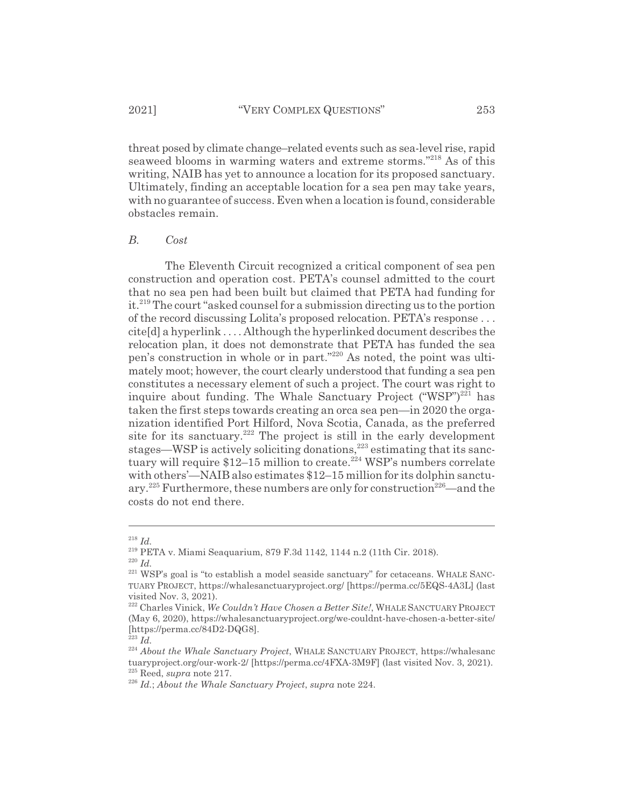threat posed by climate change–related events such as sea-level rise, rapid seaweed blooms in warming waters and extreme storms."218 As of this writing, NAIB has yet to announce a location for its proposed sanctuary. Ultimately, finding an acceptable location for a sea pen may take years, with no guarantee of success. Even when a location is found, considerable obstacles remain.

#### *B. Cost*

The Eleventh Circuit recognized a critical component of sea pen construction and operation cost. PETA's counsel admitted to the court that no sea pen had been built but claimed that PETA had funding for it.219 The court "asked counsel for a submission directing us to the portion of the record discussing Lolita's proposed relocation. PETA's response . . . cite[d] a hyperlink . . . . Although the hyperlinked document describes the relocation plan, it does not demonstrate that PETA has funded the sea pen's construction in whole or in part."220 As noted, the point was ultimately moot; however, the court clearly understood that funding a sea pen constitutes a necessary element of such a project. The court was right to inquire about funding. The Whale Sanctuary Project  $("WSP")^{221}$  has taken the first steps towards creating an orca sea pen—in 2020 the organization identified Port Hilford, Nova Scotia, Canada, as the preferred site for its sanctuary.<sup>222</sup> The project is still in the early development stages—WSP is actively soliciting donations,  $^{223}$  estimating that its sanctuary will require  $$12-15$  million to create.<sup>224</sup> WSP's numbers correlate with others'—NAIB also estimates \$12–15 million for its dolphin sanctuary.<sup>225</sup> Furthermore, these numbers are only for construction<sup>226</sup>—and the costs do not end there.

<sup>218</sup> *Id.*

<sup>219</sup> PETA v. Miami Seaquarium, 879 F.3d 1142, 1144 n.2 (11th Cir. 2018).

<sup>220</sup> *Id.*

 $221$  WSP's goal is "to establish a model seaside sanctuary" for cetaceans. WHALE SANC-TUARY PROJECT, https://whalesanctuaryproject.org/ [https://perma.cc/5EQS-4A3L] (last visited Nov. 3, 2021).

<sup>222</sup> Charles Vinick, *We Couldn't Have Chosen a Better Site!*, WHALE SANCTUARY PROJECT (May 6, 2020), https://whalesanctuaryproject.org/we-couldnt-have-chosen-a-better-site/ [https://perma.cc/84D2-DQG8].

<sup>223</sup> *Id.*

<sup>224</sup> *About the Whale Sanctuary Project*, WHALE SANCTUARY PROJECT, https://whalesanc tuaryproject.org/our-work-2/ [https://perma.cc/4FXA-3M9F] (last visited Nov. 3, 2021). 225 Reed, *supra* note 217.

<sup>226</sup> *Id.*; *About the Whale Sanctuary Project*, *supra* note 224.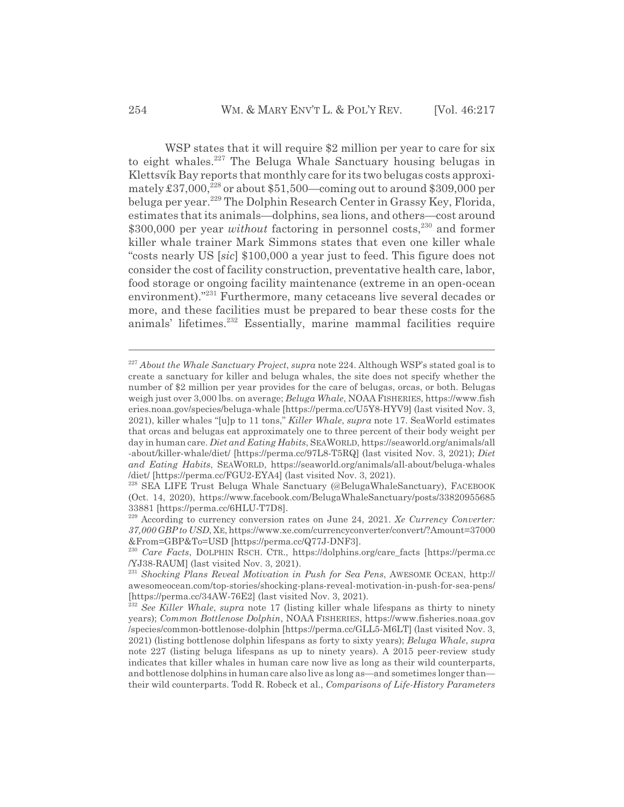WSP states that it will require \$2 million per year to care for six to eight whales.<sup>227</sup> The Beluga Whale Sanctuary housing belugas in Klettsvík Bay reports that monthly care for its two belugas costs approximately  $£37,000,^{228}$  or about  $$51,500$ —coming out to around  $$309,000$  per beluga per year.229 The Dolphin Research Center in Grassy Key, Florida, estimates that its animals—dolphins, sea lions, and others—cost around \$300,000 per year *without* factoring in personnel costs,<sup>230</sup> and former killer whale trainer Mark Simmons states that even one killer whale "costs nearly US [*sic*] \$100,000 a year just to feed. This figure does not consider the cost of facility construction, preventative health care, labor, food storage or ongoing facility maintenance (extreme in an open-ocean environment)."<sup>231</sup> Furthermore, many cetaceans live several decades or more, and these facilities must be prepared to bear these costs for the animals' lifetimes.232 Essentially, marine mammal facilities require

<sup>227</sup> *About the Whale Sanctuary Project*, *supra* note 224. Although WSP's stated goal is to create a sanctuary for killer and beluga whales, the site does not specify whether the number of \$2 million per year provides for the care of belugas, orcas, or both. Belugas weigh just over 3,000 lbs. on average; *Beluga Whale*, NOAA FISHERIES, https://www.fish eries.noaa.gov/species/beluga-whale [https://perma.cc/U5Y8-HYV9] (last visited Nov. 3, 2021), killer whales "[u]p to 11 tons," *Killer Whale*, *supra* note 17. SeaWorld estimates that orcas and belugas eat approximately one to three percent of their body weight per day in human care. *Diet and Eating Habits*, SEAWORLD, https://seaworld.org/animals/all -about/killer-whale/diet/ [https://perma.cc/97L8-T5RQ] (last visited Nov. 3, 2021); *Diet and Eating Habits*, SEAWORLD, https://seaworld.org/animals/all-about/beluga-whales /diet/ [https://perma.cc/FGU2-EYA4] (last visited Nov. 3, 2021).

<sup>228</sup> SEA LIFE Trust Beluga Whale Sanctuary (@BelugaWhaleSanctuary), FACEBOOK (Oct. 14, 2020), https://www.facebook.com/BelugaWhaleSanctuary/posts/33820955685 33881 [https://perma.cc/6HLU-T7D8].

<sup>229</sup> According to currency conversion rates on June 24, 2021. *Xe Currency Converter: 37,000 GBP to USD*, XE, https://www.xe.com/currencyconverter/convert/?Amount=37000 &From=GBP&To=USD [https://perma.cc/Q77J-DNF3].

<sup>230</sup> *Care Facts*, DOLPHIN RSCH. CTR., https://dolphins.org/care\_facts [https://perma.cc /YJ38-RAUM] (last visited Nov. 3, 2021).

<sup>231</sup> *Shocking Plans Reveal Motivation in Push for Sea Pens*, AWESOME OCEAN, http:// awesomeocean.com/top-stories/shocking-plans-reveal-motivation-in-push-for-sea-pens/ [https://perma.cc/34AW-76E2] (last visited Nov. 3, 2021).

<sup>&</sup>lt;sup>232</sup> See Killer Whale, *supra* note 17 (listing killer whale lifespans as thirty to ninety years); *Common Bottlenose Dolphin*, NOAA FISHERIES, https://www.fisheries.noaa.gov /species/common-bottlenose-dolphin [https://perma.cc/GLL5-M6LT] (last visited Nov. 3, 2021) (listing bottlenose dolphin lifespans as forty to sixty years); *Beluga Whale*, *supra* note 227 (listing beluga lifespans as up to ninety years). A 2015 peer-review study indicates that killer whales in human care now live as long as their wild counterparts, and bottlenose dolphins in human care also live as long as—and sometimes longer than their wild counterparts. Todd R. Robeck et al., *Comparisons of Life-History Parameters*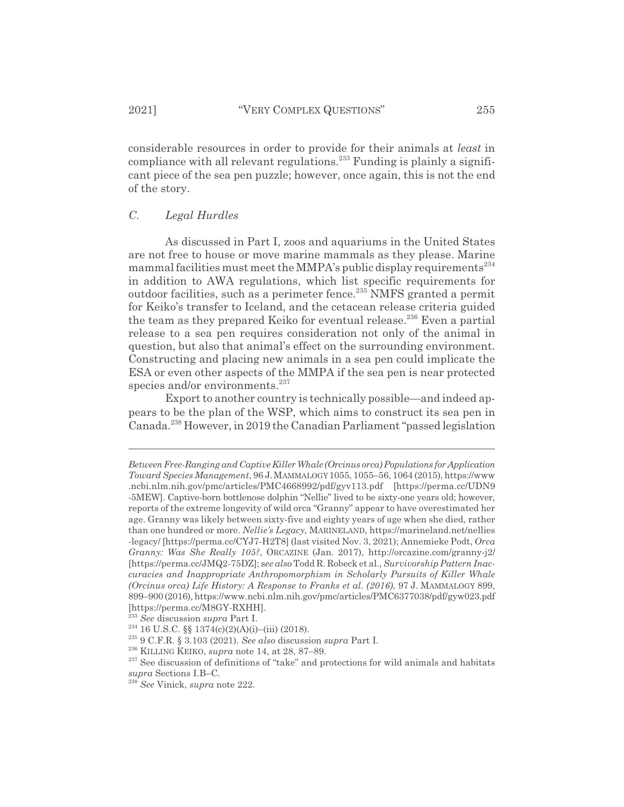considerable resources in order to provide for their animals at *least* in compliance with all relevant regulations.<sup>233</sup> Funding is plainly a significant piece of the sea pen puzzle; however, once again, this is not the end of the story.

## *C. Legal Hurdles*

As discussed in Part I, zoos and aquariums in the United States are not free to house or move marine mammals as they please. Marine mammal facilities must meet the MMPA's public display requirements<sup>234</sup> in addition to AWA regulations, which list specific requirements for outdoor facilities, such as a perimeter fence.235 NMFS granted a permit for Keiko's transfer to Iceland, and the cetacean release criteria guided the team as they prepared Keiko for eventual release.<sup>236</sup> Even a partial release to a sea pen requires consideration not only of the animal in question, but also that animal's effect on the surrounding environment. Constructing and placing new animals in a sea pen could implicate the ESA or even other aspects of the MMPA if the sea pen is near protected species and/or environments.<sup>237</sup>

Export to another country is technically possible—and indeed appears to be the plan of the WSP, which aims to construct its sea pen in Canada.238 However, in 2019 the Canadian Parliament "passed legislation

*Between Free-Ranging and Captive Killer Whale (Orcinus orca) Populations for Application Toward Species Management*, 96 J.MAMMALOGY1055, 1055–56, 1064 (2015), https://www .ncbi.nlm.nih.gov/pmc/articles/PMC4668992/pdf/gyv113.pdf [https://perma.cc/UDN9 -5MEW]. Captive-born bottlenose dolphin "Nellie" lived to be sixty-one years old; however, reports of the extreme longevity of wild orca "Granny" appear to have overestimated her age. Granny was likely between sixty-five and eighty years of age when she died, rather than one hundred or more. *Nellie's Legacy*, MARINELAND, https://marineland.net/nellies -legacy/ [https://perma.cc/CYJ7-H2T8] (last visited Nov. 3, 2021); Annemieke Podt, *Orca Granny: Was She Really 105?*, ORCAZINE (Jan. 2017), http://orcazine.com/granny-j2/ [https://perma.cc/JMQ2-75DZ]; s*ee also* Todd R. Robeck et al., *Survivorship Pattern Inaccuracies and Inappropriate Anthropomorphism in Scholarly Pursuits of Killer Whale (Orcinus orca) Life History: A Response to Franks et al. (2016)*, 97 J. MAMMALOGY 899, 899–900 (2016), https://www.ncbi.nlm.nih.gov/pmc/articles/PMC6377038/pdf/gyw023.pdf [https://perma.cc/M8GY-RXHH].

<sup>233</sup> *See* discussion *supra* Part I.

<sup>&</sup>lt;sup>234</sup> 16 U.S.C. §§ 1374(c)(2)(A)(i)–(iii) (2018).

<sup>235 9</sup> C.F.R. § 3.103 (2021). *See also* discussion *supra* Part I.

<sup>236</sup> KILLING KEIKO, *supra* note 14, at 28, 87–89.

<sup>&</sup>lt;sup>237</sup> See discussion of definitions of "take" and protections for wild animals and habitats *supra* Sections I.B–C.

<sup>238</sup> *See* Vinick, *supra* note 222.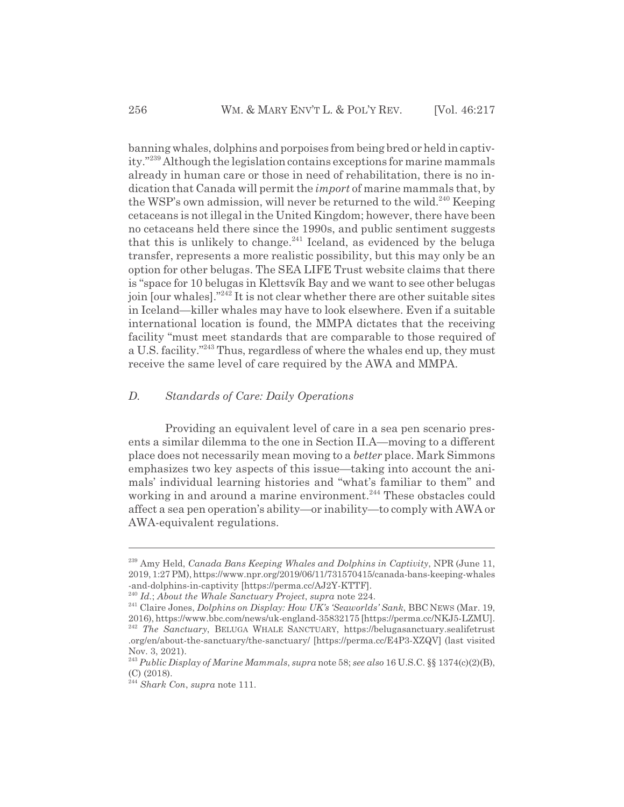banning whales, dolphins and porpoises from being bred or held in captivity."239 Although the legislation contains exceptions for marine mammals already in human care or those in need of rehabilitation, there is no indication that Canada will permit the *import* of marine mammals that, by the WSP's own admission, will never be returned to the wild.<sup>240</sup> Keeping cetaceans is not illegal in the United Kingdom; however, there have been no cetaceans held there since the 1990s, and public sentiment suggests that this is unlikely to change. $^{241}$  Iceland, as evidenced by the beluga transfer, represents a more realistic possibility, but this may only be an option for other belugas. The SEA LIFE Trust website claims that there is "space for 10 belugas in Klettsvík Bay and we want to see other belugas join [our whales]."242 It is not clear whether there are other suitable sites in Iceland—killer whales may have to look elsewhere. Even if a suitable international location is found, the MMPA dictates that the receiving facility "must meet standards that are comparable to those required of a U.S. facility."243 Thus, regardless of where the whales end up, they must receive the same level of care required by the AWA and MMPA.

#### *D. Standards of Care: Daily Operations*

Providing an equivalent level of care in a sea pen scenario presents a similar dilemma to the one in Section II.A—moving to a different place does not necessarily mean moving to a *better* place. Mark Simmons emphasizes two key aspects of this issue—taking into account the animals' individual learning histories and "what's familiar to them" and working in and around a marine environment.<sup>244</sup> These obstacles could affect a sea pen operation's ability—or inability—to comply with AWA or AWA-equivalent regulations.

<sup>239</sup> Amy Held, *Canada Bans Keeping Whales and Dolphins in Captivity*, NPR (June 11, 2019, 1:27 PM), https://www.npr.org/2019/06/11/731570415/canada-bans-keeping-whales -and-dolphins-in-captivity [https://perma.cc/AJ2Y-KTTF].

<sup>240</sup> *Id.*; *About the Whale Sanctuary Project*, *supra* note 224.

<sup>241</sup> Claire Jones, *Dolphins on Display: How UK's 'Seaworlds' Sank*, BBC NEWS (Mar. 19, 2016), https://www.bbc.com/news/uk-england-35832175 [https://perma.cc/NKJ5-LZMU]. <sup>242</sup> The Sanctuary, BELUGA WHALE SANCTUARY, https://belugasanctuary.sealifetrust

<sup>.</sup>org/en/about-the-sanctuary/the-sanctuary/ [https://perma.cc/E4P3-XZQV] (last visited Nov. 3, 2021).

<sup>243</sup> *Public Display of Marine Mammals*, *supra* note 58; *see also* 16 U.S.C. §§ 1374(c)(2)(B), (C) (2018).

<sup>244</sup> *Shark Con*, *supra* note 111.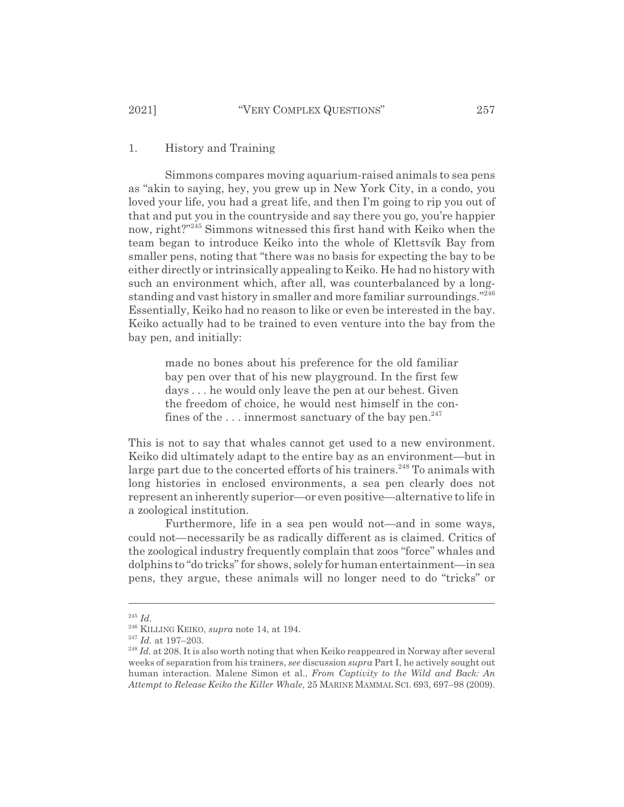#### 1. History and Training

Simmons compares moving aquarium-raised animals to sea pens as "akin to saying, hey, you grew up in New York City, in a condo, you loved your life, you had a great life, and then I'm going to rip you out of that and put you in the countryside and say there you go, you're happier now, right?"245 Simmons witnessed this first hand with Keiko when the team began to introduce Keiko into the whole of Klettsvík Bay from smaller pens, noting that "there was no basis for expecting the bay to be either directly or intrinsically appealing to Keiko. He had no history with such an environment which, after all, was counterbalanced by a longstanding and vast history in smaller and more familiar surroundings."<sup>246</sup> Essentially, Keiko had no reason to like or even be interested in the bay. Keiko actually had to be trained to even venture into the bay from the bay pen, and initially:

made no bones about his preference for the old familiar bay pen over that of his new playground. In the first few days . . . he would only leave the pen at our behest. Given the freedom of choice, he would nest himself in the confines of the  $\dots$  innermost sanctuary of the bay pen.<sup>247</sup>

This is not to say that whales cannot get used to a new environment. Keiko did ultimately adapt to the entire bay as an environment—but in large part due to the concerted efforts of his trainers.<sup>248</sup> To animals with long histories in enclosed environments, a sea pen clearly does not represent an inherently superior—or even positive—alternative to life in a zoological institution.

Furthermore, life in a sea pen would not—and in some ways, could not—necessarily be as radically different as is claimed. Critics of the zoological industry frequently complain that zoos "force" whales and dolphins to "do tricks" for shows, solely for human entertainment—in sea pens, they argue, these animals will no longer need to do "tricks" or

<sup>245</sup> *Id.*

<sup>246</sup> KILLING KEIKO, *supra* note 14, at 194.

<sup>247</sup> *Id.* at 197–203.

<sup>&</sup>lt;sup>248</sup> Id. at 208. It is also worth noting that when Keiko reappeared in Norway after several weeks of separation from his trainers, *see* discussion *supra* Part I, he actively sought out human interaction. Malene Simon et al., *From Captivity to the Wild and Back: An Attempt to Release Keiko the Killer Whale*, 25 MARINE MAMMAL SCI. 693, 697–98 (2009).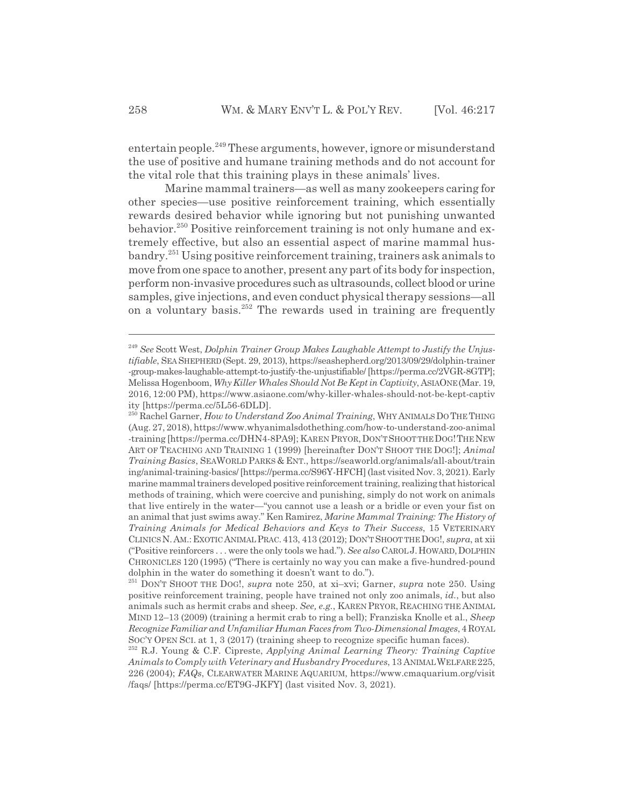entertain people.<sup>249</sup> These arguments, however, ignore or misunderstand the use of positive and humane training methods and do not account for the vital role that this training plays in these animals' lives.

Marine mammal trainers—as well as many zookeepers caring for other species—use positive reinforcement training, which essentially rewards desired behavior while ignoring but not punishing unwanted behavior.250 Positive reinforcement training is not only humane and extremely effective, but also an essential aspect of marine mammal husbandry.251 Using positive reinforcement training, trainers ask animals to move from one space to another, present any part of its body for inspection, perform non-invasive procedures such as ultrasounds, collect blood or urine samples, give injections, and even conduct physical therapy sessions—all on a voluntary basis. $252$  The rewards used in training are frequently

<sup>249</sup> *See* Scott West, *Dolphin Trainer Group Makes Laughable Attempt to Justify the Unjustifiable*, SEA SHEPHERD (Sept. 29, 2013), https://seashepherd.org/2013/09/29/dolphin-trainer -group-makes-laughable-attempt-to-justify-the-unjustifiable/ [https://perma.cc/2VGR-8GTP]; Melissa Hogenboom, *Why Killer Whales Should Not Be Kept in Captivity*, ASIAONE(Mar. 19, 2016, 12:00 PM), https://www.asiaone.com/why-killer-whales-should-not-be-kept-captiv ity [https://perma.cc/5L56-6DLD].

<sup>&</sup>lt;sup>250</sup> Rachel Garner, *How to Understand Zoo Animal Training*, WHY ANIMALS DO THE THING (Aug. 27, 2018), https://www.whyanimalsdothething.com/how-to-understand-zoo-animal -training [https://perma.cc/DHN4-8PA9]; KAREN PRYOR,DON'TSHOOT THE DOG!THENEW ART OF TEACHING AND TRAINING 1 (1999) [hereinafter DON'T SHOOT THE DOG!]; *Animal Training Basics*, SEAWORLD PARKS & ENT., https://seaworld.org/animals/all-about/train ing/animal-training-basics/ [https://perma.cc/S96Y-HFCH] (last visited Nov. 3, 2021). Early marine mammal trainers developed positive reinforcement training, realizing that historical methods of training, which were coercive and punishing, simply do not work on animals that live entirely in the water—"you cannot use a leash or a bridle or even your fist on an animal that just swims away." Ken Ramirez, *Marine Mammal Training: The History of Training Animals for Medical Behaviors and Keys to Their Success*, 15 VETERINARY CLINICSN.AM.:EXOTIC ANIMAL PRAC.413, 413 (2012); DON'T SHOOT THE DOG!, *supra*, at xii ("Positive reinforcers . . . were the only tools we had."). *See also* CAROLJ.HOWARD,DOLPHIN CHRONICLES 120 (1995) ("There is certainly no way you can make a five-hundred-pound dolphin in the water do something it doesn't want to do.").

<sup>251</sup> DON'T SHOOT THE DOG!, *supra* note 250, at xi–xvi; Garner, *supra* note 250. Using positive reinforcement training, people have trained not only zoo animals, *id.*, but also animals such as hermit crabs and sheep. *See, e.g.*, KAREN PRYOR, REACHING THE ANIMAL MIND 12–13 (2009) (training a hermit crab to ring a bell); Franziska Knolle et al., *Sheep Recognize Familiar and Unfamiliar Human Faces from Two-Dimensional Images*, 4 ROYAL SOC'Y OPEN SCI. at 1, 3 (2017) (training sheep to recognize specific human faces).

<sup>252</sup> R.J. Young & C.F. Cipreste, *Applying Animal Learning Theory: Training Captive Animals to Comply with Veterinary and Husbandry Procedures*, 13 ANIMALWELFARE225, 226 (2004); *FAQs*, CLEARWATER MARINE AQUARIUM, https://www.cmaquarium.org/visit /faqs/ [https://perma.cc/ET9G-JKFY] (last visited Nov. 3, 2021).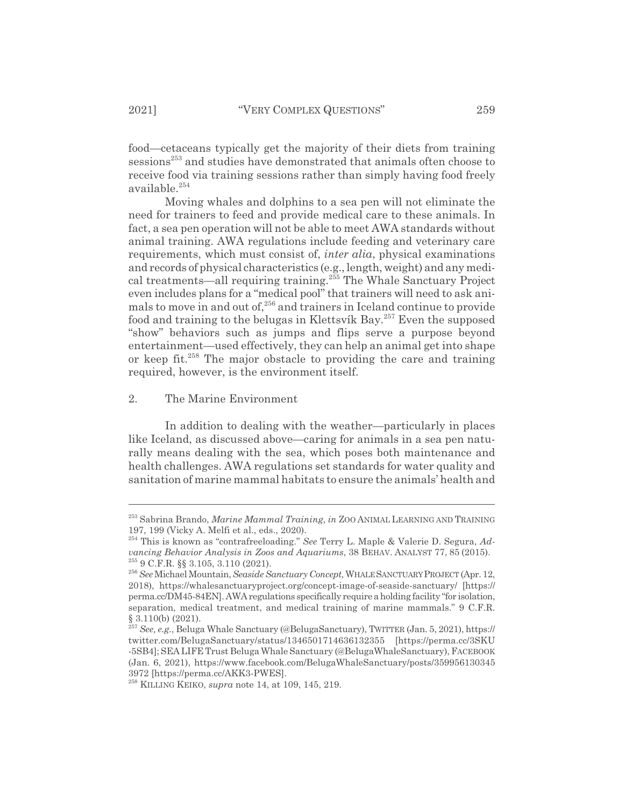food—cetaceans typically get the majority of their diets from training sessions<sup>253</sup> and studies have demonstrated that animals often choose to receive food via training sessions rather than simply having food freely available.<sup>254</sup>

Moving whales and dolphins to a sea pen will not eliminate the need for trainers to feed and provide medical care to these animals. In fact, a sea pen operation will not be able to meet AWA standards without animal training. AWA regulations include feeding and veterinary care requirements, which must consist of, *inter alia*, physical examinations and records of physical characteristics (e.g., length, weight) and any medical treatments—all requiring training.255 The Whale Sanctuary Project even includes plans for a "medical pool" that trainers will need to ask animals to move in and out of,  $256$  and trainers in Iceland continue to provide food and training to the belugas in Klettsvík Bay.<sup>257</sup> Even the supposed "show" behaviors such as jumps and flips serve a purpose beyond entertainment—used effectively, they can help an animal get into shape or keep fit.258 The major obstacle to providing the care and training required, however, is the environment itself.

#### 2. The Marine Environment

In addition to dealing with the weather—particularly in places like Iceland, as discussed above—caring for animals in a sea pen naturally means dealing with the sea, which poses both maintenance and health challenges. AWA regulations set standards for water quality and sanitation of marine mammal habitats to ensure the animals' health and

<sup>253</sup> Sabrina Brando, *Marine Mammal Training*, *in* ZOO ANIMAL LEARNING AND TRAINING 197, 199 (Vicky A. Melfi et al., eds., 2020).

<sup>254</sup> This is known as "contrafreeloading." *See* Terry L. Maple & Valerie D. Segura, *Advancing Behavior Analysis in Zoos and Aquariums*, 38 BEHAV. ANALYST 77, 85 (2015). 255 9 C.F.R. §§ 3.105, 3.110 (2021).

<sup>256</sup> *See*Michael Mountain, *Seaside Sanctuary Concept*, WHALESANCTUARY PROJECT (Apr. 12, 2018), https://whalesanctuaryproject.org/concept-image-of-seaside-sanctuary/ [https:// perma.cc/DM45-84EN]. AWA regulations specifically require a holding facility "for isolation, separation, medical treatment, and medical training of marine mammals." 9 C.F.R. § 3.110(b) (2021).

<sup>257</sup> *See, e.g.*, Beluga Whale Sanctuary (@BelugaSanctuary), TWITTER (Jan. 5, 2021), https:// twitter.com/BelugaSanctuary/status/1346501714636132355 [https://perma.cc/3SKU -5SB4]; SEA LIFE Trust Beluga Whale Sanctuary (@BelugaWhaleSanctuary), FACEBOOK (Jan. 6, 2021), https://www.facebook.com/BelugaWhaleSanctuary/posts/359956130345 3972 [https://perma.cc/AKK3-PWES].

<sup>258</sup> KILLING KEIKO, *supra* note 14, at 109, 145, 219.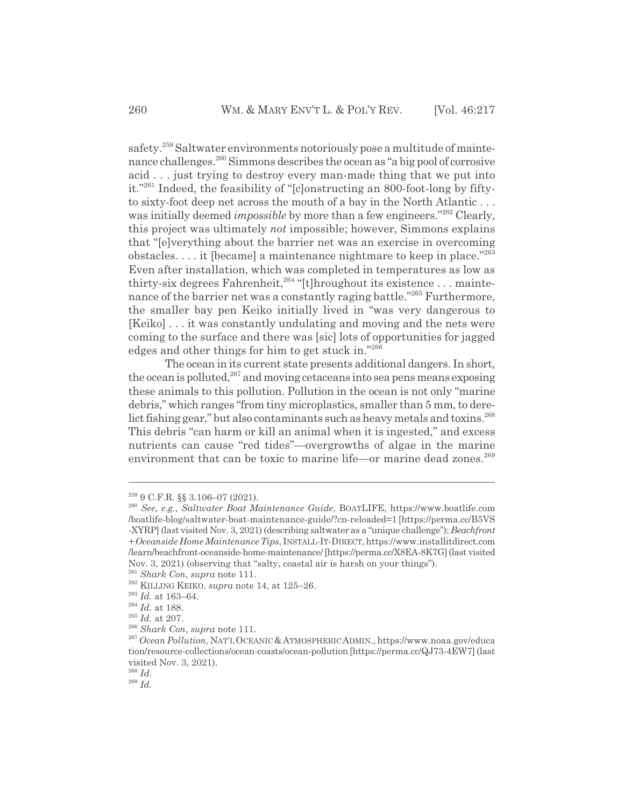safety.<sup>259</sup> Saltwater environments notoriously pose a multitude of maintenance challenges.<sup>260</sup> Simmons describes the ocean as "a big pool of corrosive acid . . . just trying to destroy every man-made thing that we put into it."261 Indeed, the feasibility of "[c]onstructing an 800-foot-long by fiftyto sixty-foot deep net across the mouth of a bay in the North Atlantic . . . was initially deemed *impossible* by more than a few engineers."<sup>262</sup> Clearly, this project was ultimately *not* impossible; however, Simmons explains that "[e]verything about the barrier net was an exercise in overcoming obstacles.  $\dots$  it [became] a maintenance nightmare to keep in place.<sup>"263</sup> Even after installation, which was completed in temperatures as low as thirty-six degrees Fahrenheit,<sup>264</sup> "[t]hroughout its existence . . . maintenance of the barrier net was a constantly raging battle."<sup>265</sup> Furthermore, the smaller bay pen Keiko initially lived in "was very dangerous to [Keiko] . . . it was constantly undulating and moving and the nets were coming to the surface and there was [sic] lots of opportunities for jagged edges and other things for him to get stuck in."266

The ocean in its current state presents additional dangers. In short, the ocean is polluted,  $267$  and moving cetaceans into sea pens means exposing these animals to this pollution. Pollution in the ocean is not only "marine debris," which ranges "from tiny microplastics, smaller than 5 mm, to derelict fishing gear," but also contaminants such as heavy metals and toxins. $^{268}$ This debris "can harm or kill an animal when it is ingested," and excess nutrients can cause "red tides"—overgrowths of algae in the marine environment that can be toxic to marine life—or marine dead zones.<sup>269</sup>

<sup>259 9</sup> C.F.R. §§ 3.106–07 (2021).

<sup>260</sup> *See, e.g.*, *Saltwater Boat Maintenance Guide*, BOATLIFE, https://www.boatlife.com /boatlife-blog/saltwater-boat-maintenance-guide/?cn-reloaded=1 [https://perma.cc/B5VS -XYRP] (last visited Nov. 3, 2021) (describing saltwater as a "unique challenge"); *Beachfront + Oceanside Home Maintenance Tips*, INSTALL-IT-DIRECT, https://www.installitdirect.com /learn/beachfront-oceanside-home-maintenance/ [https://perma.cc/X8EA-8K7G] (last visited Nov. 3, 2021) (observing that "salty, coastal air is harsh on your things").

<sup>261</sup> *Shark Con*, *supra* note 111. 262 KILLING KEIKO, *supra* note 14, at 125–26.

 $\,$   $^{263}$   $Id.$  at 163–64.

<sup>264</sup> *Id.* at 188.

 $^{265}$   $Id.\;$  at 207.

<sup>266</sup> *Shark Con*, *supra* note 111.

<sup>267</sup> *Ocean Pollution*, NAT'LOCEANIC&ATMOSPHERIC ADMIN., https://www.noaa.gov/educa tion/resource-collections/ocean-coasts/ocean-pollution [https://perma.cc/QJ73-4EW7] (last visited Nov. 3, 2021).

<sup>268</sup> *Id.*

<sup>269</sup> *Id.*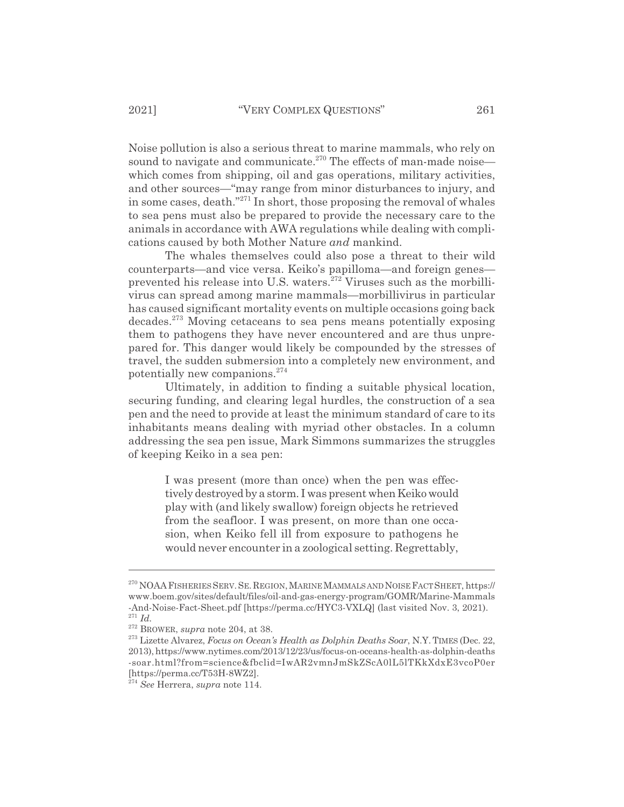Noise pollution is also a serious threat to marine mammals, who rely on sound to navigate and communicate.<sup>270</sup> The effects of man-made noise which comes from shipping, oil and gas operations, military activities, and other sources—"may range from minor disturbances to injury, and in some cases, death."271 In short, those proposing the removal of whales to sea pens must also be prepared to provide the necessary care to the animals in accordance with AWA regulations while dealing with complications caused by both Mother Nature *and* mankind.

The whales themselves could also pose a threat to their wild counterparts—and vice versa. Keiko's papilloma—and foreign genes prevented his release into U.S. waters. $272$  Viruses such as the morbillivirus can spread among marine mammals—morbillivirus in particular has caused significant mortality events on multiple occasions going back decades.273 Moving cetaceans to sea pens means potentially exposing them to pathogens they have never encountered and are thus unprepared for. This danger would likely be compounded by the stresses of travel, the sudden submersion into a completely new environment, and potentially new companions.<sup>274</sup>

Ultimately, in addition to finding a suitable physical location, securing funding, and clearing legal hurdles, the construction of a sea pen and the need to provide at least the minimum standard of care to its inhabitants means dealing with myriad other obstacles. In a column addressing the sea pen issue, Mark Simmons summarizes the struggles of keeping Keiko in a sea pen:

I was present (more than once) when the pen was effectively destroyed by a storm. I was present when Keiko would play with (and likely swallow) foreign objects he retrieved from the seafloor. I was present, on more than one occasion, when Keiko fell ill from exposure to pathogens he would never encounter in a zoological setting. Regrettably,

<sup>270</sup> NOAAFISHERIES SERV.SE.REGION,MARINE MAMMALS AND NOISE FACTSHEET, https:// www.boem.gov/sites/default/files/oil-and-gas-energy-program/GOMR/Marine-Mammals -And-Noise-Fact-Sheet.pdf [https://perma.cc/HYC3-VXLQ] (last visited Nov. 3, 2021). <sup>271</sup> *Id.*

<sup>272</sup> BROWER, *supra* note 204, at 38.

<sup>273</sup> Lizette Alvarez, *Focus on Ocean's Health as Dolphin Deaths Soar*, N.Y. TIMES (Dec. 22, 2013), https://www.nytimes.com/2013/12/23/us/focus-on-oceans-health-as-dolphin-deaths -soar.html?from=science&fbclid=IwAR2vmnJmSkZScA0lL5lTKkXdxE3vcoP0er [https://perma.cc/T53H-8WZ2].

<sup>274</sup> *See* Herrera, *supra* note 114.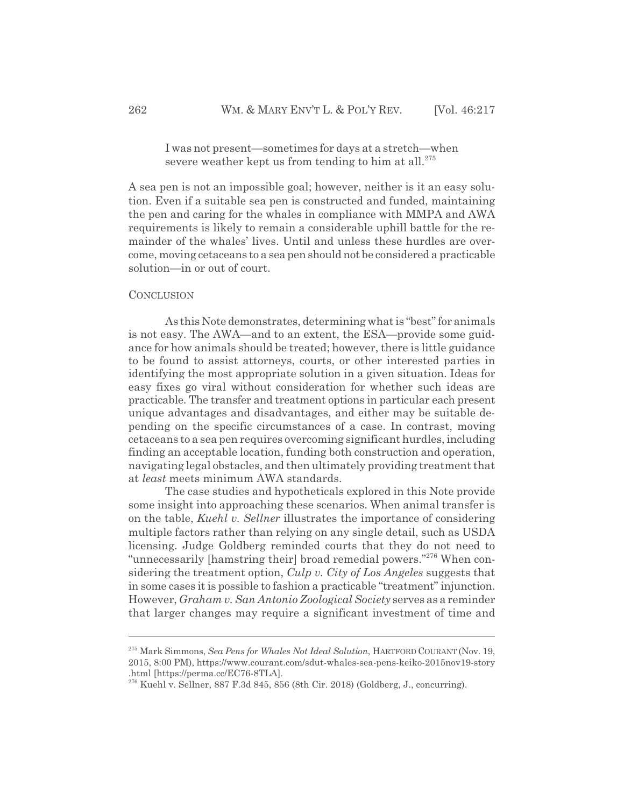I was not present—sometimes for days at a stretch—when severe weather kept us from tending to him at all. $275$ 

A sea pen is not an impossible goal; however, neither is it an easy solution. Even if a suitable sea pen is constructed and funded, maintaining the pen and caring for the whales in compliance with MMPA and AWA requirements is likely to remain a considerable uphill battle for the remainder of the whales' lives. Until and unless these hurdles are overcome, moving cetaceans to a sea pen should not be considered a practicable solution—in or out of court.

#### **CONCLUSION**

As this Note demonstrates, determining what is "best" for animals is not easy. The AWA—and to an extent, the ESA—provide some guidance for how animals should be treated; however, there is little guidance to be found to assist attorneys, courts, or other interested parties in identifying the most appropriate solution in a given situation. Ideas for easy fixes go viral without consideration for whether such ideas are practicable. The transfer and treatment options in particular each present unique advantages and disadvantages, and either may be suitable depending on the specific circumstances of a case. In contrast, moving cetaceans to a sea pen requires overcoming significant hurdles, including finding an acceptable location, funding both construction and operation, navigating legal obstacles, and then ultimately providing treatment that at *least* meets minimum AWA standards.

The case studies and hypotheticals explored in this Note provide some insight into approaching these scenarios. When animal transfer is on the table, *Kuehl v. Sellner* illustrates the importance of considering multiple factors rather than relying on any single detail, such as USDA licensing. Judge Goldberg reminded courts that they do not need to "unnecessarily [hamstring their] broad remedial powers."<sup>276</sup> When considering the treatment option, *Culp v. City of Los Angeles* suggests that in some cases it is possible to fashion a practicable "treatment" injunction. However, *Graham v. San Antonio Zoological Society* serves as a reminder that larger changes may require a significant investment of time and

<sup>275</sup> Mark Simmons, *Sea Pens for Whales Not Ideal Solution*, HARTFORD COURANT (Nov. 19, 2015, 8:00 PM), https://www.courant.com/sdut-whales-sea-pens-keiko-2015nov19-story .html [https://perma.cc/EC76-8TLA].

 $276$  Kuehl v. Sellner, 887 F.3d 845, 856 (8th Cir. 2018) (Goldberg, J., concurring).